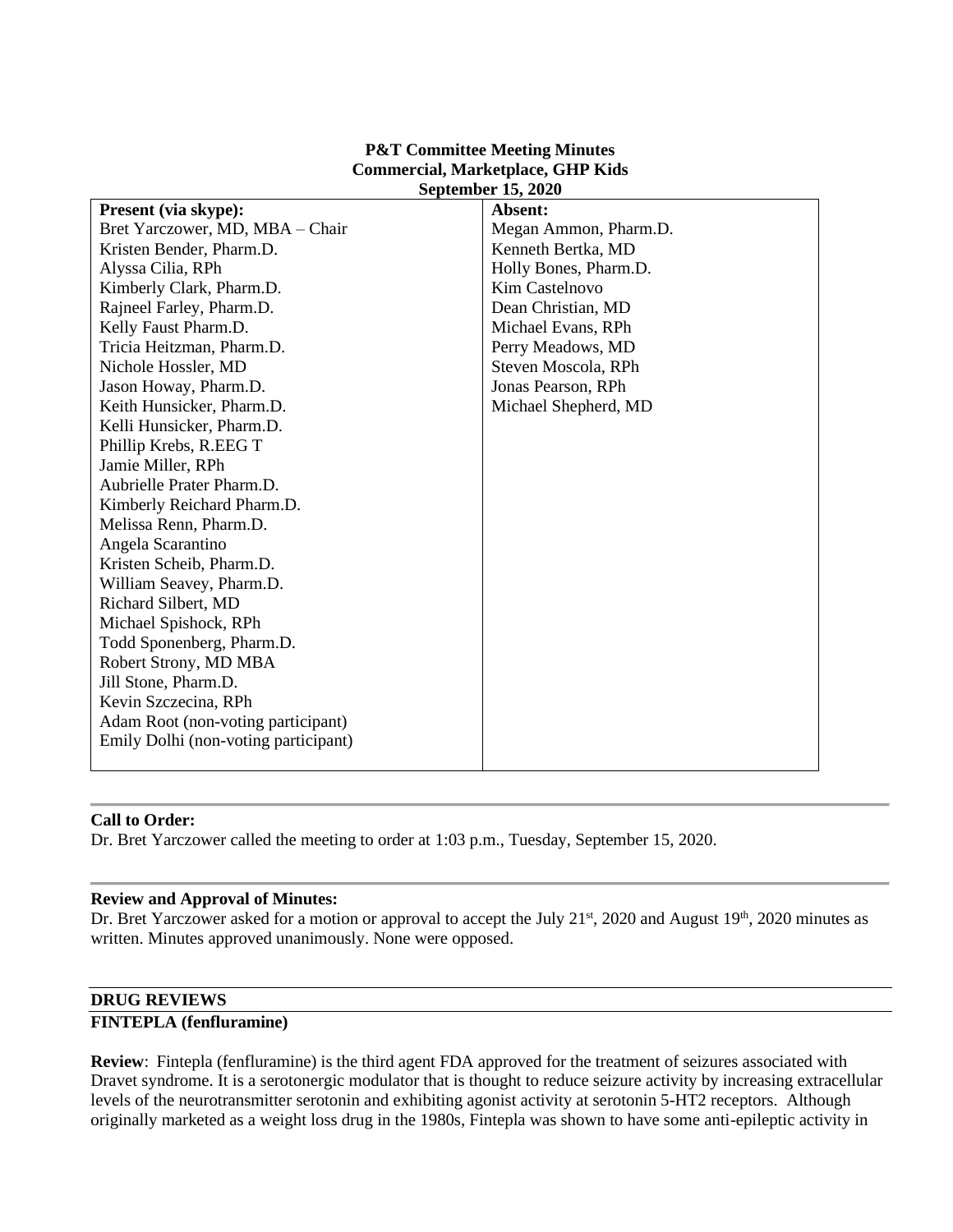#### **P&T Committee Meeting Minutes Commercial, Marketplace, GHP Kids September 15, 2020**

| Present (via skype):                 | Absent:               |
|--------------------------------------|-----------------------|
| Bret Yarczower, MD, MBA – Chair      | Megan Ammon, Pharm.D. |
| Kristen Bender, Pharm.D.             | Kenneth Bertka, MD    |
| Alyssa Cilia, RPh                    | Holly Bones, Pharm.D. |
| Kimberly Clark, Pharm.D.             | Kim Castelnovo        |
| Rajneel Farley, Pharm.D.             | Dean Christian, MD    |
| Kelly Faust Pharm.D.                 | Michael Evans, RPh    |
| Tricia Heitzman, Pharm.D.            | Perry Meadows, MD     |
| Nichole Hossler, MD                  | Steven Moscola, RPh   |
| Jason Howay, Pharm.D.                | Jonas Pearson, RPh    |
| Keith Hunsicker, Pharm.D.            | Michael Shepherd, MD  |
| Kelli Hunsicker, Pharm.D.            |                       |
| Phillip Krebs, R.EEG T               |                       |
| Jamie Miller, RPh                    |                       |
| Aubrielle Prater Pharm.D.            |                       |
| Kimberly Reichard Pharm.D.           |                       |
| Melissa Renn, Pharm.D.               |                       |
| Angela Scarantino                    |                       |
| Kristen Scheib, Pharm.D.             |                       |
| William Seavey, Pharm.D.             |                       |
| Richard Silbert, MD                  |                       |
| Michael Spishock, RPh                |                       |
| Todd Sponenberg, Pharm.D.            |                       |
| Robert Strony, MD MBA                |                       |
| Jill Stone, Pharm.D.                 |                       |
| Kevin Szczecina, RPh                 |                       |
| Adam Root (non-voting participant)   |                       |
| Emily Dolhi (non-voting participant) |                       |
|                                      |                       |

### **Call to Order:**

Dr. Bret Yarczower called the meeting to order at 1:03 p.m., Tuesday, September 15, 2020.

#### **Review and Approval of Minutes:**

Dr. Bret Yarczower asked for a motion or approval to accept the July 21<sup>st</sup>, 2020 and August 19<sup>th</sup>, 2020 minutes as written. Minutes approved unanimously. None were opposed.

#### **DRUG REVIEWS**

#### **FINTEPLA (fenfluramine)**

**Review**: Fintepla (fenfluramine) is the third agent FDA approved for the treatment of seizures associated with Dravet syndrome. It is a serotonergic modulator that is thought to reduce seizure activity by increasing extracellular levels of the neurotransmitter serotonin and exhibiting agonist activity at serotonin 5-HT2 receptors. Although originally marketed as a weight loss drug in the 1980s, Fintepla was shown to have some anti-epileptic activity in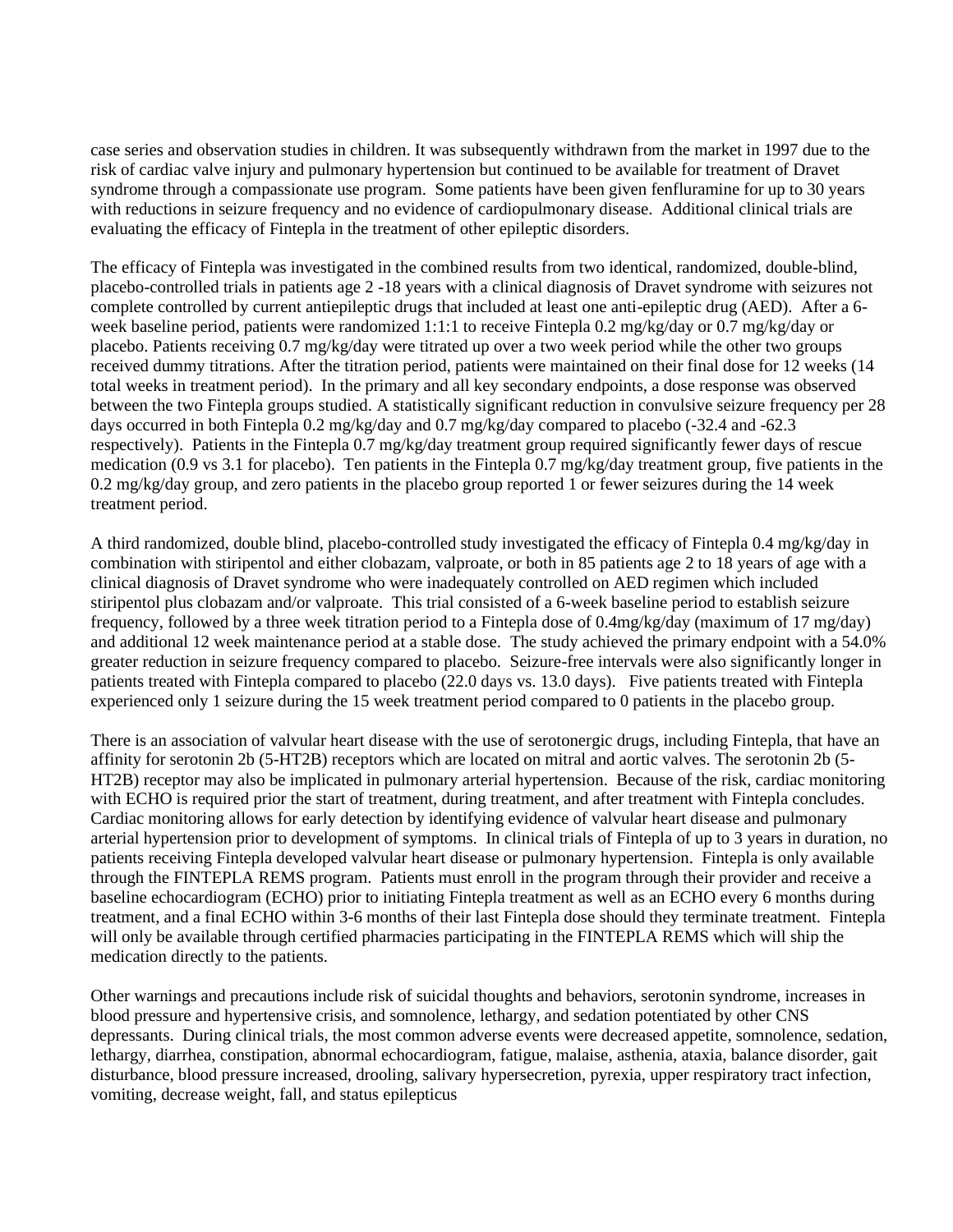case series and observation studies in children. It was subsequently withdrawn from the market in 1997 due to the risk of cardiac valve injury and pulmonary hypertension but continued to be available for treatment of Dravet syndrome through a compassionate use program. Some patients have been given fenfluramine for up to 30 years with reductions in seizure frequency and no evidence of cardiopulmonary disease. Additional clinical trials are evaluating the efficacy of Fintepla in the treatment of other epileptic disorders.

The efficacy of Fintepla was investigated in the combined results from two identical, randomized, double-blind, placebo-controlled trials in patients age 2 -18 years with a clinical diagnosis of Dravet syndrome with seizures not complete controlled by current antiepileptic drugs that included at least one anti-epileptic drug (AED). After a 6 week baseline period, patients were randomized 1:1:1 to receive Fintepla 0.2 mg/kg/day or 0.7 mg/kg/day or placebo. Patients receiving 0.7 mg/kg/day were titrated up over a two week period while the other two groups received dummy titrations. After the titration period, patients were maintained on their final dose for 12 weeks (14 total weeks in treatment period). In the primary and all key secondary endpoints, a dose response was observed between the two Fintepla groups studied. A statistically significant reduction in convulsive seizure frequency per 28 days occurred in both Fintepla 0.2 mg/kg/day and 0.7 mg/kg/day compared to placebo (-32.4 and -62.3) respectively). Patients in the Fintepla 0.7 mg/kg/day treatment group required significantly fewer days of rescue medication (0.9 vs 3.1 for placebo). Ten patients in the Fintepla 0.7 mg/kg/day treatment group, five patients in the 0.2 mg/kg/day group, and zero patients in the placebo group reported 1 or fewer seizures during the 14 week treatment period.

A third randomized, double blind, placebo-controlled study investigated the efficacy of Fintepla 0.4 mg/kg/day in combination with stiripentol and either clobazam, valproate, or both in 85 patients age 2 to 18 years of age with a clinical diagnosis of Dravet syndrome who were inadequately controlled on AED regimen which included stiripentol plus clobazam and/or valproate. This trial consisted of a 6-week baseline period to establish seizure frequency, followed by a three week titration period to a Fintepla dose of 0.4mg/kg/day (maximum of 17 mg/day) and additional 12 week maintenance period at a stable dose. The study achieved the primary endpoint with a 54.0% greater reduction in seizure frequency compared to placebo. Seizure-free intervals were also significantly longer in patients treated with Fintepla compared to placebo (22.0 days vs. 13.0 days). Five patients treated with Fintepla experienced only 1 seizure during the 15 week treatment period compared to 0 patients in the placebo group.

There is an association of valvular heart disease with the use of serotonergic drugs, including Fintepla, that have an affinity for serotonin 2b (5-HT2B) receptors which are located on mitral and aortic valves. The serotonin 2b (5- HT2B) receptor may also be implicated in pulmonary arterial hypertension. Because of the risk, cardiac monitoring with ECHO is required prior the start of treatment, during treatment, and after treatment with Fintepla concludes. Cardiac monitoring allows for early detection by identifying evidence of valvular heart disease and pulmonary arterial hypertension prior to development of symptoms. In clinical trials of Fintepla of up to 3 years in duration, no patients receiving Fintepla developed valvular heart disease or pulmonary hypertension. Fintepla is only available through the FINTEPLA REMS program. Patients must enroll in the program through their provider and receive a baseline echocardiogram (ECHO) prior to initiating Fintepla treatment as well as an ECHO every 6 months during treatment, and a final ECHO within 3-6 months of their last Fintepla dose should they terminate treatment. Fintepla will only be available through certified pharmacies participating in the FINTEPLA REMS which will ship the medication directly to the patients.

Other warnings and precautions include risk of suicidal thoughts and behaviors, serotonin syndrome, increases in blood pressure and hypertensive crisis, and somnolence, lethargy, and sedation potentiated by other CNS depressants. During clinical trials, the most common adverse events were decreased appetite, somnolence, sedation, lethargy, diarrhea, constipation, abnormal echocardiogram, fatigue, malaise, asthenia, ataxia, balance disorder, gait disturbance, blood pressure increased, drooling, salivary hypersecretion, pyrexia, upper respiratory tract infection, vomiting, decrease weight, fall, and status epilepticus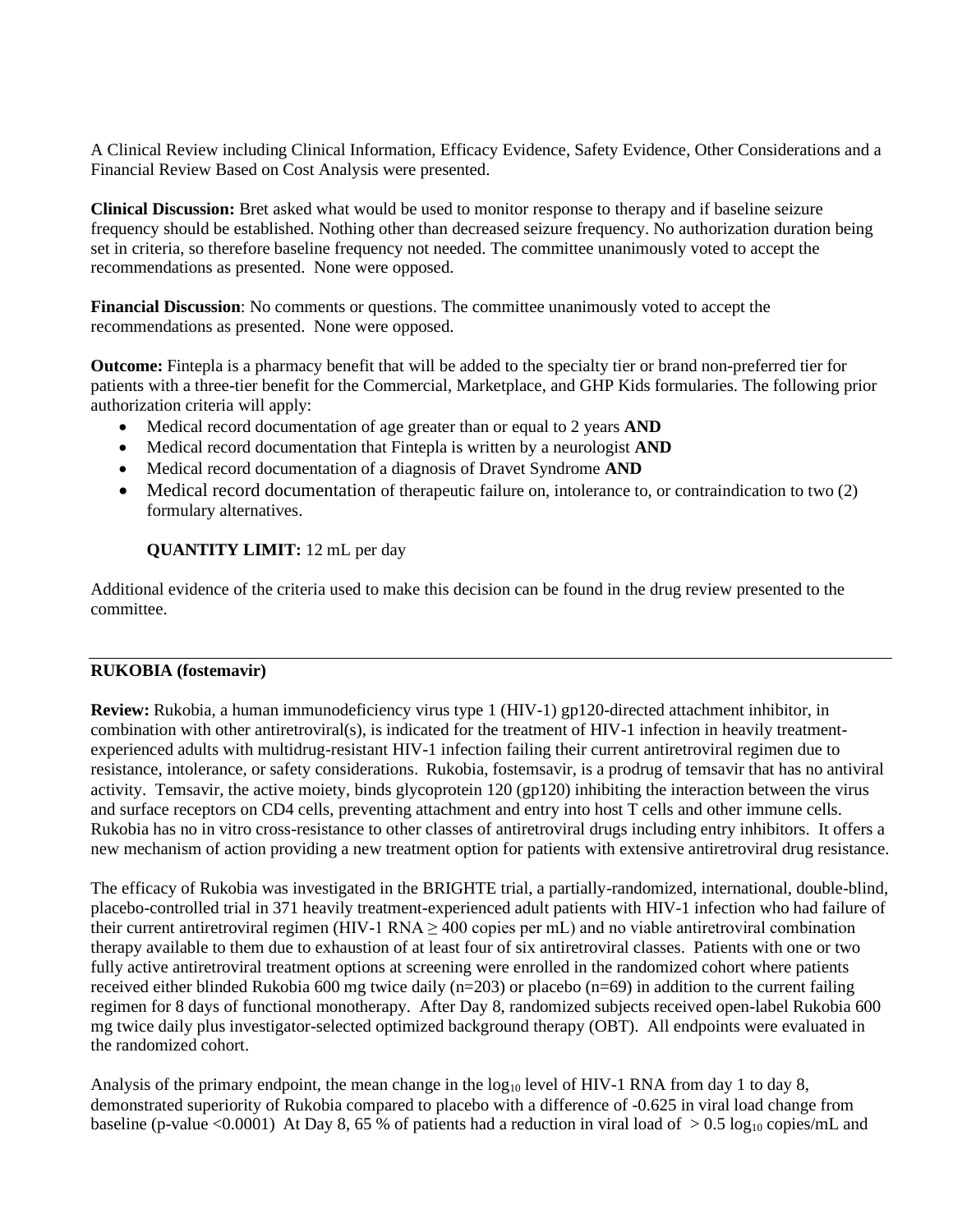A Clinical Review including Clinical Information, Efficacy Evidence, Safety Evidence, Other Considerations and a Financial Review Based on Cost Analysis were presented.

**Clinical Discussion:** Bret asked what would be used to monitor response to therapy and if baseline seizure frequency should be established. Nothing other than decreased seizure frequency. No authorization duration being set in criteria, so therefore baseline frequency not needed. The committee unanimously voted to accept the recommendations as presented. None were opposed.

**Financial Discussion**: No comments or questions. The committee unanimously voted to accept the recommendations as presented. None were opposed.

**Outcome:** Fintepla is a pharmacy benefit that will be added to the specialty tier or brand non-preferred tier for patients with a three-tier benefit for the Commercial, Marketplace, and GHP Kids formularies. The following prior authorization criteria will apply:

- Medical record documentation of age greater than or equal to 2 years **AND**
- Medical record documentation that Fintepla is written by a neurologist **AND**
- Medical record documentation of a diagnosis of Dravet Syndrome **AND**
- Medical record documentation of therapeutic failure on, intolerance to, or contraindication to two (2) formulary alternatives.

### **QUANTITY LIMIT:** 12 mL per day

Additional evidence of the criteria used to make this decision can be found in the drug review presented to the committee.

### **RUKOBIA (fostemavir)**

**Review:** Rukobia, a human immunodeficiency virus type 1 (HIV-1) gp120-directed attachment inhibitor, in combination with other antiretroviral(s), is indicated for the treatment of HIV-1 infection in heavily treatmentexperienced adults with multidrug-resistant HIV-1 infection failing their current antiretroviral regimen due to resistance, intolerance, or safety considerations. Rukobia, fostemsavir, is a prodrug of temsavir that has no antiviral activity. Temsavir, the active moiety, binds glycoprotein 120 (gp120) inhibiting the interaction between the virus and surface receptors on CD4 cells, preventing attachment and entry into host T cells and other immune cells. Rukobia has no in vitro cross-resistance to other classes of antiretroviral drugs including entry inhibitors. It offers a new mechanism of action providing a new treatment option for patients with extensive antiretroviral drug resistance.

The efficacy of Rukobia was investigated in the BRIGHTE trial, a partially-randomized, international, double-blind, placebo-controlled trial in 371 heavily treatment-experienced adult patients with HIV-1 infection who had failure of their current antiretroviral regimen (HIV-1 RNA  $\geq$  400 copies per mL) and no viable antiretroviral combination therapy available to them due to exhaustion of at least four of six antiretroviral classes. Patients with one or two fully active antiretroviral treatment options at screening were enrolled in the randomized cohort where patients received either blinded Rukobia 600 mg twice daily (n=203) or placebo (n=69) in addition to the current failing regimen for 8 days of functional monotherapy. After Day 8, randomized subjects received open-label Rukobia 600 mg twice daily plus investigator-selected optimized background therapy (OBT). All endpoints were evaluated in the randomized cohort.

Analysis of the primary endpoint, the mean change in the  $log_{10}$  level of HIV-1 RNA from day 1 to day 8, demonstrated superiority of Rukobia compared to placebo with a difference of -0.625 in viral load change from baseline (p-value <0.0001) At Day 8, 65 % of patients had a reduction in viral load of  $> 0.5 \log_{10}$  copies/mL and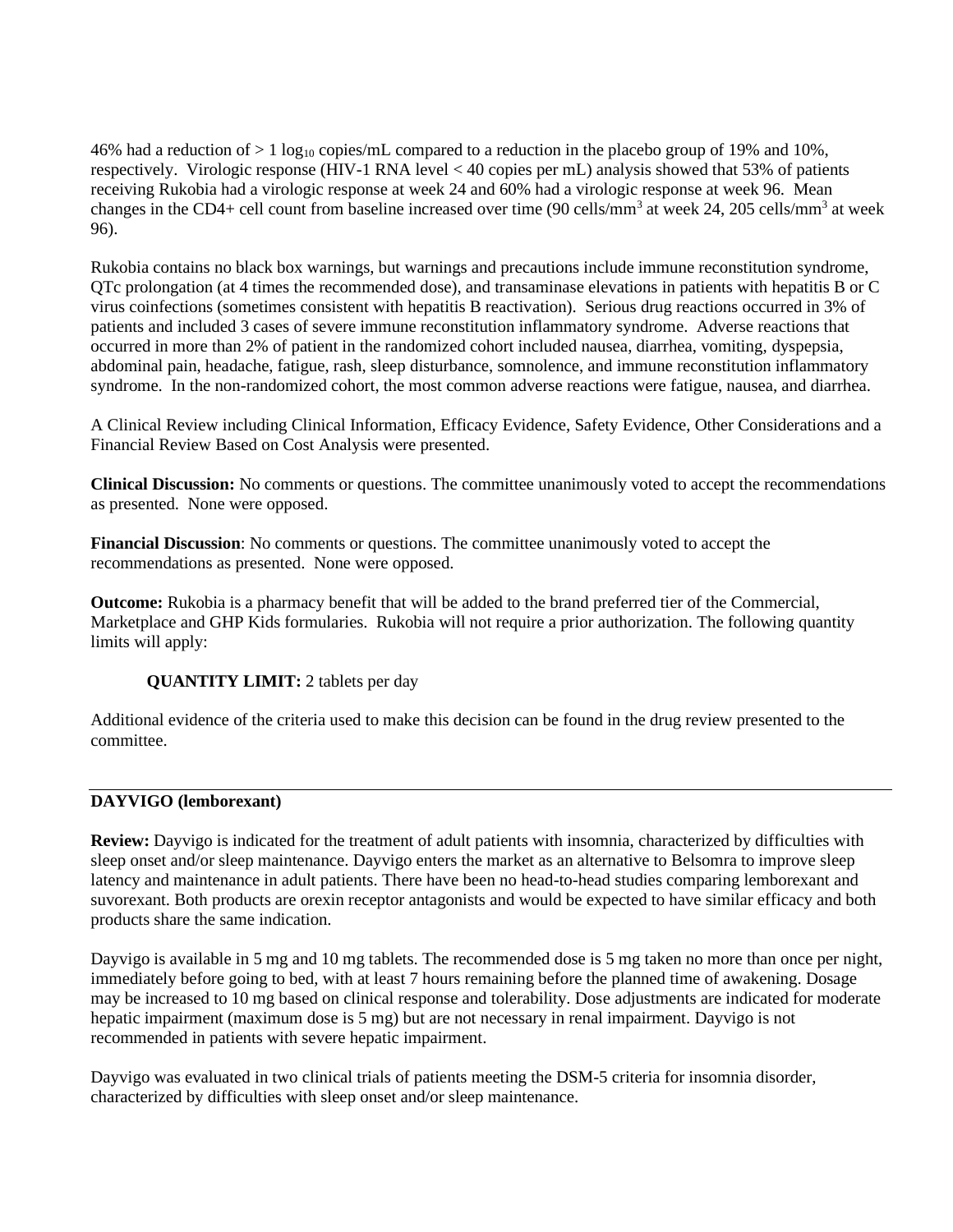46% had a reduction of  $> 1 \log_{10}$  copies/mL compared to a reduction in the placebo group of 19% and 10%, respectively. Virologic response (HIV-1 RNA level < 40 copies per mL) analysis showed that 53% of patients receiving Rukobia had a virologic response at week 24 and 60% had a virologic response at week 96. Mean changes in the CD4+ cell count from baseline increased over time (90 cells/mm<sup>3</sup> at week 24, 205 cells/mm<sup>3</sup> at week 96).

Rukobia contains no black box warnings, but warnings and precautions include immune reconstitution syndrome, QTc prolongation (at 4 times the recommended dose), and transaminase elevations in patients with hepatitis B or C virus coinfections (sometimes consistent with hepatitis B reactivation). Serious drug reactions occurred in 3% of patients and included 3 cases of severe immune reconstitution inflammatory syndrome. Adverse reactions that occurred in more than 2% of patient in the randomized cohort included nausea, diarrhea, vomiting, dyspepsia, abdominal pain, headache, fatigue, rash, sleep disturbance, somnolence, and immune reconstitution inflammatory syndrome. In the non-randomized cohort, the most common adverse reactions were fatigue, nausea, and diarrhea.

A Clinical Review including Clinical Information, Efficacy Evidence, Safety Evidence, Other Considerations and a Financial Review Based on Cost Analysis were presented.

**Clinical Discussion:** No comments or questions. The committee unanimously voted to accept the recommendations as presented. None were opposed.

**Financial Discussion**: No comments or questions. The committee unanimously voted to accept the recommendations as presented. None were opposed.

**Outcome:** Rukobia is a pharmacy benefit that will be added to the brand preferred tier of the Commercial, Marketplace and GHP Kids formularies. Rukobia will not require a prior authorization. The following quantity limits will apply:

### **QUANTITY LIMIT:** 2 tablets per day

Additional evidence of the criteria used to make this decision can be found in the drug review presented to the committee.

### **DAYVIGO (lemborexant)**

**Review:** Dayvigo is indicated for the treatment of adult patients with insomnia, characterized by difficulties with sleep onset and/or sleep maintenance. Dayvigo enters the market as an alternative to Belsomra to improve sleep latency and maintenance in adult patients. There have been no head-to-head studies comparing lemborexant and suvorexant. Both products are orexin receptor antagonists and would be expected to have similar efficacy and both products share the same indication.

Dayvigo is available in 5 mg and 10 mg tablets. The recommended dose is 5 mg taken no more than once per night, immediately before going to bed, with at least 7 hours remaining before the planned time of awakening. Dosage may be increased to 10 mg based on clinical response and tolerability. Dose adjustments are indicated for moderate hepatic impairment (maximum dose is 5 mg) but are not necessary in renal impairment. Dayvigo is not recommended in patients with severe hepatic impairment.

Dayvigo was evaluated in two clinical trials of patients meeting the DSM-5 criteria for insomnia disorder, characterized by difficulties with sleep onset and/or sleep maintenance.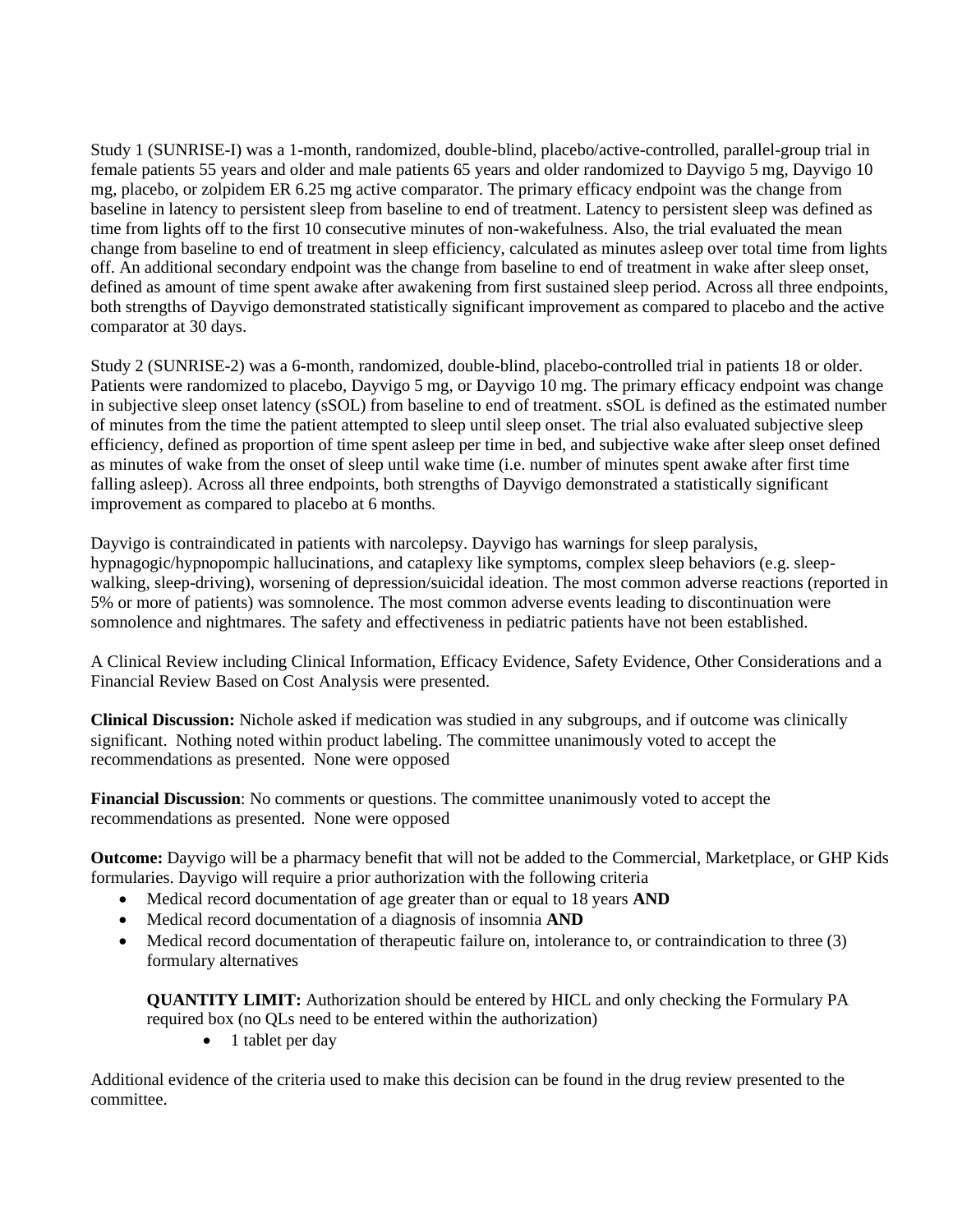Study 1 (SUNRISE-I) was a 1-month, randomized, double-blind, placebo/active-controlled, parallel-group trial in female patients 55 years and older and male patients 65 years and older randomized to Dayvigo 5 mg, Dayvigo 10 mg, placebo, or zolpidem ER 6.25 mg active comparator. The primary efficacy endpoint was the change from baseline in latency to persistent sleep from baseline to end of treatment. Latency to persistent sleep was defined as time from lights off to the first 10 consecutive minutes of non-wakefulness. Also, the trial evaluated the mean change from baseline to end of treatment in sleep efficiency, calculated as minutes asleep over total time from lights off. An additional secondary endpoint was the change from baseline to end of treatment in wake after sleep onset, defined as amount of time spent awake after awakening from first sustained sleep period. Across all three endpoints, both strengths of Dayvigo demonstrated statistically significant improvement as compared to placebo and the active comparator at 30 days.

Study 2 (SUNRISE-2) was a 6-month, randomized, double-blind, placebo-controlled trial in patients 18 or older. Patients were randomized to placebo, Dayvigo 5 mg, or Dayvigo 10 mg. The primary efficacy endpoint was change in subjective sleep onset latency (sSOL) from baseline to end of treatment. sSOL is defined as the estimated number of minutes from the time the patient attempted to sleep until sleep onset. The trial also evaluated subjective sleep efficiency, defined as proportion of time spent asleep per time in bed, and subjective wake after sleep onset defined as minutes of wake from the onset of sleep until wake time (i.e. number of minutes spent awake after first time falling asleep). Across all three endpoints, both strengths of Dayvigo demonstrated a statistically significant improvement as compared to placebo at 6 months.

Dayvigo is contraindicated in patients with narcolepsy. Dayvigo has warnings for sleep paralysis, hypnagogic/hypnopompic hallucinations, and cataplexy like symptoms, complex sleep behaviors (e.g. sleepwalking, sleep-driving), worsening of depression/suicidal ideation. The most common adverse reactions (reported in 5% or more of patients) was somnolence. The most common adverse events leading to discontinuation were somnolence and nightmares. The safety and effectiveness in pediatric patients have not been established.

A Clinical Review including Clinical Information, Efficacy Evidence, Safety Evidence, Other Considerations and a Financial Review Based on Cost Analysis were presented.

**Clinical Discussion:** Nichole asked if medication was studied in any subgroups, and if outcome was clinically significant. Nothing noted within product labeling. The committee unanimously voted to accept the recommendations as presented. None were opposed

**Financial Discussion**: No comments or questions. The committee unanimously voted to accept the recommendations as presented. None were opposed

**Outcome:** Dayvigo will be a pharmacy benefit that will not be added to the Commercial, Marketplace, or GHP Kids formularies. Dayvigo will require a prior authorization with the following criteria

- Medical record documentation of age greater than or equal to 18 years **AND**
- Medical record documentation of a diagnosis of insomnia **AND**
- Medical record documentation of therapeutic failure on, intolerance to, or contraindication to three (3) formulary alternatives

**QUANTITY LIMIT:** Authorization should be entered by HICL and only checking the Formulary PA required box (no QLs need to be entered within the authorization)

• 1 tablet per day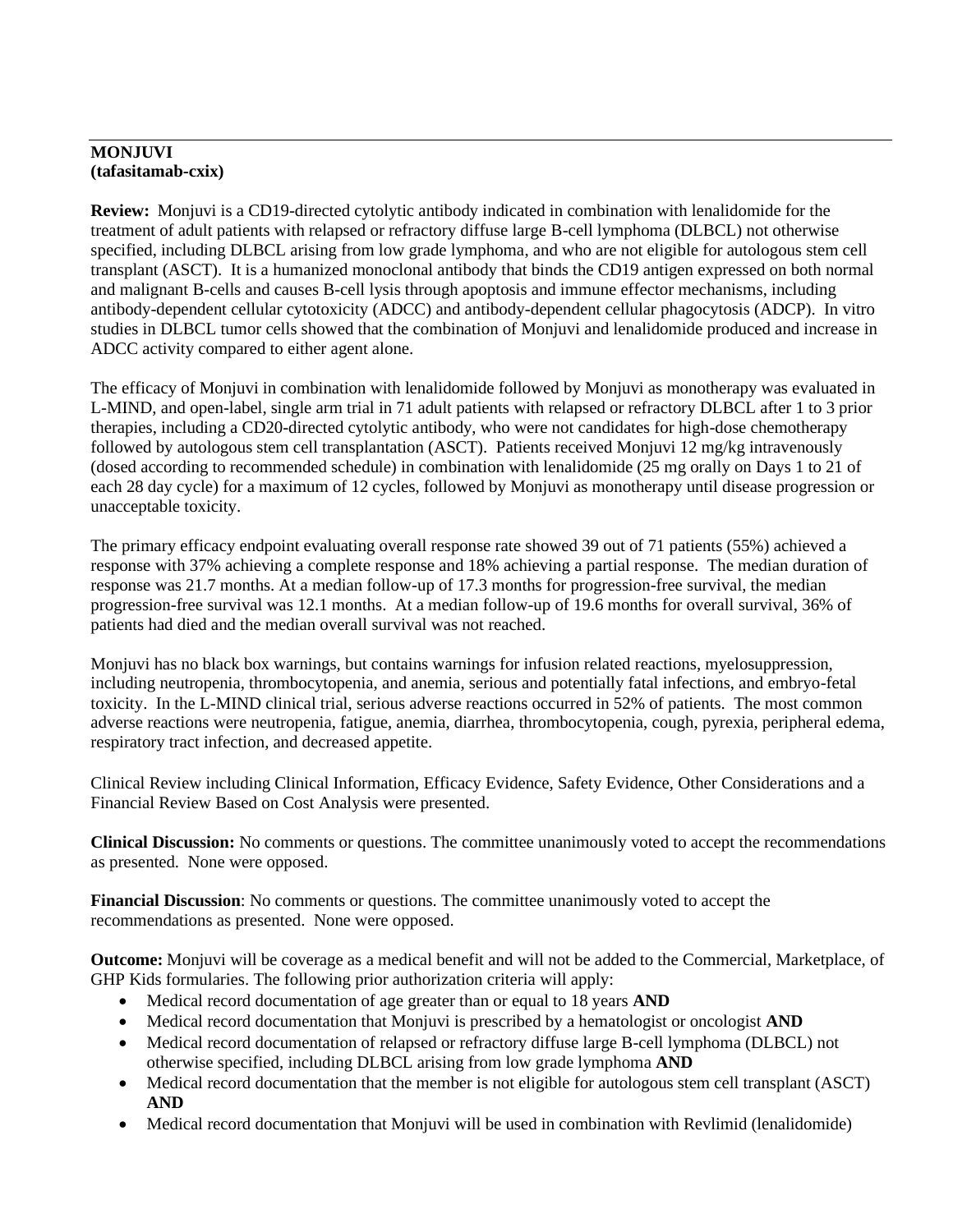## **MONJUVI (tafasitamab-cxix)**

**Review:** Monjuvi is a CD19-directed cytolytic antibody indicated in combination with lenalidomide for the treatment of adult patients with relapsed or refractory diffuse large B-cell lymphoma (DLBCL) not otherwise specified, including DLBCL arising from low grade lymphoma, and who are not eligible for autologous stem cell transplant (ASCT). It is a humanized monoclonal antibody that binds the CD19 antigen expressed on both normal and malignant B-cells and causes B-cell lysis through apoptosis and immune effector mechanisms, including antibody-dependent cellular cytotoxicity (ADCC) and antibody-dependent cellular phagocytosis (ADCP). In vitro studies in DLBCL tumor cells showed that the combination of Monjuvi and lenalidomide produced and increase in ADCC activity compared to either agent alone.

The efficacy of Monjuvi in combination with lenalidomide followed by Monjuvi as monotherapy was evaluated in L-MIND, and open-label, single arm trial in 71 adult patients with relapsed or refractory DLBCL after 1 to 3 prior therapies, including a CD20-directed cytolytic antibody, who were not candidates for high-dose chemotherapy followed by autologous stem cell transplantation (ASCT). Patients received Monjuvi 12 mg/kg intravenously (dosed according to recommended schedule) in combination with lenalidomide (25 mg orally on Days 1 to 21 of each 28 day cycle) for a maximum of 12 cycles, followed by Monjuvi as monotherapy until disease progression or unacceptable toxicity.

The primary efficacy endpoint evaluating overall response rate showed 39 out of 71 patients (55%) achieved a response with 37% achieving a complete response and 18% achieving a partial response. The median duration of response was 21.7 months. At a median follow-up of 17.3 months for progression-free survival, the median progression-free survival was 12.1 months. At a median follow-up of 19.6 months for overall survival, 36% of patients had died and the median overall survival was not reached.

Monjuvi has no black box warnings, but contains warnings for infusion related reactions, myelosuppression, including neutropenia, thrombocytopenia, and anemia, serious and potentially fatal infections, and embryo-fetal toxicity. In the L-MIND clinical trial, serious adverse reactions occurred in 52% of patients. The most common adverse reactions were neutropenia, fatigue, anemia, diarrhea, thrombocytopenia, cough, pyrexia, peripheral edema, respiratory tract infection, and decreased appetite.

Clinical Review including Clinical Information, Efficacy Evidence, Safety Evidence, Other Considerations and a Financial Review Based on Cost Analysis were presented.

**Clinical Discussion:** No comments or questions. The committee unanimously voted to accept the recommendations as presented. None were opposed.

**Financial Discussion**: No comments or questions. The committee unanimously voted to accept the recommendations as presented. None were opposed.

**Outcome:** Monjuvi will be coverage as a medical benefit and will not be added to the Commercial, Marketplace, of GHP Kids formularies. The following prior authorization criteria will apply:

- Medical record documentation of age greater than or equal to 18 years **AND**
- Medical record documentation that Monjuvi is prescribed by a hematologist or oncologist **AND**
- Medical record documentation of relapsed or refractory diffuse large B-cell lymphoma (DLBCL) not otherwise specified, including DLBCL arising from low grade lymphoma **AND**
- Medical record documentation that the member is not eligible for autologous stem cell transplant (ASCT) **AND**
- Medical record documentation that Monjuvi will be used in combination with Revlimid (lenalidomide)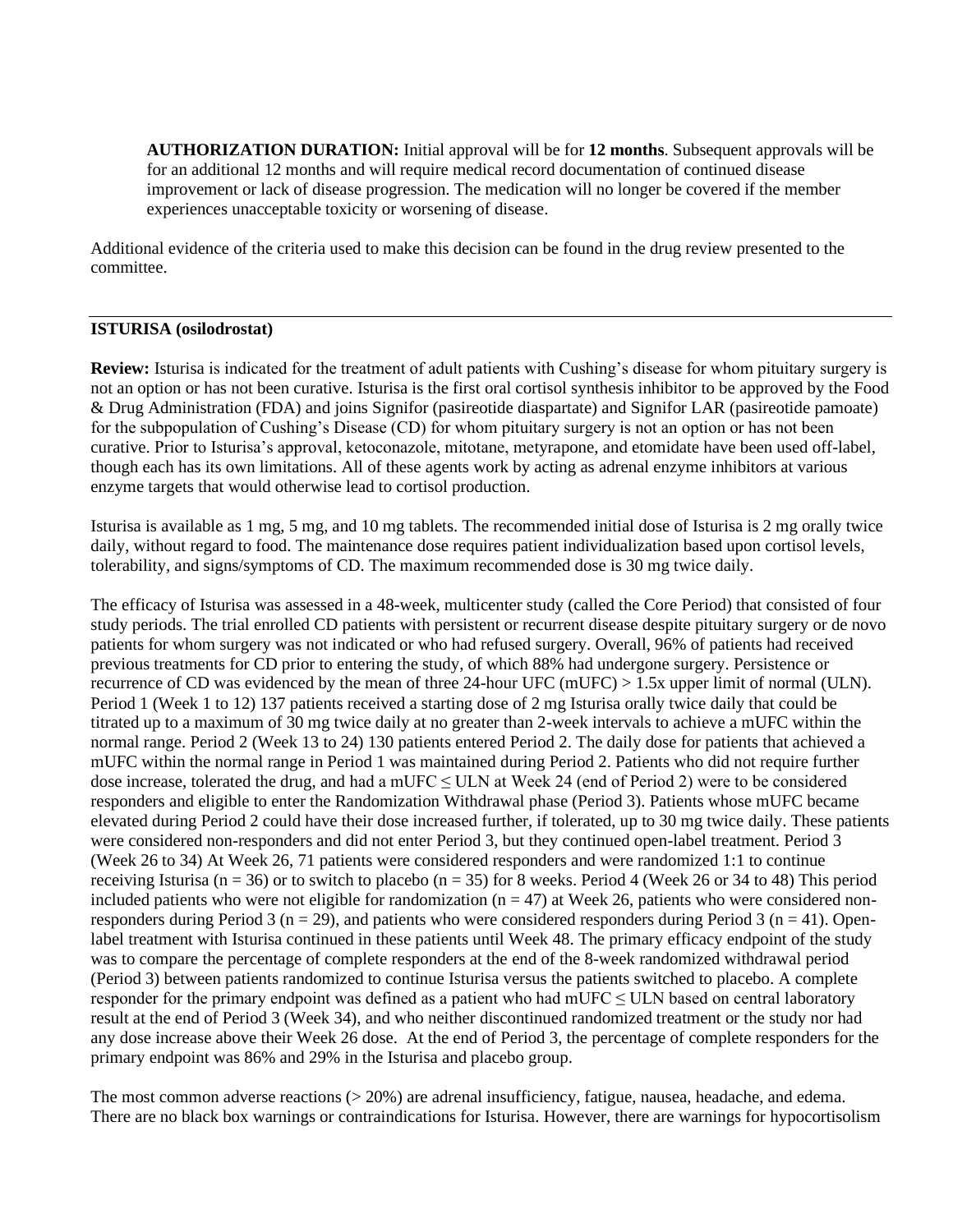**AUTHORIZATION DURATION:** Initial approval will be for **12 months**. Subsequent approvals will be for an additional 12 months and will require medical record documentation of continued disease improvement or lack of disease progression. The medication will no longer be covered if the member experiences unacceptable toxicity or worsening of disease.

Additional evidence of the criteria used to make this decision can be found in the drug review presented to the committee.

### **ISTURISA (osilodrostat)**

**Review:** Isturisa is indicated for the treatment of adult patients with Cushing's disease for whom pituitary surgery is not an option or has not been curative. Isturisa is the first oral cortisol synthesis inhibitor to be approved by the Food & Drug Administration (FDA) and joins Signifor (pasireotide diaspartate) and Signifor LAR (pasireotide pamoate) for the subpopulation of Cushing's Disease (CD) for whom pituitary surgery is not an option or has not been curative. Prior to Isturisa's approval, ketoconazole, mitotane, metyrapone, and etomidate have been used off-label, though each has its own limitations. All of these agents work by acting as adrenal enzyme inhibitors at various enzyme targets that would otherwise lead to cortisol production.

Isturisa is available as 1 mg, 5 mg, and 10 mg tablets. The recommended initial dose of Isturisa is 2 mg orally twice daily, without regard to food. The maintenance dose requires patient individualization based upon cortisol levels, tolerability, and signs/symptoms of CD. The maximum recommended dose is 30 mg twice daily.

The efficacy of Isturisa was assessed in a 48-week, multicenter study (called the Core Period) that consisted of four study periods. The trial enrolled CD patients with persistent or recurrent disease despite pituitary surgery or de novo patients for whom surgery was not indicated or who had refused surgery. Overall, 96% of patients had received previous treatments for CD prior to entering the study, of which 88% had undergone surgery. Persistence or recurrence of CD was evidenced by the mean of three 24-hour UFC (mUFC) > 1.5x upper limit of normal (ULN). Period 1 (Week 1 to 12) 137 patients received a starting dose of 2 mg Isturisa orally twice daily that could be titrated up to a maximum of 30 mg twice daily at no greater than 2-week intervals to achieve a mUFC within the normal range. Period 2 (Week 13 to 24) 130 patients entered Period 2. The daily dose for patients that achieved a mUFC within the normal range in Period 1 was maintained during Period 2. Patients who did not require further dose increase, tolerated the drug, and had a mUFC  $\leq$  ULN at Week 24 (end of Period 2) were to be considered responders and eligible to enter the Randomization Withdrawal phase (Period 3). Patients whose mUFC became elevated during Period 2 could have their dose increased further, if tolerated, up to 30 mg twice daily. These patients were considered non-responders and did not enter Period 3, but they continued open-label treatment. Period 3 (Week 26 to 34) At Week 26, 71 patients were considered responders and were randomized 1:1 to continue receiving Isturisa (n = 36) or to switch to placebo (n = 35) for 8 weeks. Period 4 (Week 26 or 34 to 48) This period included patients who were not eligible for randomization  $(n = 47)$  at Week 26, patients who were considered nonresponders during Period 3 ( $n = 29$ ), and patients who were considered responders during Period 3 ( $n = 41$ ). Openlabel treatment with Isturisa continued in these patients until Week 48. The primary efficacy endpoint of the study was to compare the percentage of complete responders at the end of the 8-week randomized withdrawal period (Period 3) between patients randomized to continue Isturisa versus the patients switched to placebo. A complete responder for the primary endpoint was defined as a patient who had mUFC ≤ ULN based on central laboratory result at the end of Period 3 (Week 34), and who neither discontinued randomized treatment or the study nor had any dose increase above their Week 26 dose. At the end of Period 3, the percentage of complete responders for the primary endpoint was 86% and 29% in the Isturisa and placebo group.

The most common adverse reactions (> 20%) are adrenal insufficiency, fatigue, nausea, headache, and edema. There are no black box warnings or contraindications for Isturisa. However, there are warnings for hypocortisolism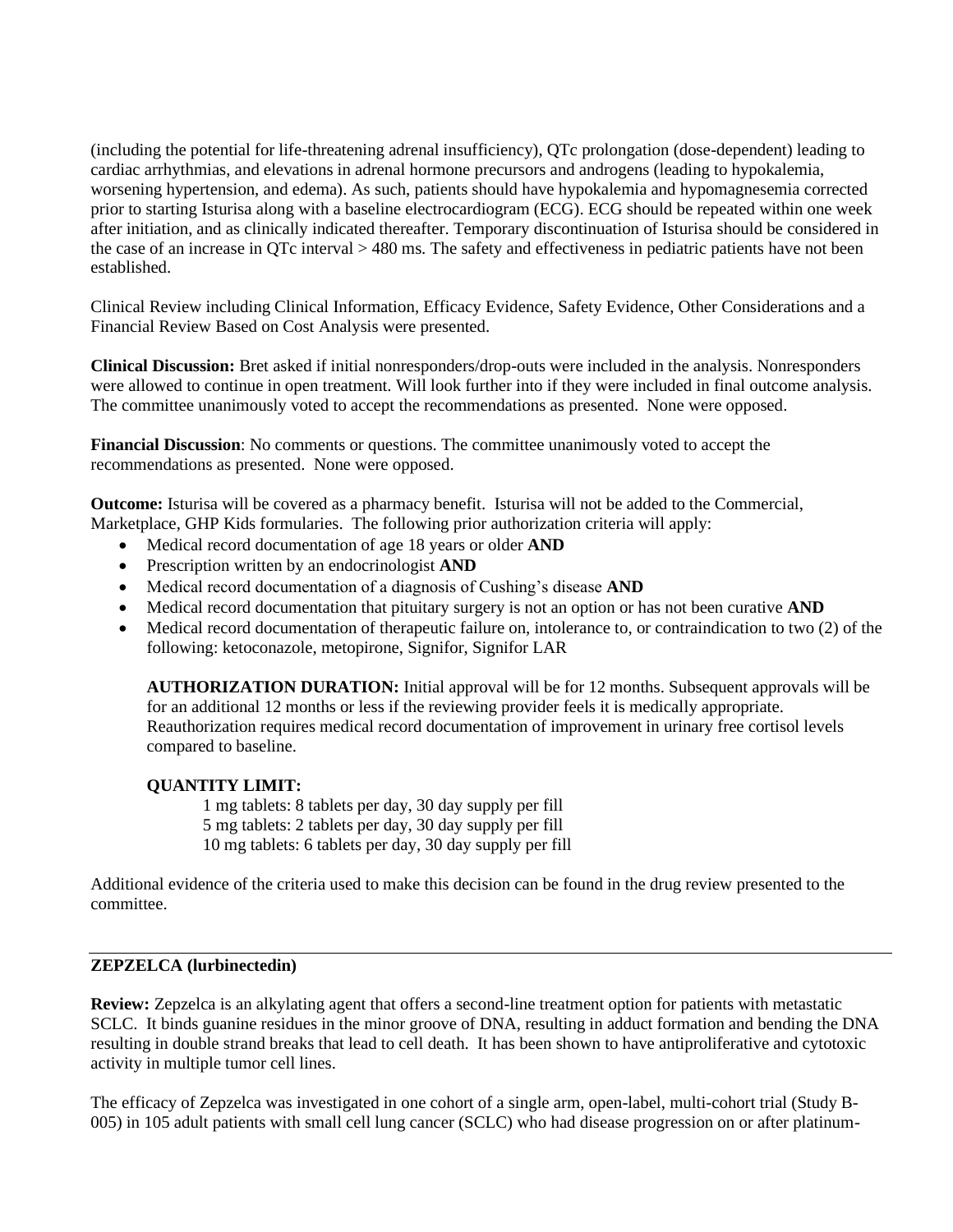(including the potential for life-threatening adrenal insufficiency), QTc prolongation (dose-dependent) leading to cardiac arrhythmias, and elevations in adrenal hormone precursors and androgens (leading to hypokalemia, worsening hypertension, and edema). As such, patients should have hypokalemia and hypomagnesemia corrected prior to starting Isturisa along with a baseline electrocardiogram (ECG). ECG should be repeated within one week after initiation, and as clinically indicated thereafter. Temporary discontinuation of Isturisa should be considered in the case of an increase in QTc interval > 480 ms. The safety and effectiveness in pediatric patients have not been established.

Clinical Review including Clinical Information, Efficacy Evidence, Safety Evidence, Other Considerations and a Financial Review Based on Cost Analysis were presented.

**Clinical Discussion:** Bret asked if initial nonresponders/drop-outs were included in the analysis. Nonresponders were allowed to continue in open treatment. Will look further into if they were included in final outcome analysis. The committee unanimously voted to accept the recommendations as presented. None were opposed.

**Financial Discussion**: No comments or questions. The committee unanimously voted to accept the recommendations as presented. None were opposed.

**Outcome:** Isturisa will be covered as a pharmacy benefit. Isturisa will not be added to the Commercial, Marketplace, GHP Kids formularies. The following prior authorization criteria will apply:

- Medical record documentation of age 18 years or older **AND**
- Prescription written by an endocrinologist **AND**
- Medical record documentation of a diagnosis of Cushing's disease **AND**
- Medical record documentation that pituitary surgery is not an option or has not been curative **AND**
- Medical record documentation of therapeutic failure on, intolerance to, or contraindication to two (2) of the following: ketoconazole, metopirone, Signifor, Signifor LAR

**AUTHORIZATION DURATION:** Initial approval will be for 12 months. Subsequent approvals will be for an additional 12 months or less if the reviewing provider feels it is medically appropriate. Reauthorization requires medical record documentation of improvement in urinary free cortisol levels compared to baseline.

### **QUANTITY LIMIT:**

1 mg tablets: 8 tablets per day, 30 day supply per fill 5 mg tablets: 2 tablets per day, 30 day supply per fill 10 mg tablets: 6 tablets per day, 30 day supply per fill

Additional evidence of the criteria used to make this decision can be found in the drug review presented to the committee.

### **ZEPZELCA (lurbinectedin)**

**Review:** Zepzelca is an alkylating agent that offers a second-line treatment option for patients with metastatic SCLC. It binds guanine residues in the minor groove of DNA, resulting in adduct formation and bending the DNA resulting in double strand breaks that lead to cell death. It has been shown to have antiproliferative and cytotoxic activity in multiple tumor cell lines.

The efficacy of Zepzelca was investigated in one cohort of a single arm, open-label, multi-cohort trial (Study B-005) in 105 adult patients with small cell lung cancer (SCLC) who had disease progression on or after platinum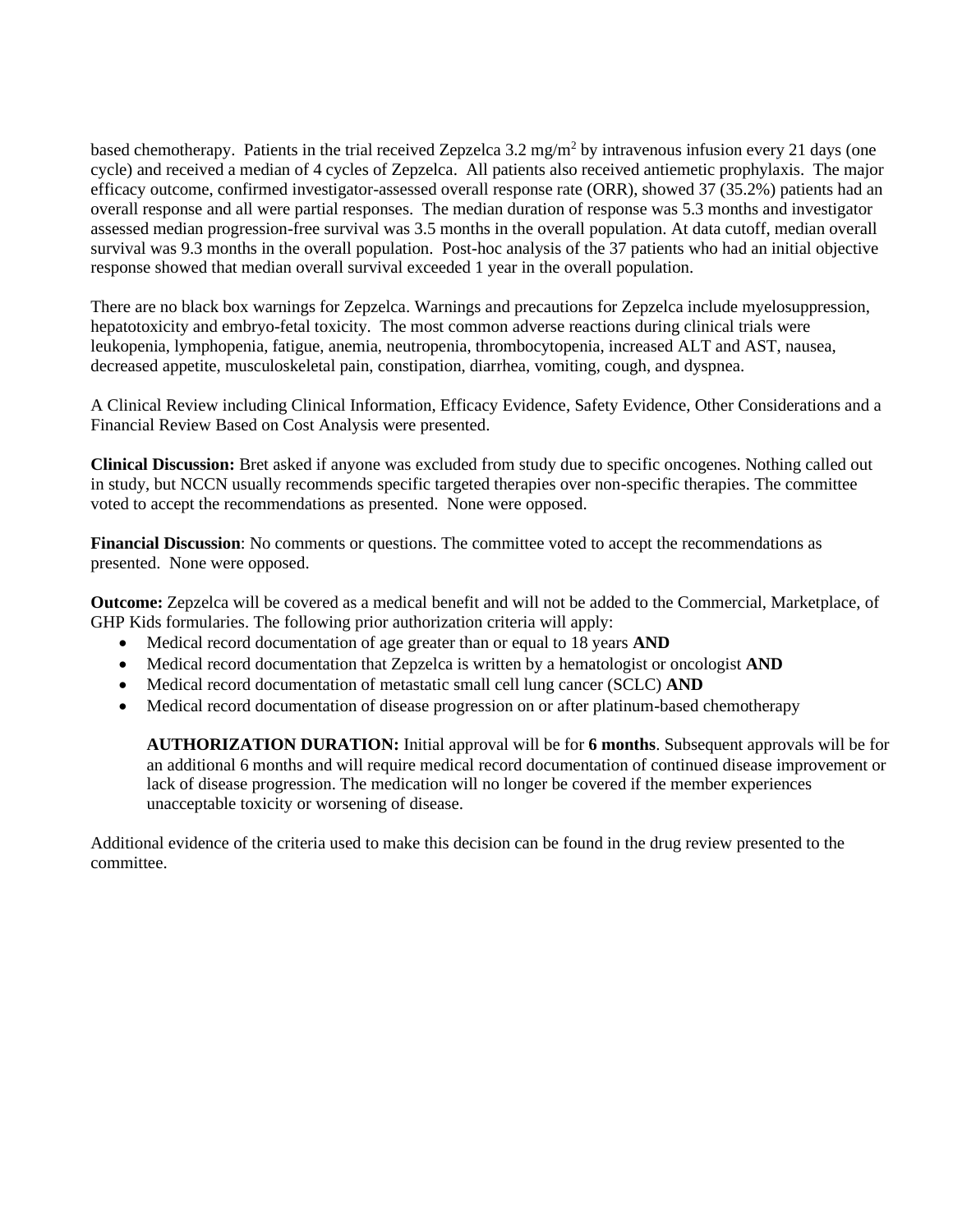based chemotherapy. Patients in the trial received Zepzelca  $3.2 \text{ mg/m}^2$  by intravenous infusion every 21 days (one cycle) and received a median of 4 cycles of Zepzelca. All patients also received antiemetic prophylaxis. The major efficacy outcome, confirmed investigator-assessed overall response rate (ORR), showed 37 (35.2%) patients had an overall response and all were partial responses. The median duration of response was 5.3 months and investigator assessed median progression-free survival was 3.5 months in the overall population. At data cutoff, median overall survival was 9.3 months in the overall population. Post-hoc analysis of the 37 patients who had an initial objective response showed that median overall survival exceeded 1 year in the overall population.

There are no black box warnings for Zepzelca. Warnings and precautions for Zepzelca include myelosuppression, hepatotoxicity and embryo-fetal toxicity. The most common adverse reactions during clinical trials were leukopenia, lymphopenia, fatigue, anemia, neutropenia, thrombocytopenia, increased ALT and AST, nausea, decreased appetite, musculoskeletal pain, constipation, diarrhea, vomiting, cough, and dyspnea.

A Clinical Review including Clinical Information, Efficacy Evidence, Safety Evidence, Other Considerations and a Financial Review Based on Cost Analysis were presented.

**Clinical Discussion:** Bret asked if anyone was excluded from study due to specific oncogenes. Nothing called out in study, but NCCN usually recommends specific targeted therapies over non-specific therapies. The committee voted to accept the recommendations as presented. None were opposed.

**Financial Discussion**: No comments or questions. The committee voted to accept the recommendations as presented. None were opposed.

**Outcome:** Zepzelca will be covered as a medical benefit and will not be added to the Commercial, Marketplace, of GHP Kids formularies. The following prior authorization criteria will apply:

- Medical record documentation of age greater than or equal to 18 years **AND**
- Medical record documentation that Zepzelca is written by a hematologist or oncologist **AND**
- Medical record documentation of metastatic small cell lung cancer (SCLC) **AND**
- Medical record documentation of disease progression on or after platinum-based chemotherapy

**AUTHORIZATION DURATION:** Initial approval will be for **6 months**. Subsequent approvals will be for an additional 6 months and will require medical record documentation of continued disease improvement or lack of disease progression. The medication will no longer be covered if the member experiences unacceptable toxicity or worsening of disease.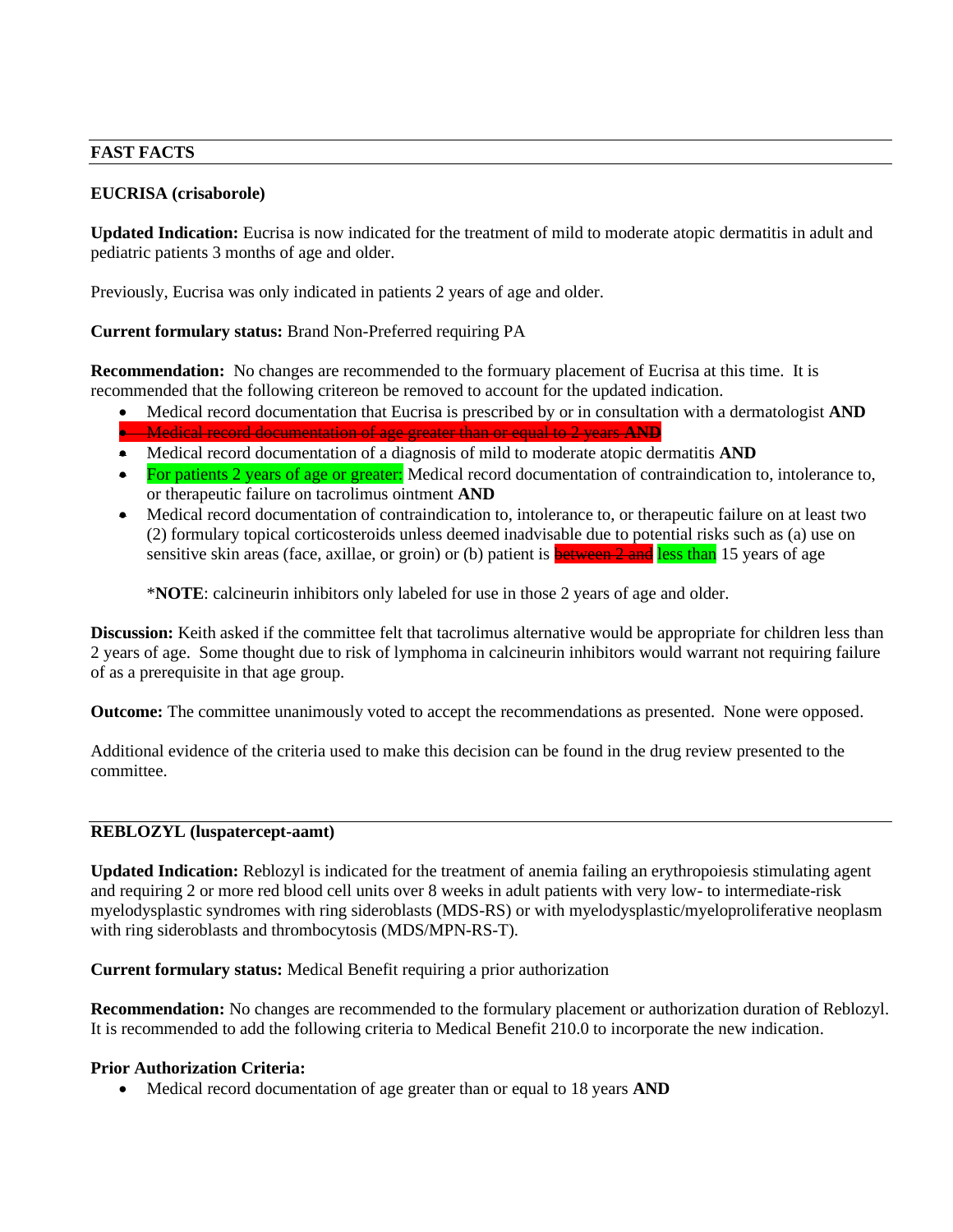### **FAST FACTS**

## **EUCRISA (crisaborole)**

**Updated Indication:** Eucrisa is now indicated for the treatment of mild to moderate atopic dermatitis in adult and pediatric patients 3 months of age and older.

Previously, Eucrisa was only indicated in patients 2 years of age and older.

## **Current formulary status:** Brand Non-Preferred requiring PA

**Recommendation:** No changes are recommended to the formuary placement of Eucrisa at this time. It is recommended that the following critereon be removed to account for the updated indication.

- Medical record documentation that Eucrisa is prescribed by or in consultation with a dermatologist **AND**
- Medical record documentation of age greater than or equal to 2 years **AND**
- Medical record documentation of a diagnosis of mild to moderate atopic dermatitis **AND**
- For patients 2 years of age or greater: Medical record documentation of contraindication to, intolerance to, or therapeutic failure on tacrolimus ointment **AND**
- Medical record documentation of contraindication to, intolerance to, or therapeutic failure on at least two (2) formulary topical corticosteroids unless deemed inadvisable due to potential risks such as (a) use on sensitive skin areas (face, axillae, or groin) or (b) patient is **between 2 and less than** 15 years of age

\***NOTE**: calcineurin inhibitors only labeled for use in those 2 years of age and older.

**Discussion:** Keith asked if the committee felt that tacrolimus alternative would be appropriate for children less than 2 years of age. Some thought due to risk of lymphoma in calcineurin inhibitors would warrant not requiring failure of as a prerequisite in that age group.

**Outcome:** The committee unanimously voted to accept the recommendations as presented. None were opposed.

Additional evidence of the criteria used to make this decision can be found in the drug review presented to the committee.

### **REBLOZYL (luspatercept-aamt)**

**Updated Indication:** Reblozyl is indicated for the treatment of anemia failing an erythropoiesis stimulating agent and requiring 2 or more red blood cell units over 8 weeks in adult patients with very low- to intermediate-risk myelodysplastic syndromes with ring sideroblasts (MDS-RS) or with myelodysplastic/myeloproliferative neoplasm with ring sideroblasts and thrombocytosis (MDS/MPN-RS-T).

**Current formulary status:** Medical Benefit requiring a prior authorization

**Recommendation:** No changes are recommended to the formulary placement or authorization duration of Reblozyl. It is recommended to add the following criteria to Medical Benefit 210.0 to incorporate the new indication.

### **Prior Authorization Criteria:**

• Medical record documentation of age greater than or equal to 18 years **AND**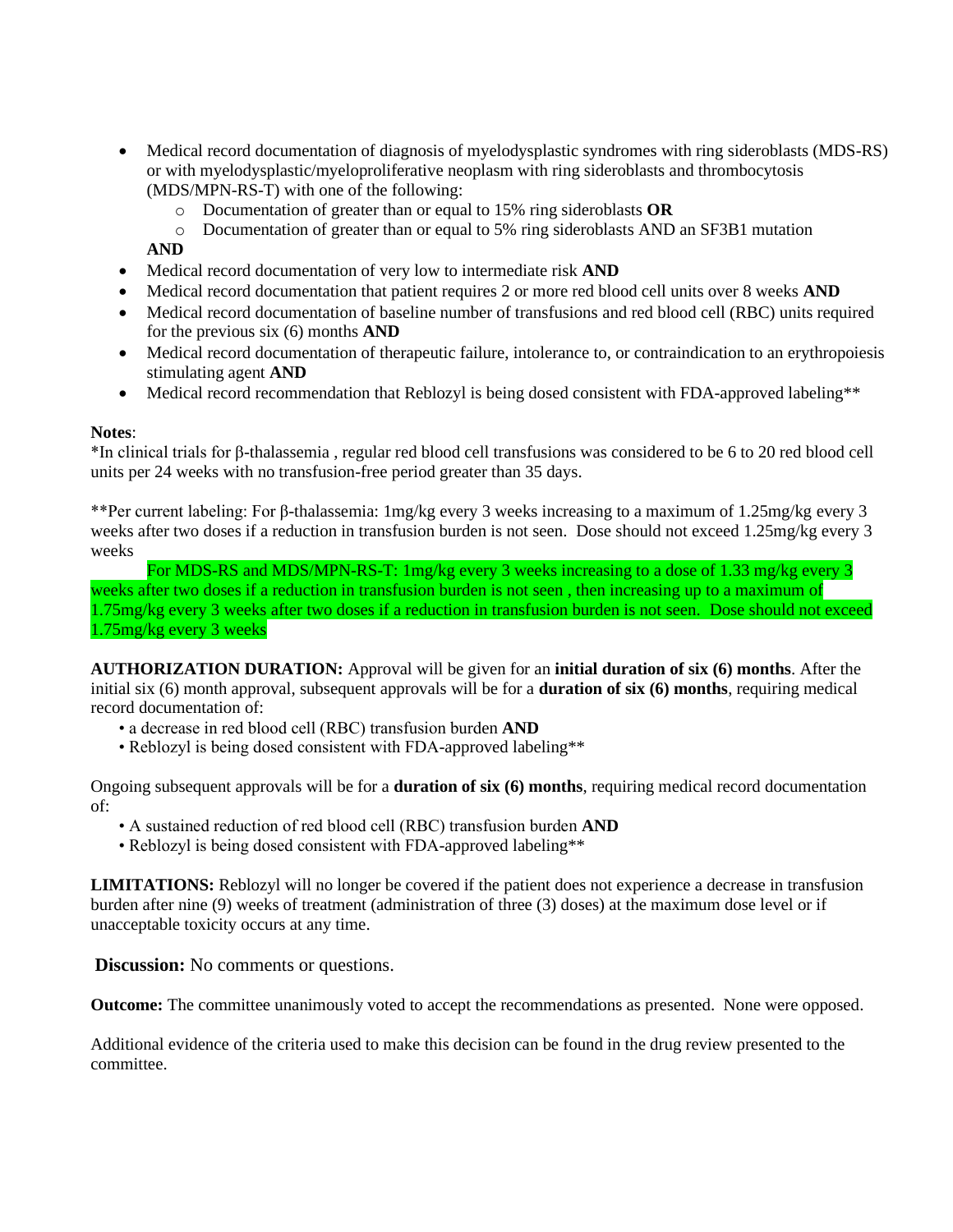- Medical record documentation of diagnosis of myelodysplastic syndromes with ring sideroblasts (MDS-RS) or with myelodysplastic/myeloproliferative neoplasm with ring sideroblasts and thrombocytosis (MDS/MPN-RS-T) with one of the following:
	- o Documentation of greater than or equal to 15% ring sideroblasts **OR**
	- o Documentation of greater than or equal to 5% ring sideroblasts AND an SF3B1 mutation
	- **AND**
- Medical record documentation of very low to intermediate risk **AND**
- Medical record documentation that patient requires 2 or more red blood cell units over 8 weeks **AND**
- Medical record documentation of baseline number of transfusions and red blood cell (RBC) units required for the previous six (6) months **AND**
- Medical record documentation of therapeutic failure, intolerance to, or contraindication to an erythropoiesis stimulating agent **AND**
- Medical record recommendation that Reblozyl is being dosed consistent with FDA-approved labeling\*\*

### **Notes**:

\*In clinical trials for β-thalassemia , regular red blood cell transfusions was considered to be 6 to 20 red blood cell units per 24 weeks with no transfusion-free period greater than 35 days.

\*\*Per current labeling: For β-thalassemia: 1mg/kg every 3 weeks increasing to a maximum of 1.25mg/kg every 3 weeks after two doses if a reduction in transfusion burden is not seen. Dose should not exceed 1.25mg/kg every 3 weeks

For MDS-RS and MDS/MPN-RS-T: 1mg/kg every 3 weeks increasing to a dose of 1.33 mg/kg every 3 weeks after two doses if a reduction in transfusion burden is not seen , then increasing up to a maximum of 1.75mg/kg every 3 weeks after two doses if a reduction in transfusion burden is not seen. Dose should not exceed 1.75mg/kg every 3 weeks

**AUTHORIZATION DURATION:** Approval will be given for an **initial duration of six (6) months**. After the initial six (6) month approval, subsequent approvals will be for a **duration of six (6) months**, requiring medical record documentation of:

- a decrease in red blood cell (RBC) transfusion burden **AND**
- Reblozyl is being dosed consistent with FDA-approved labeling\*\*

Ongoing subsequent approvals will be for a **duration of six (6) months**, requiring medical record documentation of:

- A sustained reduction of red blood cell (RBC) transfusion burden **AND**
- Reblozyl is being dosed consistent with FDA-approved labeling\*\*

**LIMITATIONS:** Reblozyl will no longer be covered if the patient does not experience a decrease in transfusion burden after nine (9) weeks of treatment (administration of three (3) doses) at the maximum dose level or if unacceptable toxicity occurs at any time.

**Discussion:** No comments or questions.

**Outcome:** The committee unanimously voted to accept the recommendations as presented. None were opposed.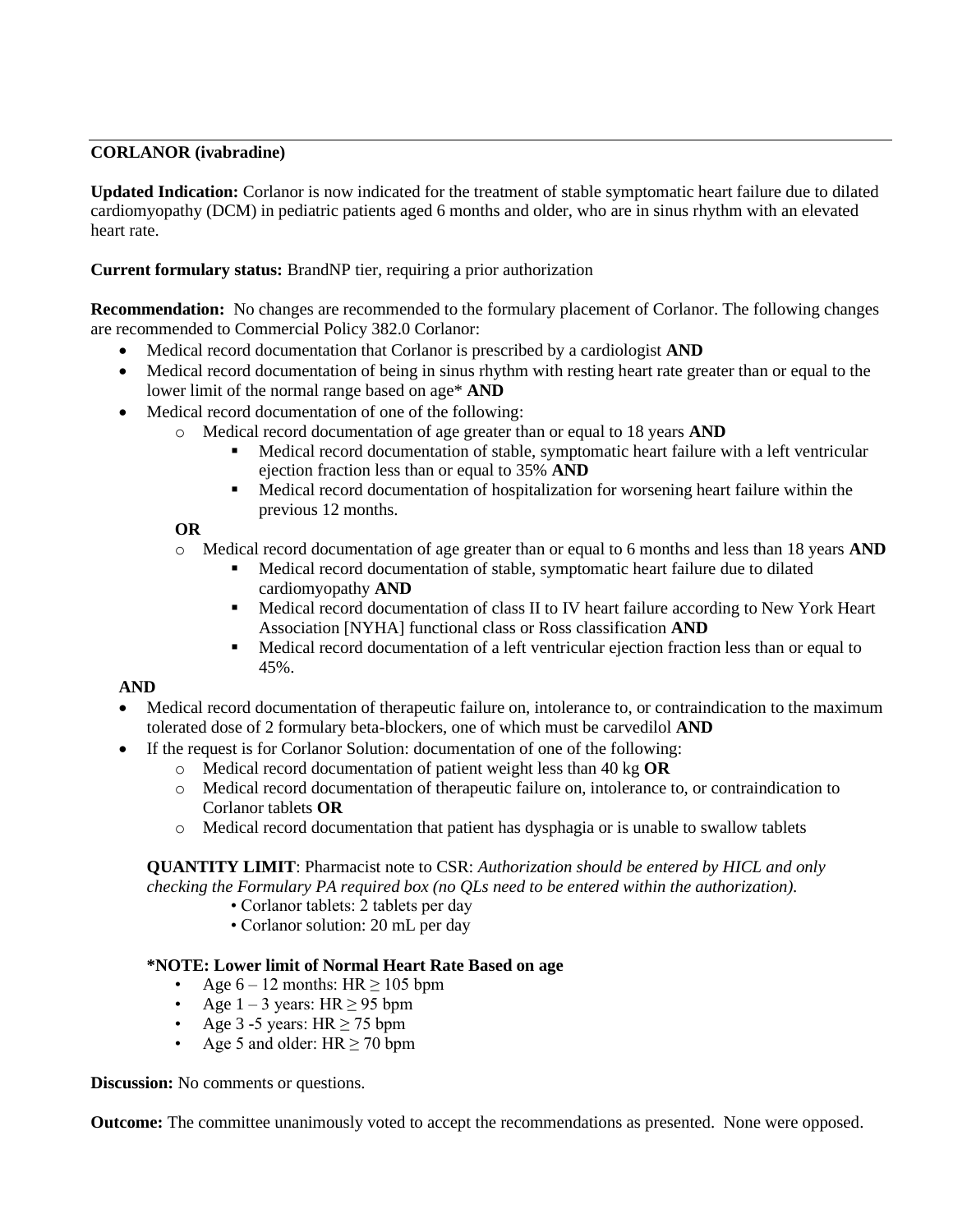## **CORLANOR (ivabradine)**

**Updated Indication:** Corlanor is now indicated for the treatment of stable symptomatic heart failure due to dilated cardiomyopathy (DCM) in pediatric patients aged 6 months and older, who are in sinus rhythm with an elevated heart rate.

## **Current formulary status:** BrandNP tier, requiring a prior authorization

**Recommendation:** No changes are recommended to the formulary placement of Corlanor. The following changes are recommended to Commercial Policy 382.0 Corlanor:

- Medical record documentation that Corlanor is prescribed by a cardiologist **AND**
- Medical record documentation of being in sinus rhythm with resting heart rate greater than or equal to the lower limit of the normal range based on age\* **AND**
- Medical record documentation of one of the following:
	- o Medical record documentation of age greater than or equal to 18 years **AND**
		- Medical record documentation of stable, symptomatic heart failure with a left ventricular ejection fraction less than or equal to 35% **AND**
		- Medical record documentation of hospitalization for worsening heart failure within the previous 12 months.

## **OR**

## o Medical record documentation of age greater than or equal to 6 months and less than 18 years **AND**

- Medical record documentation of stable, symptomatic heart failure due to dilated cardiomyopathy **AND**
- Medical record documentation of class II to IV heart failure according to New York Heart Association [NYHA] functional class or Ross classification **AND**
- Medical record documentation of a left ventricular ejection fraction less than or equal to 45%.

## **AND**

- Medical record documentation of therapeutic failure on, intolerance to, or contraindication to the maximum tolerated dose of 2 formulary beta-blockers, one of which must be carvedilol **AND**
- If the request is for Corlanor Solution: documentation of one of the following:
	- o Medical record documentation of patient weight less than 40 kg **OR**
	- o Medical record documentation of therapeutic failure on, intolerance to, or contraindication to Corlanor tablets **OR**
	- o Medical record documentation that patient has dysphagia or is unable to swallow tablets

## **QUANTITY LIMIT**: Pharmacist note to CSR: *Authorization should be entered by HICL and only checking the Formulary PA required box (no QLs need to be entered within the authorization).*

- Corlanor tablets: 2 tablets per day
- Corlanor solution: 20 mL per day

### **\*NOTE: Lower limit of Normal Heart Rate Based on age**

- Age  $6 12$  months: HR  $\geq 105$  bpm
- Age  $1 3$  years: HR  $\geq$  95 bpm
- Age 3 -5 years:  $HR \ge 75$  bpm
- Age 5 and older:  $HR \ge 70$  bpm

**Discussion:** No comments or questions.

**Outcome:** The committee unanimously voted to accept the recommendations as presented. None were opposed.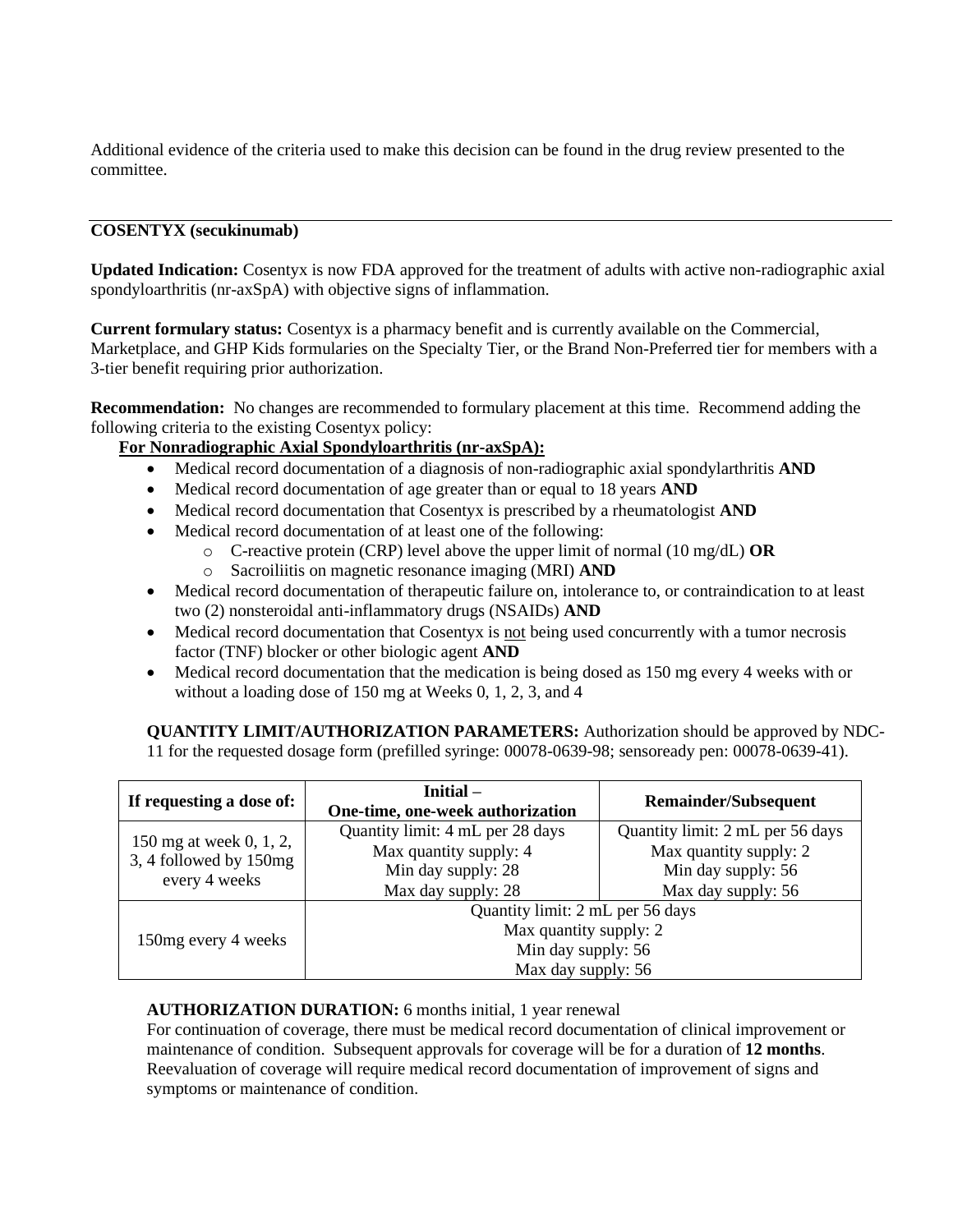Additional evidence of the criteria used to make this decision can be found in the drug review presented to the committee.

## **COSENTYX (secukinumab)**

**Updated Indication:** Cosentyx is now FDA approved for the treatment of adults with active non-radiographic axial spondyloarthritis (nr-axSpA) with objective signs of inflammation.

**Current formulary status:** Cosentyx is a pharmacy benefit and is currently available on the Commercial, Marketplace, and GHP Kids formularies on the Specialty Tier, or the Brand Non-Preferred tier for members with a 3-tier benefit requiring prior authorization.

**Recommendation:** No changes are recommended to formulary placement at this time. Recommend adding the following criteria to the existing Cosentyx policy:

## **For Nonradiographic Axial Spondyloarthritis (nr-axSpA):**

- Medical record documentation of a diagnosis of non-radiographic axial spondylarthritis **AND**
- Medical record documentation of age greater than or equal to 18 years **AND**
- Medical record documentation that Cosentyx is prescribed by a rheumatologist **AND**
- Medical record documentation of at least one of the following:
	- o C-reactive protein (CRP) level above the upper limit of normal (10 mg/dL) **OR**
	- o Sacroiliitis on magnetic resonance imaging (MRI) **AND**
- Medical record documentation of therapeutic failure on, intolerance to, or contraindication to at least two (2) nonsteroidal anti-inflammatory drugs (NSAIDs) **AND**
- Medical record documentation that Cosenty is not being used concurrently with a tumor necrosis factor (TNF) blocker or other biologic agent **AND**
- Medical record documentation that the medication is being dosed as 150 mg every 4 weeks with or without a loading dose of 150 mg at Weeks 0, 1, 2, 3, and 4

**QUANTITY LIMIT/AUTHORIZATION PARAMETERS:** Authorization should be approved by NDC-11 for the requested dosage form (prefilled syringe: 00078-0639-98; sensoready pen: 00078-0639-41).

| If requesting a dose of: | Initial –<br>One-time, one-week authorization | <b>Remainder/Subsequent</b>      |  |
|--------------------------|-----------------------------------------------|----------------------------------|--|
| 150 mg at week 0, 1, 2,  | Quantity limit: 4 mL per 28 days              | Quantity limit: 2 mL per 56 days |  |
| 3, 4 followed by 150mg   | Max quantity supply: 4                        | Max quantity supply: 2           |  |
|                          | Min day supply: 28                            | Min day supply: 56               |  |
| every 4 weeks            | Max day supply: 28                            | Max day supply: 56               |  |
|                          | Quantity limit: 2 mL per 56 days              |                                  |  |
|                          | Max quantity supply: 2                        |                                  |  |
| 150 mg every 4 weeks     | Min day supply: 56                            |                                  |  |
|                          | Max day supply: 56                            |                                  |  |

### **AUTHORIZATION DURATION:** 6 months initial, 1 year renewal

For continuation of coverage, there must be medical record documentation of clinical improvement or maintenance of condition. Subsequent approvals for coverage will be for a duration of **12 months**. Reevaluation of coverage will require medical record documentation of improvement of signs and symptoms or maintenance of condition.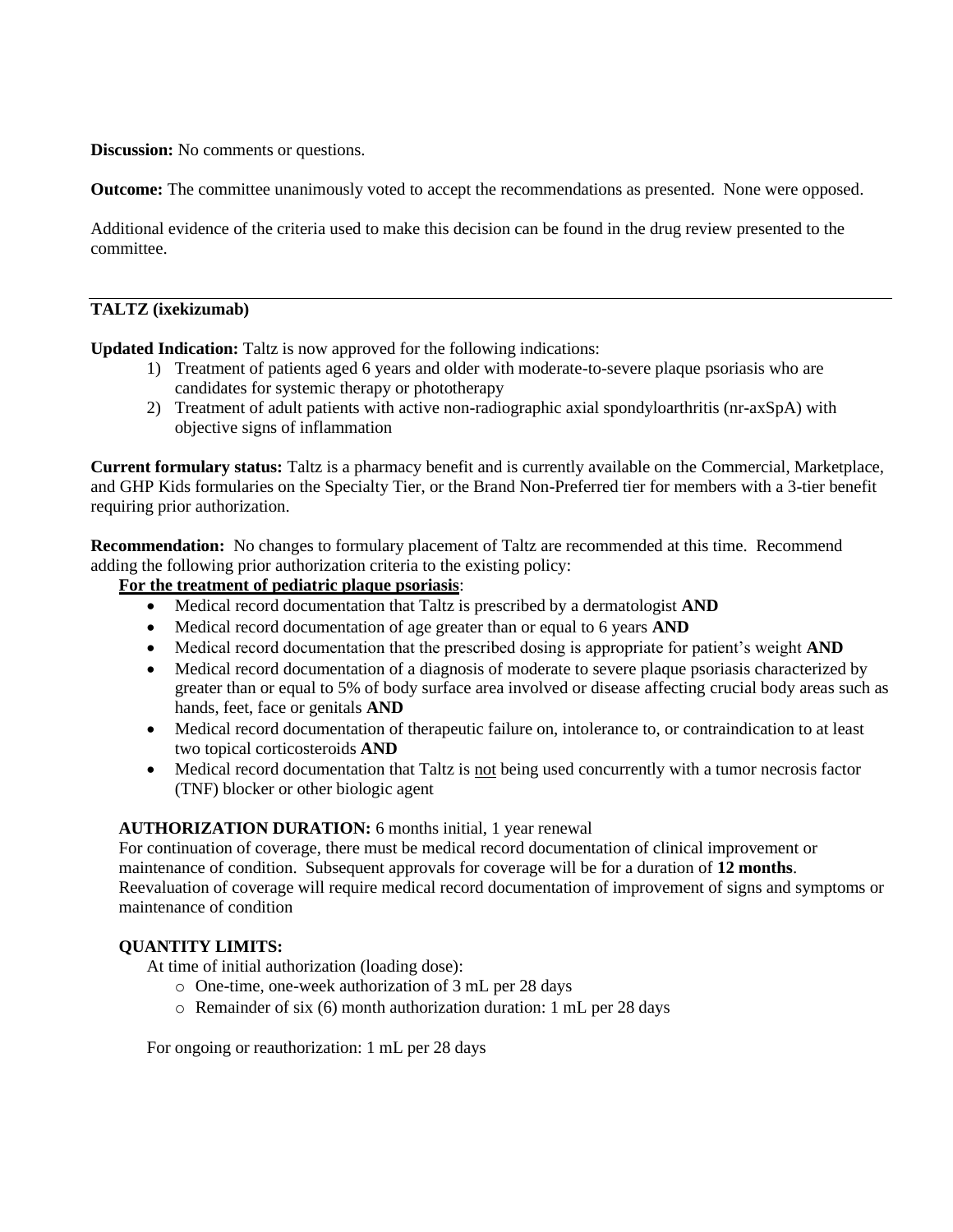**Discussion:** No comments or questions.

**Outcome:** The committee unanimously voted to accept the recommendations as presented. None were opposed.

Additional evidence of the criteria used to make this decision can be found in the drug review presented to the committee.

### **TALTZ (ixekizumab)**

**Updated Indication:** Taltz is now approved for the following indications:

- 1) Treatment of patients aged 6 years and older with moderate-to-severe plaque psoriasis who are candidates for systemic therapy or phototherapy
- 2) Treatment of adult patients with active non-radiographic axial spondyloarthritis (nr-axSpA) with objective signs of inflammation

**Current formulary status:** Taltz is a pharmacy benefit and is currently available on the Commercial, Marketplace, and GHP Kids formularies on the Specialty Tier, or the Brand Non-Preferred tier for members with a 3-tier benefit requiring prior authorization.

**Recommendation:** No changes to formulary placement of Taltz are recommended at this time. Recommend adding the following prior authorization criteria to the existing policy:

# **For the treatment of pediatric plaque psoriasis**:

- Medical record documentation that Taltz is prescribed by a dermatologist **AND**
- Medical record documentation of age greater than or equal to 6 years **AND**
- Medical record documentation that the prescribed dosing is appropriate for patient's weight **AND**
- Medical record documentation of a diagnosis of moderate to severe plaque psoriasis characterized by greater than or equal to 5% of body surface area involved or disease affecting crucial body areas such as hands, feet, face or genitals **AND**
- Medical record documentation of therapeutic failure on, intolerance to, or contraindication to at least two topical corticosteroids **AND**
- Medical record documentation that Taltz is not being used concurrently with a tumor necrosis factor (TNF) blocker or other biologic agent

### **AUTHORIZATION DURATION:** 6 months initial, 1 year renewal

For continuation of coverage, there must be medical record documentation of clinical improvement or maintenance of condition. Subsequent approvals for coverage will be for a duration of **12 months**. Reevaluation of coverage will require medical record documentation of improvement of signs and symptoms or maintenance of condition

### **QUANTITY LIMITS:**

At time of initial authorization (loading dose):

- o One-time, one-week authorization of 3 mL per 28 days
- o Remainder of six (6) month authorization duration: 1 mL per 28 days

For ongoing or reauthorization: 1 mL per 28 days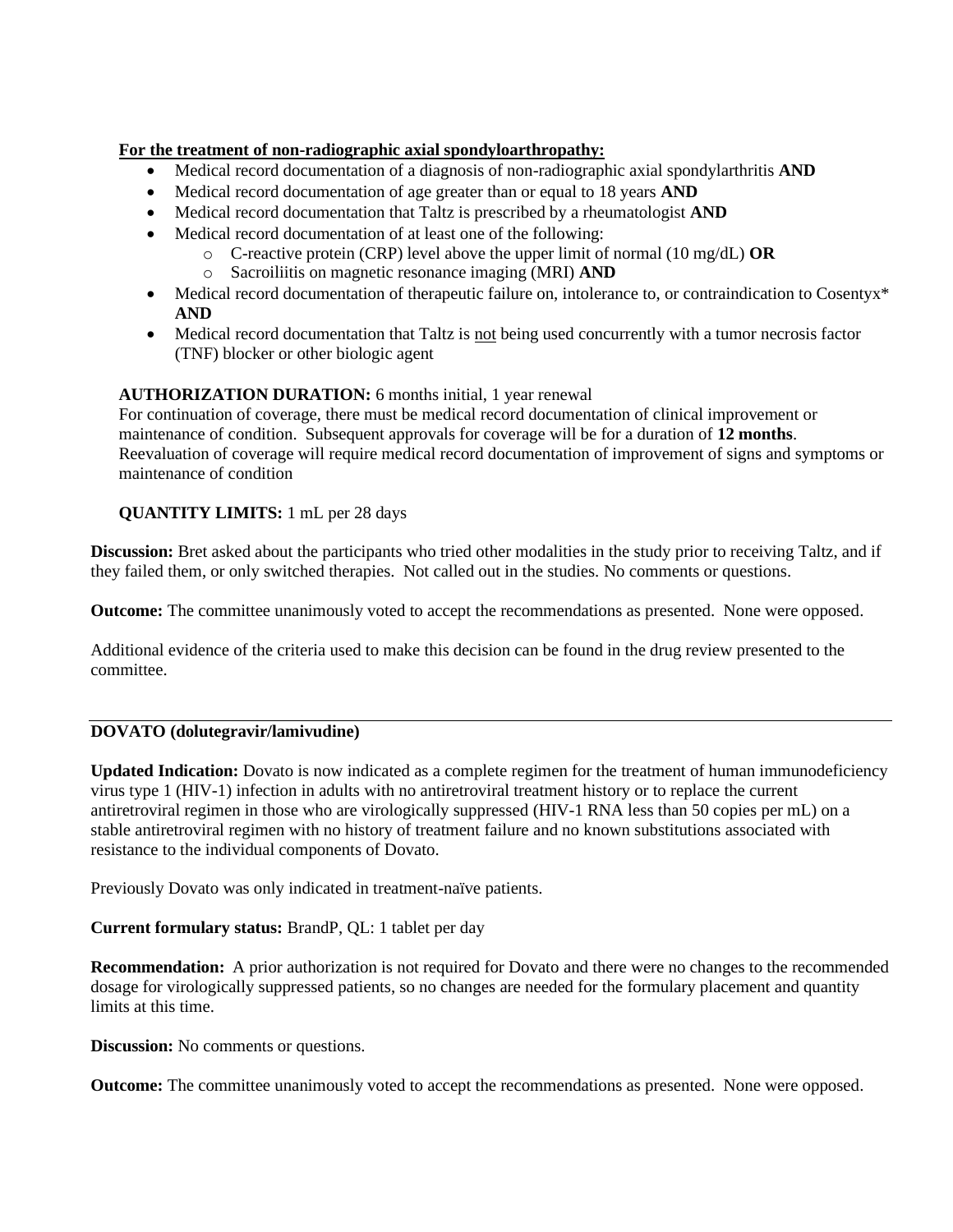## **For the treatment of non-radiographic axial spondyloarthropathy:**

- Medical record documentation of a diagnosis of non-radiographic axial spondylarthritis **AND**
- Medical record documentation of age greater than or equal to 18 years **AND**
- Medical record documentation that Taltz is prescribed by a rheumatologist **AND**
- Medical record documentation of at least one of the following:
	- o C-reactive protein (CRP) level above the upper limit of normal (10 mg/dL) **OR**
		- o Sacroiliitis on magnetic resonance imaging (MRI) **AND**
- Medical record documentation of therapeutic failure on, intolerance to, or contraindication to Cosentyx<sup>\*</sup> **AND**
- Medical record documentation that Taltz is not being used concurrently with a tumor necrosis factor (TNF) blocker or other biologic agent

# **AUTHORIZATION DURATION:** 6 months initial, 1 year renewal

For continuation of coverage, there must be medical record documentation of clinical improvement or maintenance of condition. Subsequent approvals for coverage will be for a duration of **12 months**. Reevaluation of coverage will require medical record documentation of improvement of signs and symptoms or maintenance of condition

## **QUANTITY LIMITS:** 1 mL per 28 days

**Discussion:** Bret asked about the participants who tried other modalities in the study prior to receiving Taltz, and if they failed them, or only switched therapies. Not called out in the studies. No comments or questions.

**Outcome:** The committee unanimously voted to accept the recommendations as presented. None were opposed.

Additional evidence of the criteria used to make this decision can be found in the drug review presented to the committee.

# **DOVATO (dolutegravir/lamivudine)**

**Updated Indication:** Dovato is now indicated as a complete regimen for the treatment of human immunodeficiency virus type 1 (HIV-1) infection in adults with no antiretroviral treatment history or to replace the current antiretroviral regimen in those who are virologically suppressed (HIV-1 RNA less than 50 copies per mL) on a stable antiretroviral regimen with no history of treatment failure and no known substitutions associated with resistance to the individual components of Dovato.

Previously Dovato was only indicated in treatment-naïve patients.

**Current formulary status:** BrandP, QL: 1 tablet per day

**Recommendation:** A prior authorization is not required for Dovato and there were no changes to the recommended dosage for virologically suppressed patients, so no changes are needed for the formulary placement and quantity limits at this time.

**Discussion:** No comments or questions.

**Outcome:** The committee unanimously voted to accept the recommendations as presented. None were opposed.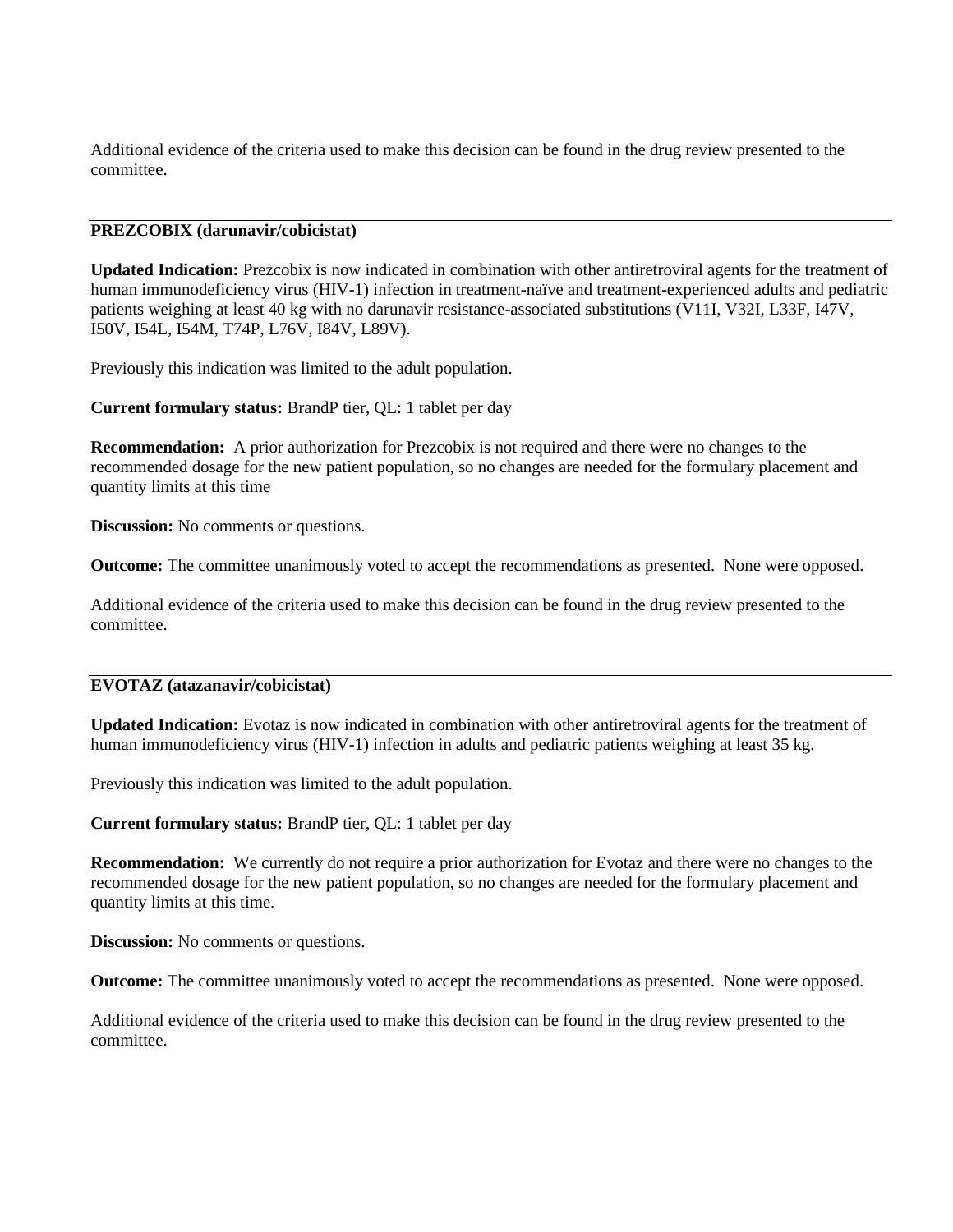Additional evidence of the criteria used to make this decision can be found in the drug review presented to the committee.

#### **PREZCOBIX (darunavir/cobicistat)**

**Updated Indication:** Prezcobix is now indicated in combination with other antiretroviral agents for the treatment of human immunodeficiency virus (HIV-1) infection in treatment-naïve and treatment-experienced adults and pediatric patients weighing at least 40 kg with no darunavir resistance-associated substitutions (V11I, V32I, L33F, I47V, I50V, I54L, I54M, T74P, L76V, I84V, L89V).

Previously this indication was limited to the adult population.

**Current formulary status:** BrandP tier, QL: 1 tablet per day

**Recommendation:** A prior authorization for Prezcobix is not required and there were no changes to the recommended dosage for the new patient population, so no changes are needed for the formulary placement and quantity limits at this time

**Discussion:** No comments or questions.

**Outcome:** The committee unanimously voted to accept the recommendations as presented. None were opposed.

Additional evidence of the criteria used to make this decision can be found in the drug review presented to the committee.

#### **EVOTAZ (atazanavir/cobicistat)**

**Updated Indication:** Evotaz is now indicated in combination with other antiretroviral agents for the treatment of human immunodeficiency virus (HIV-1) infection in adults and pediatric patients weighing at least 35 kg.

Previously this indication was limited to the adult population.

**Current formulary status:** BrandP tier, QL: 1 tablet per day

**Recommendation:** We currently do not require a prior authorization for Evotaz and there were no changes to the recommended dosage for the new patient population, so no changes are needed for the formulary placement and quantity limits at this time.

**Discussion:** No comments or questions.

**Outcome:** The committee unanimously voted to accept the recommendations as presented. None were opposed.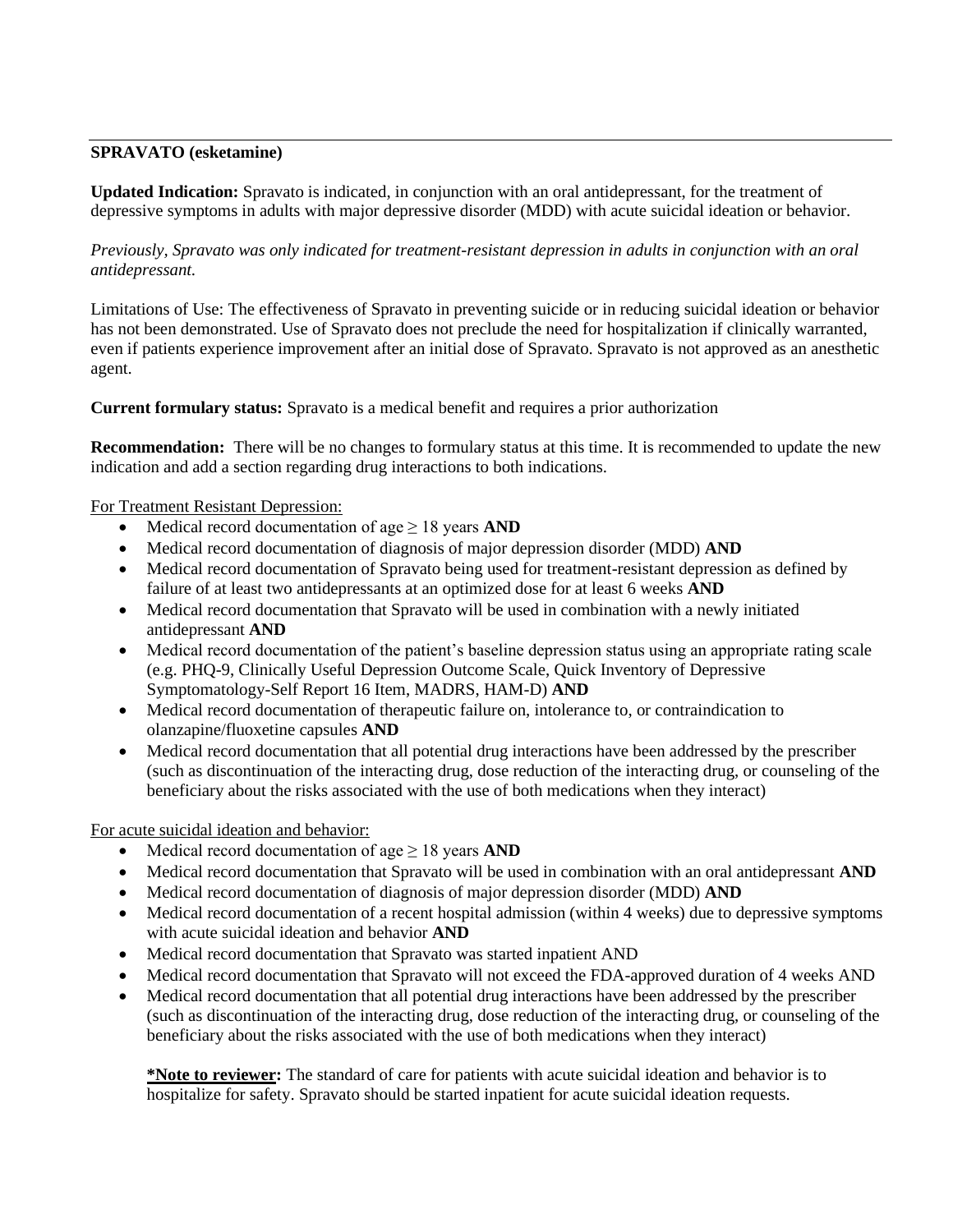## **SPRAVATO (esketamine)**

**Updated Indication:** Spravato is indicated, in conjunction with an oral antidepressant, for the treatment of depressive symptoms in adults with major depressive disorder (MDD) with acute suicidal ideation or behavior.

*Previously, Spravato was only indicated for treatment-resistant depression in adults in conjunction with an oral antidepressant.* 

Limitations of Use: The effectiveness of Spravato in preventing suicide or in reducing suicidal ideation or behavior has not been demonstrated. Use of Spravato does not preclude the need for hospitalization if clinically warranted, even if patients experience improvement after an initial dose of Spravato. Spravato is not approved as an anesthetic agent.

**Current formulary status:** Spravato is a medical benefit and requires a prior authorization

**Recommendation:** There will be no changes to formulary status at this time. It is recommended to update the new indication and add a section regarding drug interactions to both indications.

### For Treatment Resistant Depression:

- Medical record documentation of age  $\geq 18$  years **AND**
- Medical record documentation of diagnosis of major depression disorder (MDD) **AND**
- Medical record documentation of Spravato being used for treatment-resistant depression as defined by failure of at least two antidepressants at an optimized dose for at least 6 weeks **AND**
- Medical record documentation that Spravato will be used in combination with a newly initiated antidepressant **AND**
- Medical record documentation of the patient's baseline depression status using an appropriate rating scale (e.g. PHQ-9, Clinically Useful Depression Outcome Scale, Quick Inventory of Depressive Symptomatology-Self Report 16 Item, MADRS, HAM-D) **AND**
- Medical record documentation of therapeutic failure on, intolerance to, or contraindication to olanzapine/fluoxetine capsules **AND**
- Medical record documentation that all potential drug interactions have been addressed by the prescriber (such as discontinuation of the interacting drug, dose reduction of the interacting drug, or counseling of the beneficiary about the risks associated with the use of both medications when they interact)

For acute suicidal ideation and behavior:

- Medical record documentation of age  $\geq$  18 years **AND**
- Medical record documentation that Spravato will be used in combination with an oral antidepressant **AND**
- Medical record documentation of diagnosis of major depression disorder (MDD) **AND**
- Medical record documentation of a recent hospital admission (within 4 weeks) due to depressive symptoms with acute suicidal ideation and behavior **AND**
- Medical record documentation that Spravato was started inpatient AND
- Medical record documentation that Spravato will not exceed the FDA-approved duration of 4 weeks AND
- Medical record documentation that all potential drug interactions have been addressed by the prescriber (such as discontinuation of the interacting drug, dose reduction of the interacting drug, or counseling of the beneficiary about the risks associated with the use of both medications when they interact)

**\*Note to reviewer:** The standard of care for patients with acute suicidal ideation and behavior is to hospitalize for safety. Spravato should be started inpatient for acute suicidal ideation requests.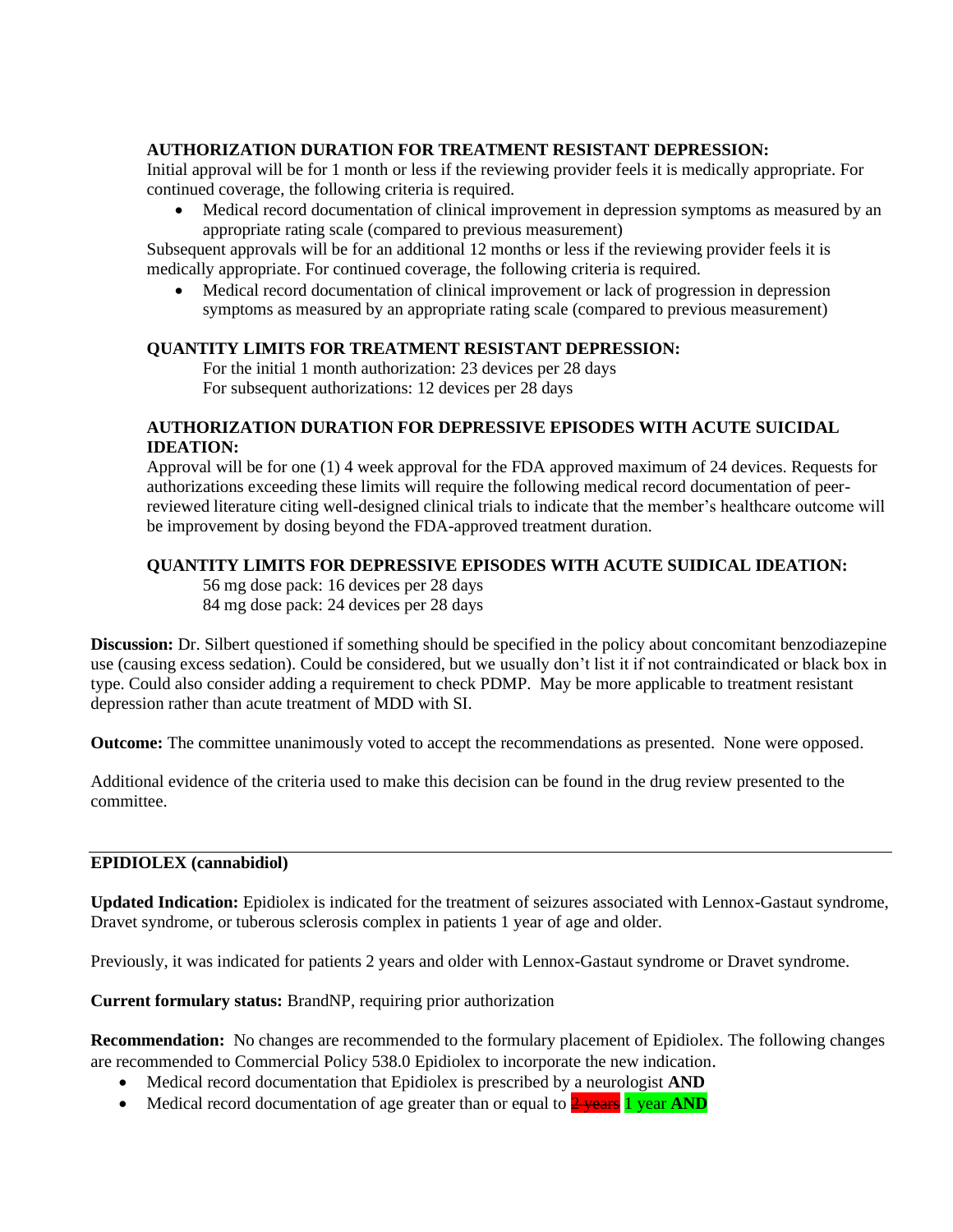## **AUTHORIZATION DURATION FOR TREATMENT RESISTANT DEPRESSION:**

Initial approval will be for 1 month or less if the reviewing provider feels it is medically appropriate. For continued coverage, the following criteria is required.

• Medical record documentation of clinical improvement in depression symptoms as measured by an appropriate rating scale (compared to previous measurement)

Subsequent approvals will be for an additional 12 months or less if the reviewing provider feels it is medically appropriate. For continued coverage, the following criteria is required.

• Medical record documentation of clinical improvement or lack of progression in depression symptoms as measured by an appropriate rating scale (compared to previous measurement)

## **QUANTITY LIMITS FOR TREATMENT RESISTANT DEPRESSION:**

For the initial 1 month authorization: 23 devices per 28 days For subsequent authorizations: 12 devices per 28 days

## **AUTHORIZATION DURATION FOR DEPRESSIVE EPISODES WITH ACUTE SUICIDAL IDEATION:**

Approval will be for one (1) 4 week approval for the FDA approved maximum of 24 devices. Requests for authorizations exceeding these limits will require the following medical record documentation of peerreviewed literature citing well-designed clinical trials to indicate that the member's healthcare outcome will be improvement by dosing beyond the FDA-approved treatment duration.

## **QUANTITY LIMITS FOR DEPRESSIVE EPISODES WITH ACUTE SUIDICAL IDEATION:**

56 mg dose pack: 16 devices per 28 days 84 mg dose pack: 24 devices per 28 days

**Discussion:** Dr. Silbert questioned if something should be specified in the policy about concomitant benzodiazepine use (causing excess sedation). Could be considered, but we usually don't list it if not contraindicated or black box in type. Could also consider adding a requirement to check PDMP. May be more applicable to treatment resistant depression rather than acute treatment of MDD with SI.

**Outcome:** The committee unanimously voted to accept the recommendations as presented. None were opposed.

Additional evidence of the criteria used to make this decision can be found in the drug review presented to the committee.

### **EPIDIOLEX (cannabidiol)**

**Updated Indication:** Epidiolex is indicated for the treatment of seizures associated with Lennox-Gastaut syndrome, Dravet syndrome, or tuberous sclerosis complex in patients 1 year of age and older.

Previously, it was indicated for patients 2 years and older with Lennox-Gastaut syndrome or Dravet syndrome.

**Current formulary status:** BrandNP, requiring prior authorization

**Recommendation:** No changes are recommended to the formulary placement of Epidiolex. The following changes are recommended to Commercial Policy 538.0 Epidiolex to incorporate the new indication.

- Medical record documentation that Epidiolex is prescribed by a neurologist **AND**
- Medical record documentation of age greater than or equal to **2 years 1 year AND**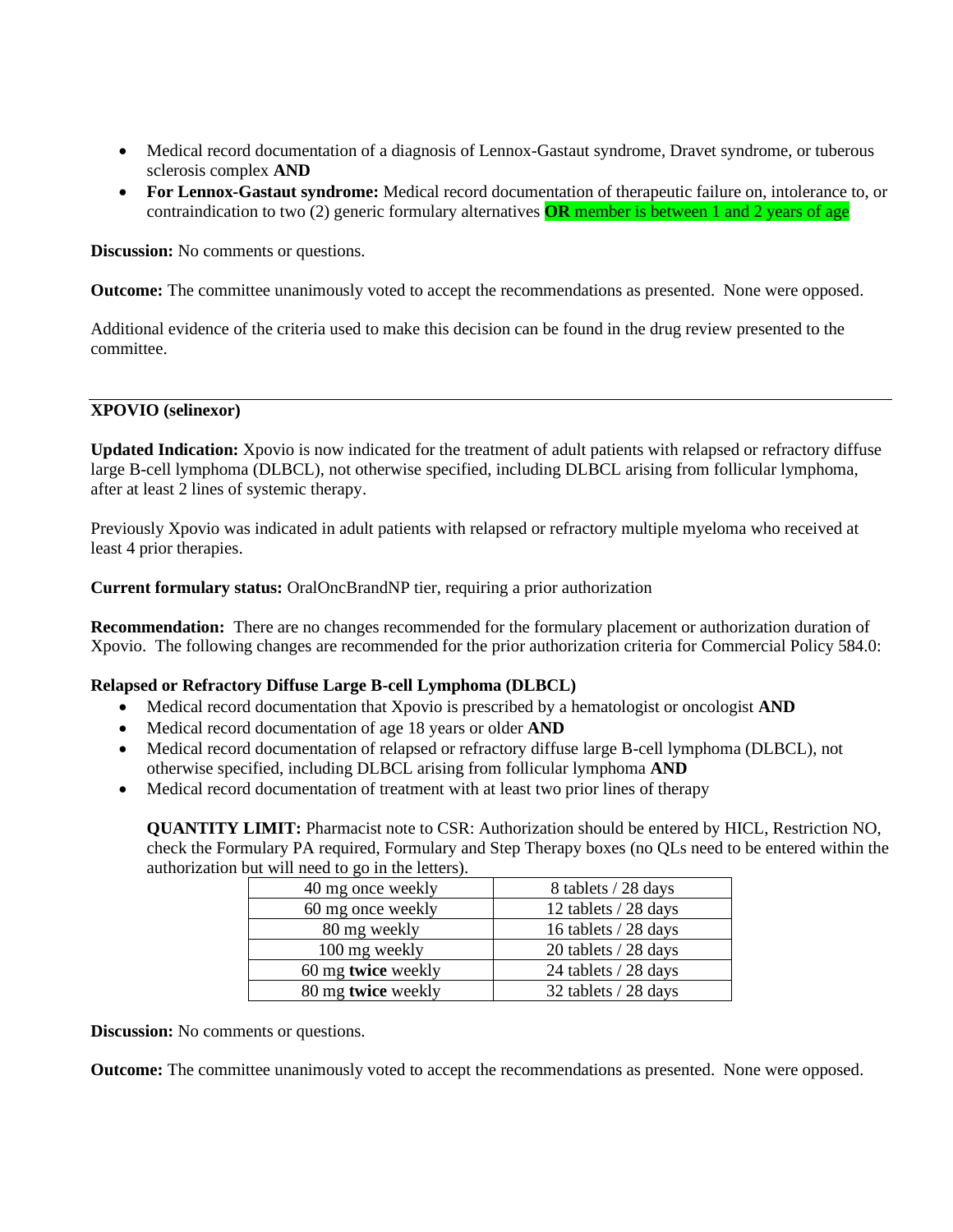- Medical record documentation of a diagnosis of Lennox-Gastaut syndrome, Dravet syndrome, or tuberous sclerosis complex **AND**
- **For Lennox-Gastaut syndrome:** Medical record documentation of therapeutic failure on, intolerance to, or contraindication to two (2) generic formulary alternatives **OR** member is between 1 and 2 years of age

**Discussion:** No comments or questions.

**Outcome:** The committee unanimously voted to accept the recommendations as presented. None were opposed.

Additional evidence of the criteria used to make this decision can be found in the drug review presented to the committee.

### **XPOVIO (selinexor)**

**Updated Indication:** Xpovio is now indicated for the treatment of adult patients with relapsed or refractory diffuse large B-cell lymphoma (DLBCL), not otherwise specified, including DLBCL arising from follicular lymphoma, after at least 2 lines of systemic therapy.

Previously Xpovio was indicated in adult patients with relapsed or refractory multiple myeloma who received at least 4 prior therapies.

**Current formulary status:** OralOncBrandNP tier, requiring a prior authorization

**Recommendation:** There are no changes recommended for the formulary placement or authorization duration of Xpovio. The following changes are recommended for the prior authorization criteria for Commercial Policy 584.0:

### **Relapsed or Refractory Diffuse Large B-cell Lymphoma (DLBCL)**

- Medical record documentation that Xpovio is prescribed by a hematologist or oncologist **AND**
- Medical record documentation of age 18 years or older **AND**
- Medical record documentation of relapsed or refractory diffuse large B-cell lymphoma (DLBCL), not otherwise specified, including DLBCL arising from follicular lymphoma **AND**
- Medical record documentation of treatment with at least two prior lines of therapy

**QUANTITY LIMIT:** Pharmacist note to CSR: Authorization should be entered by HICL, Restriction NO, check the Formulary PA required, Formulary and Step Therapy boxes (no QLs need to be entered within the authorization but will need to go in the letters).

| 40 mg once weekly  | 8 tablets / 28 days  |
|--------------------|----------------------|
| 60 mg once weekly  | 12 tablets / 28 days |
| 80 mg weekly       | 16 tablets / 28 days |
| 100 mg weekly      | 20 tablets / 28 days |
| 60 mg twice weekly | 24 tablets / 28 days |
| 80 mg twice weekly | 32 tablets / 28 days |

**Discussion:** No comments or questions.

**Outcome:** The committee unanimously voted to accept the recommendations as presented. None were opposed.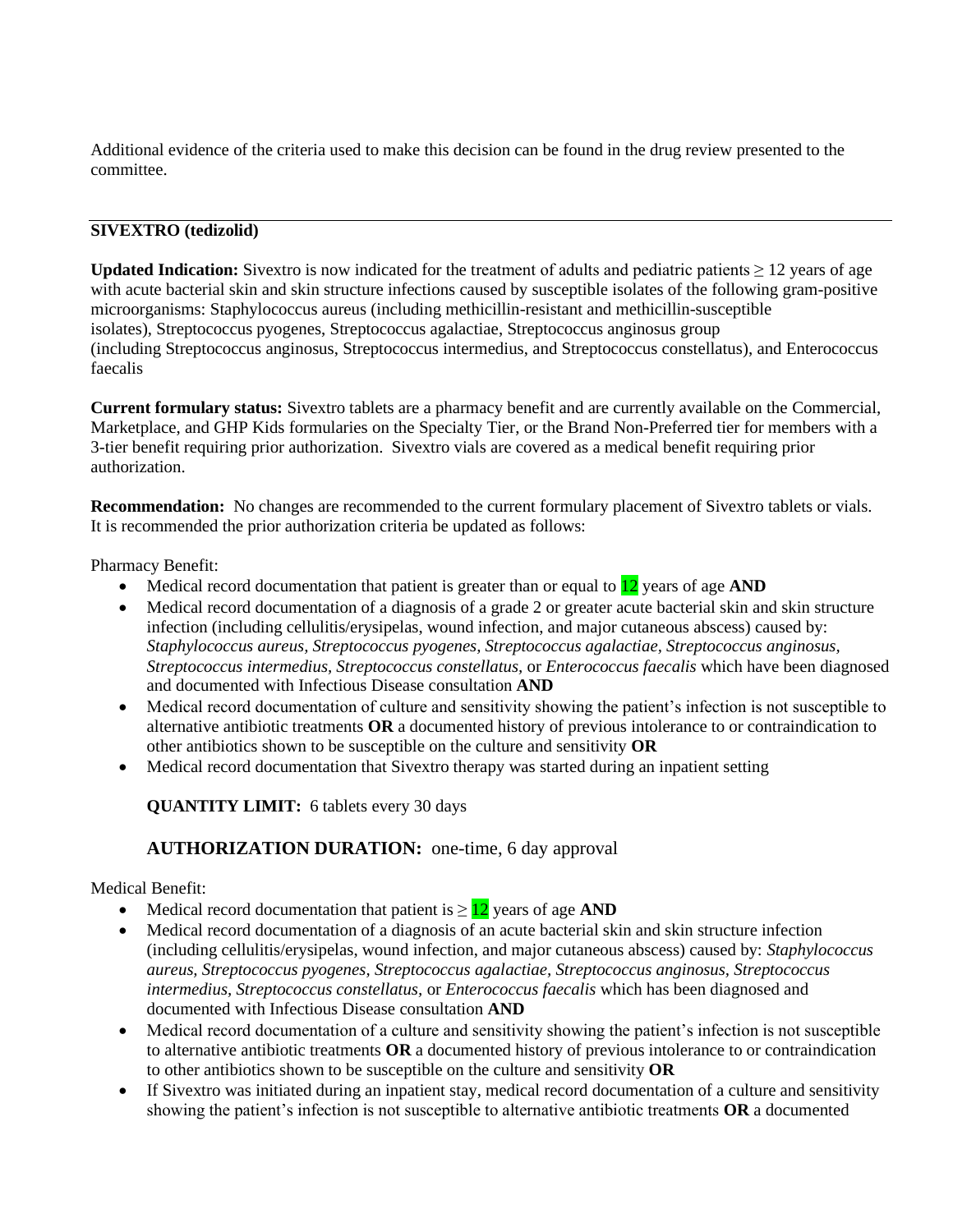Additional evidence of the criteria used to make this decision can be found in the drug review presented to the committee.

## **SIVEXTRO (tedizolid)**

**Updated Indication:** Sivextro is now indicated for the treatment of adults and pediatric patients ≥ 12 years of age with acute bacterial skin and skin structure infections caused by susceptible isolates of the following gram-positive microorganisms: Staphylococcus aureus (including methicillin-resistant and methicillin-susceptible isolates), Streptococcus pyogenes, Streptococcus agalactiae, Streptococcus anginosus group (including Streptococcus anginosus, Streptococcus intermedius, and Streptococcus constellatus), and Enterococcus faecalis

**Current formulary status:** Sivextro tablets are a pharmacy benefit and are currently available on the Commercial, Marketplace, and GHP Kids formularies on the Specialty Tier, or the Brand Non-Preferred tier for members with a 3-tier benefit requiring prior authorization. Sivextro vials are covered as a medical benefit requiring prior authorization.

**Recommendation:** No changes are recommended to the current formulary placement of Sivextro tablets or vials. It is recommended the prior authorization criteria be updated as follows:

Pharmacy Benefit:

- Medical record documentation that patient is greater than or equal to 12 years of age **AND**
- Medical record documentation of a diagnosis of a grade 2 or greater acute bacterial skin and skin structure infection (including cellulitis/erysipelas, wound infection, and major cutaneous abscess) caused by: *Staphylococcus aureus, Streptococcus pyogenes, Streptococcus agalactiae, Streptococcus anginosus, Streptococcus intermedius, Streptococcus constellatus,* or *Enterococcus faecalis* which have been diagnosed and documented with Infectious Disease consultation **AND**
- Medical record documentation of culture and sensitivity showing the patient's infection is not susceptible to alternative antibiotic treatments **OR** a documented history of previous intolerance to or contraindication to other antibiotics shown to be susceptible on the culture and sensitivity **OR**
- Medical record documentation that Sivextro therapy was started during an inpatient setting

**QUANTITY LIMIT:** 6 tablets every 30 days

## **AUTHORIZATION DURATION:** one-time, 6 day approval

### Medical Benefit:

- Medical record documentation that patient is  $\geq 12$  years of age **AND**
- Medical record documentation of a diagnosis of an acute bacterial skin and skin structure infection (including cellulitis/erysipelas, wound infection, and major cutaneous abscess) caused by: *Staphylococcus aureus, Streptococcus pyogenes, Streptococcus agalactiae, Streptococcus anginosus, Streptococcus intermedius, Streptococcus constellatus,* or *Enterococcus faecalis* which has been diagnosed and documented with Infectious Disease consultation **AND**
- Medical record documentation of a culture and sensitivity showing the patient's infection is not susceptible to alternative antibiotic treatments **OR** a documented history of previous intolerance to or contraindication to other antibiotics shown to be susceptible on the culture and sensitivity **OR**
- If Sivextro was initiated during an inpatient stay, medical record documentation of a culture and sensitivity showing the patient's infection is not susceptible to alternative antibiotic treatments **OR** a documented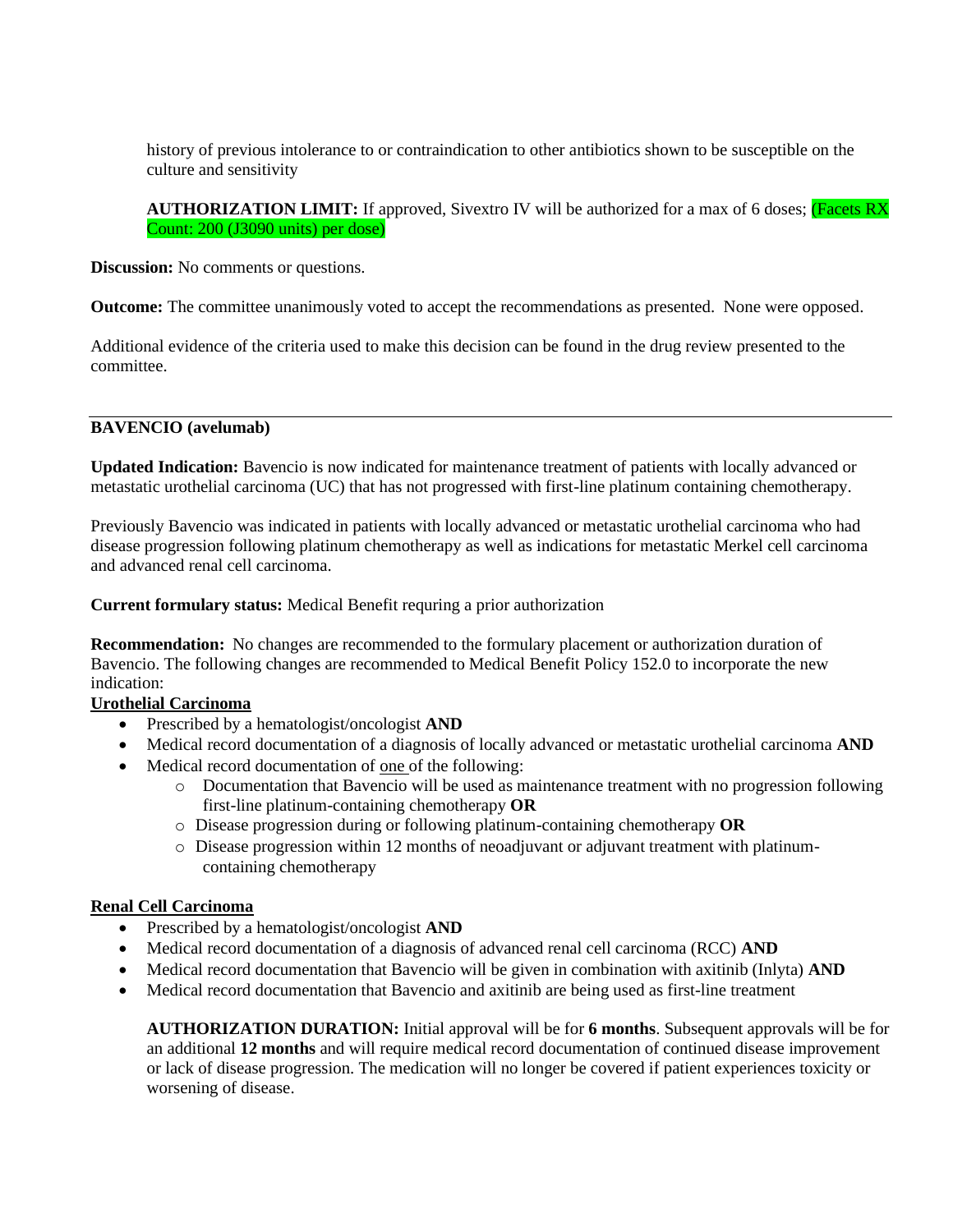history of previous intolerance to or contraindication to other antibiotics shown to be susceptible on the culture and sensitivity

**AUTHORIZATION LIMIT:** If approved, Sivextro IV will be authorized for a max of 6 doses; (Facets RX Count: 200 (J3090 units) per dose)

**Discussion:** No comments or questions.

**Outcome:** The committee unanimously voted to accept the recommendations as presented. None were opposed.

Additional evidence of the criteria used to make this decision can be found in the drug review presented to the committee.

#### **BAVENCIO (avelumab)**

**Updated Indication:** Bavencio is now indicated for maintenance treatment of patients with locally advanced or metastatic urothelial carcinoma (UC) that has not progressed with first-line platinum containing chemotherapy.

Previously Bavencio was indicated in patients with locally advanced or metastatic urothelial carcinoma who had disease progression following platinum chemotherapy as well as indications for metastatic Merkel cell carcinoma and advanced renal cell carcinoma.

**Current formulary status:** Medical Benefit requring a prior authorization

**Recommendation:** No changes are recommended to the formulary placement or authorization duration of Bavencio. The following changes are recommended to Medical Benefit Policy 152.0 to incorporate the new indication:

### **Urothelial Carcinoma**

- Prescribed by a hematologist/oncologist **AND**
- Medical record documentation of a diagnosis of locally advanced or metastatic urothelial carcinoma **AND**
- Medical record documentation of one of the following:
	- o Documentation that Bavencio will be used as maintenance treatment with no progression following first-line platinum-containing chemotherapy **OR**
	- o Disease progression during or following platinum-containing chemotherapy **OR**
	- $\circ$  Disease progression within 12 months of neoadjuvant or adjuvant treatment with platinumcontaining chemotherapy

### **Renal Cell Carcinoma**

- Prescribed by a hematologist/oncologist **AND**
- Medical record documentation of a diagnosis of advanced renal cell carcinoma (RCC) **AND**
- Medical record documentation that Bavencio will be given in combination with axitinib (Inlyta) **AND**
- Medical record documentation that Bavencio and axitinib are being used as first-line treatment

**AUTHORIZATION DURATION:** Initial approval will be for **6 months**. Subsequent approvals will be for an additional **12 months** and will require medical record documentation of continued disease improvement or lack of disease progression. The medication will no longer be covered if patient experiences toxicity or worsening of disease.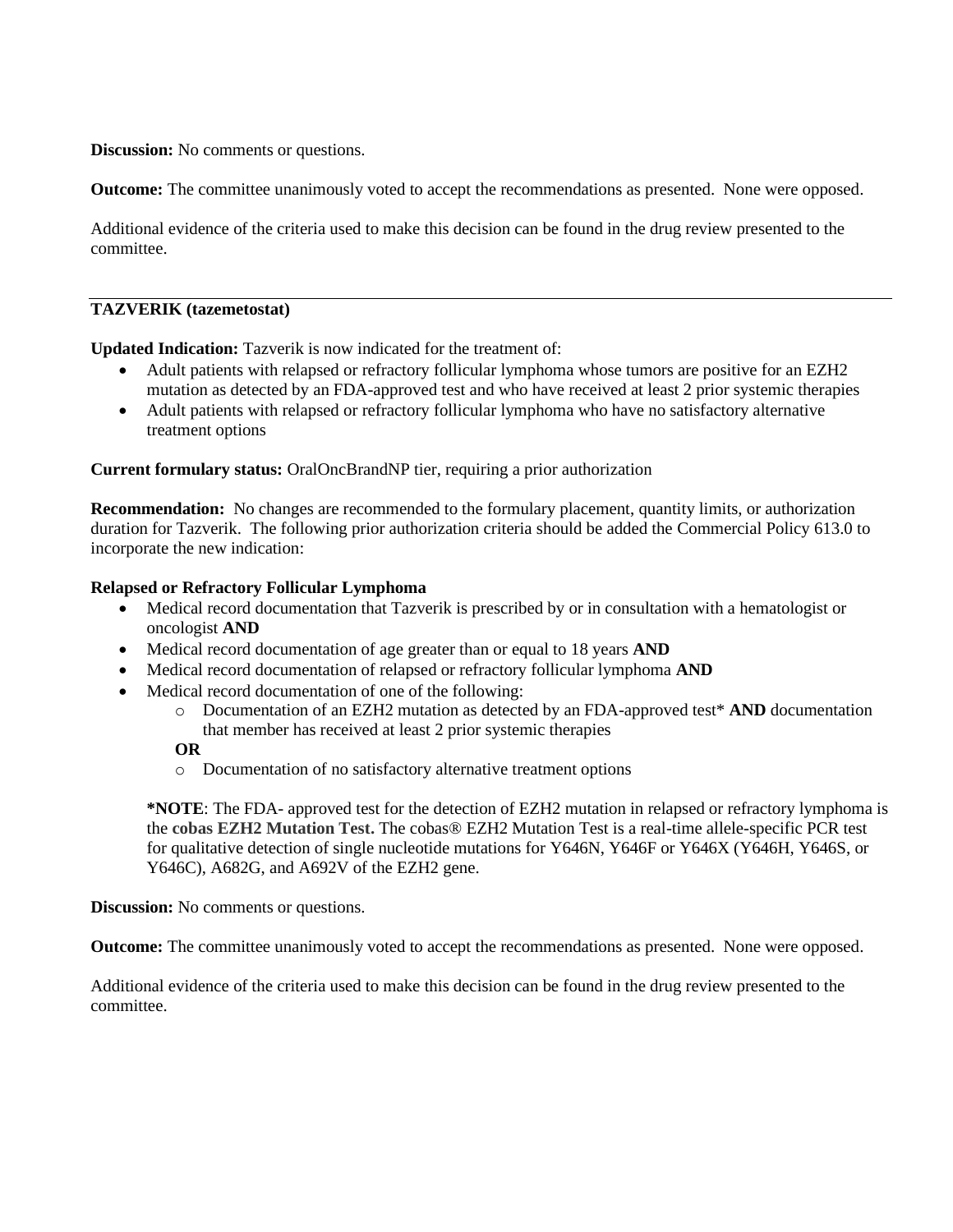**Discussion:** No comments or questions.

**Outcome:** The committee unanimously voted to accept the recommendations as presented. None were opposed.

Additional evidence of the criteria used to make this decision can be found in the drug review presented to the committee.

#### **TAZVERIK (tazemetostat)**

**Updated Indication:** Tazverik is now indicated for the treatment of:

- Adult patients with relapsed or refractory follicular lymphoma whose tumors are positive for an EZH2 mutation as detected by an FDA-approved test and who have received at least 2 prior systemic therapies
- Adult patients with relapsed or refractory follicular lymphoma who have no satisfactory alternative treatment options

**Current formulary status:** OralOncBrandNP tier, requiring a prior authorization

**Recommendation:** No changes are recommended to the formulary placement, quantity limits, or authorization duration for Tazverik. The following prior authorization criteria should be added the Commercial Policy 613.0 to incorporate the new indication:

#### **Relapsed or Refractory Follicular Lymphoma**

- Medical record documentation that Tazverik is prescribed by or in consultation with a hematologist or oncologist **AND**
- Medical record documentation of age greater than or equal to 18 years **AND**
- Medical record documentation of relapsed or refractory follicular lymphoma **AND**
- Medical record documentation of one of the following:
	- o Documentation of an EZH2 mutation as detected by an FDA-approved test\* **AND** documentation that member has received at least 2 prior systemic therapies

#### **OR**

o Documentation of no satisfactory alternative treatment options

**\*NOTE**: The FDA- approved test for the detection of EZH2 mutation in relapsed or refractory lymphoma is the **cobas EZH2 Mutation Test.** The cobas® EZH2 Mutation Test is a real-time allele-specific PCR test for qualitative detection of single nucleotide mutations for Y646N, Y646F or Y646X (Y646H, Y646S, or Y646C), A682G, and A692V of the EZH2 gene.

**Discussion:** No comments or questions.

**Outcome:** The committee unanimously voted to accept the recommendations as presented. None were opposed.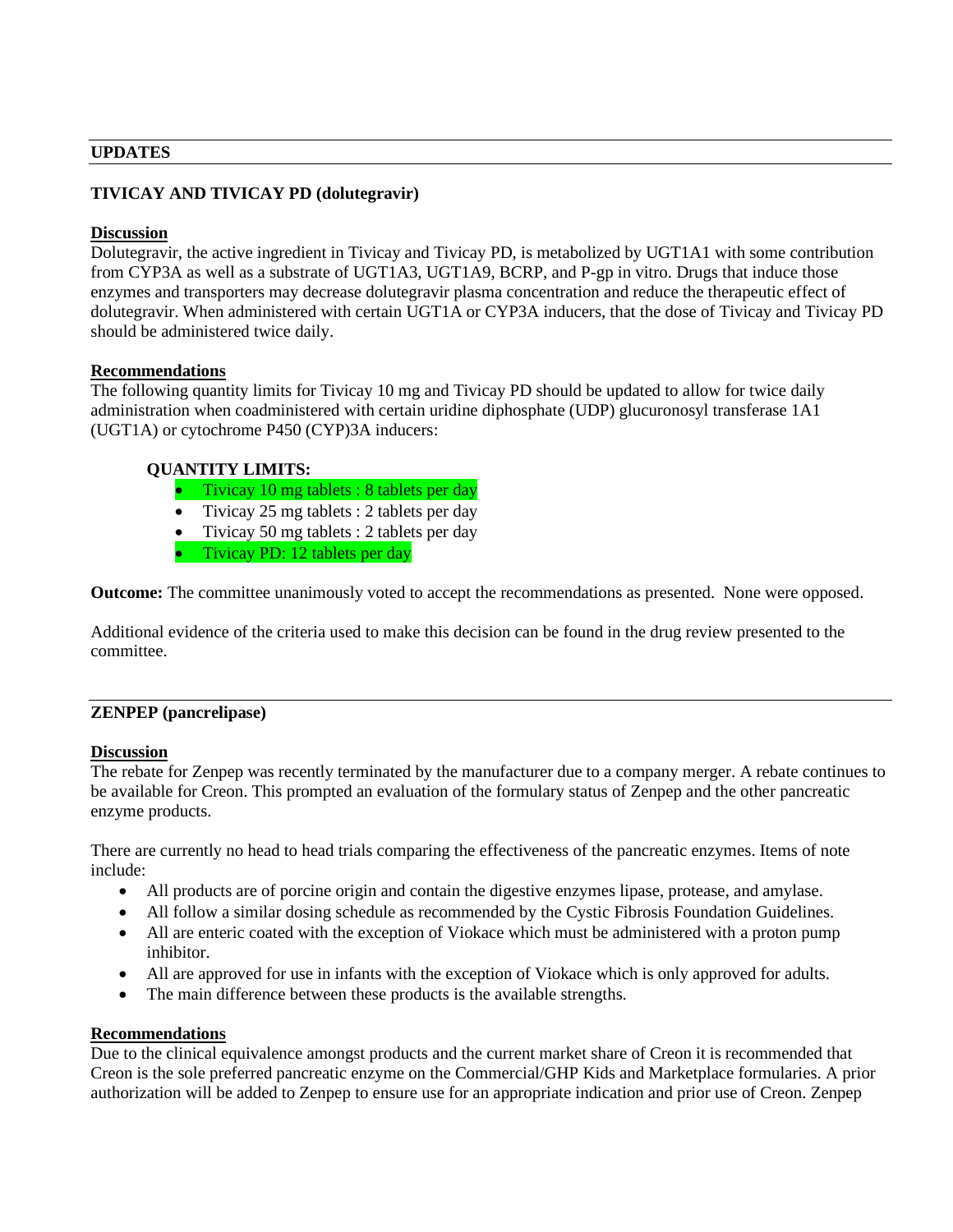#### **UPDATES**

## **TIVICAY AND TIVICAY PD (dolutegravir)**

#### **Discussion**

Dolutegravir, the active ingredient in Tivicay and Tivicay PD, is metabolized by UGT1A1 with some contribution from CYP3A as well as a substrate of UGT1A3, UGT1A9, BCRP, and P-gp in vitro. Drugs that induce those enzymes and transporters may decrease dolutegravir plasma concentration and reduce the therapeutic effect of dolutegravir. When administered with certain UGT1A or CYP3A inducers, that the dose of Tivicay and Tivicay PD should be administered twice daily.

#### **Recommendations**

The following quantity limits for Tivicay 10 mg and Tivicay PD should be updated to allow for twice daily administration when coadministered with certain uridine diphosphate (UDP) glucuronosyl transferase 1A1 (UGT1A) or cytochrome P450 (CYP)3A inducers:

### **QUANTITY LIMITS:**

- Tivicay 10 mg tablets : 8 tablets per day
- Tivicay 25 mg tablets : 2 tablets per day
- Tivicay 50 mg tablets : 2 tablets per day
- Tivicay PD: 12 tablets per day

**Outcome:** The committee unanimously voted to accept the recommendations as presented. None were opposed.

Additional evidence of the criteria used to make this decision can be found in the drug review presented to the committee.

### **ZENPEP (pancrelipase)**

### **Discussion**

The rebate for Zenpep was recently terminated by the manufacturer due to a company merger. A rebate continues to be available for Creon. This prompted an evaluation of the formulary status of Zenpep and the other pancreatic enzyme products.

There are currently no head to head trials comparing the effectiveness of the pancreatic enzymes. Items of note include:

- All products are of porcine origin and contain the digestive enzymes lipase, protease, and amylase.
- All follow a similar dosing schedule as recommended by the Cystic Fibrosis Foundation Guidelines.
- All are enteric coated with the exception of Viokace which must be administered with a proton pump inhibitor.
- All are approved for use in infants with the exception of Viokace which is only approved for adults.
- The main difference between these products is the available strengths.

### **Recommendations**

Due to the clinical equivalence amongst products and the current market share of Creon it is recommended that Creon is the sole preferred pancreatic enzyme on the Commercial/GHP Kids and Marketplace formularies. A prior authorization will be added to Zenpep to ensure use for an appropriate indication and prior use of Creon. Zenpep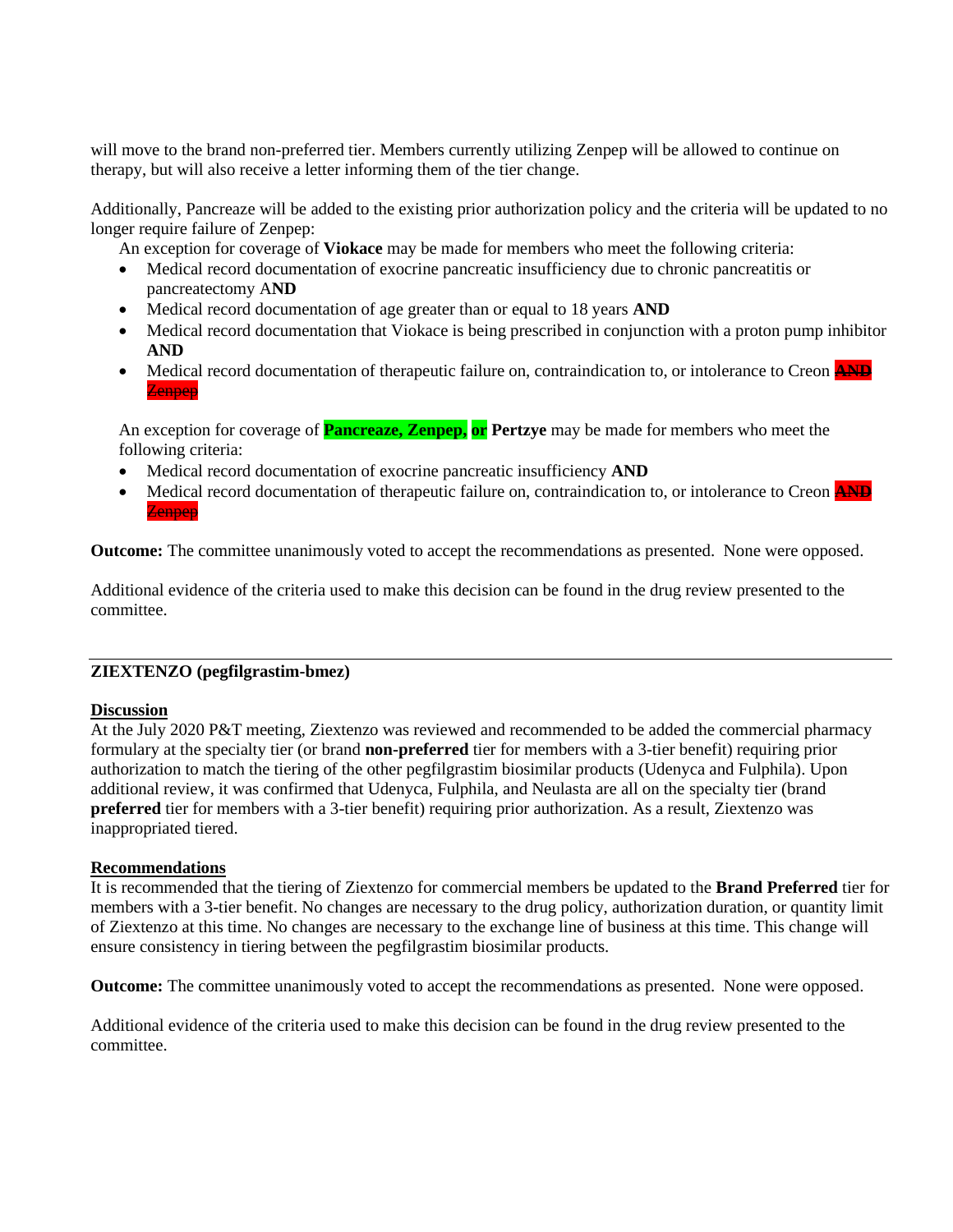will move to the brand non-preferred tier. Members currently utilizing Zenpep will be allowed to continue on therapy, but will also receive a letter informing them of the tier change.

Additionally, Pancreaze will be added to the existing prior authorization policy and the criteria will be updated to no longer require failure of Zenpep:

An exception for coverage of **Viokace** may be made for members who meet the following criteria:

- Medical record documentation of exocrine pancreatic insufficiency due to chronic pancreatitis or pancreatectomy A**ND**
- Medical record documentation of age greater than or equal to 18 years **AND**
- Medical record documentation that Viokace is being prescribed in conjunction with a proton pump inhibitor **AND**
- Medical record documentation of therapeutic failure on, contraindication to, or intolerance to Creon **AND** Zenpep

An exception for coverage of **Pancreaze, Zenpep, or Pertzye** may be made for members who meet the following criteria:

- Medical record documentation of exocrine pancreatic insufficiency **AND**
- Medical record documentation of therapeutic failure on, contraindication to, or intolerance to Creon **AND Zennen**

**Outcome:** The committee unanimously voted to accept the recommendations as presented. None were opposed.

Additional evidence of the criteria used to make this decision can be found in the drug review presented to the committee.

## **ZIEXTENZO (pegfilgrastim-bmez)**

### **Discussion**

At the July 2020 P&T meeting, Ziextenzo was reviewed and recommended to be added the commercial pharmacy formulary at the specialty tier (or brand **non-preferred** tier for members with a 3-tier benefit) requiring prior authorization to match the tiering of the other pegfilgrastim biosimilar products (Udenyca and Fulphila). Upon additional review, it was confirmed that Udenyca, Fulphila, and Neulasta are all on the specialty tier (brand **preferred** tier for members with a 3-tier benefit) requiring prior authorization. As a result, Ziextenzo was inappropriated tiered.

### **Recommendations**

It is recommended that the tiering of Ziextenzo for commercial members be updated to the **Brand Preferred** tier for members with a 3-tier benefit. No changes are necessary to the drug policy, authorization duration, or quantity limit of Ziextenzo at this time. No changes are necessary to the exchange line of business at this time. This change will ensure consistency in tiering between the pegfilgrastim biosimilar products.

**Outcome:** The committee unanimously voted to accept the recommendations as presented. None were opposed.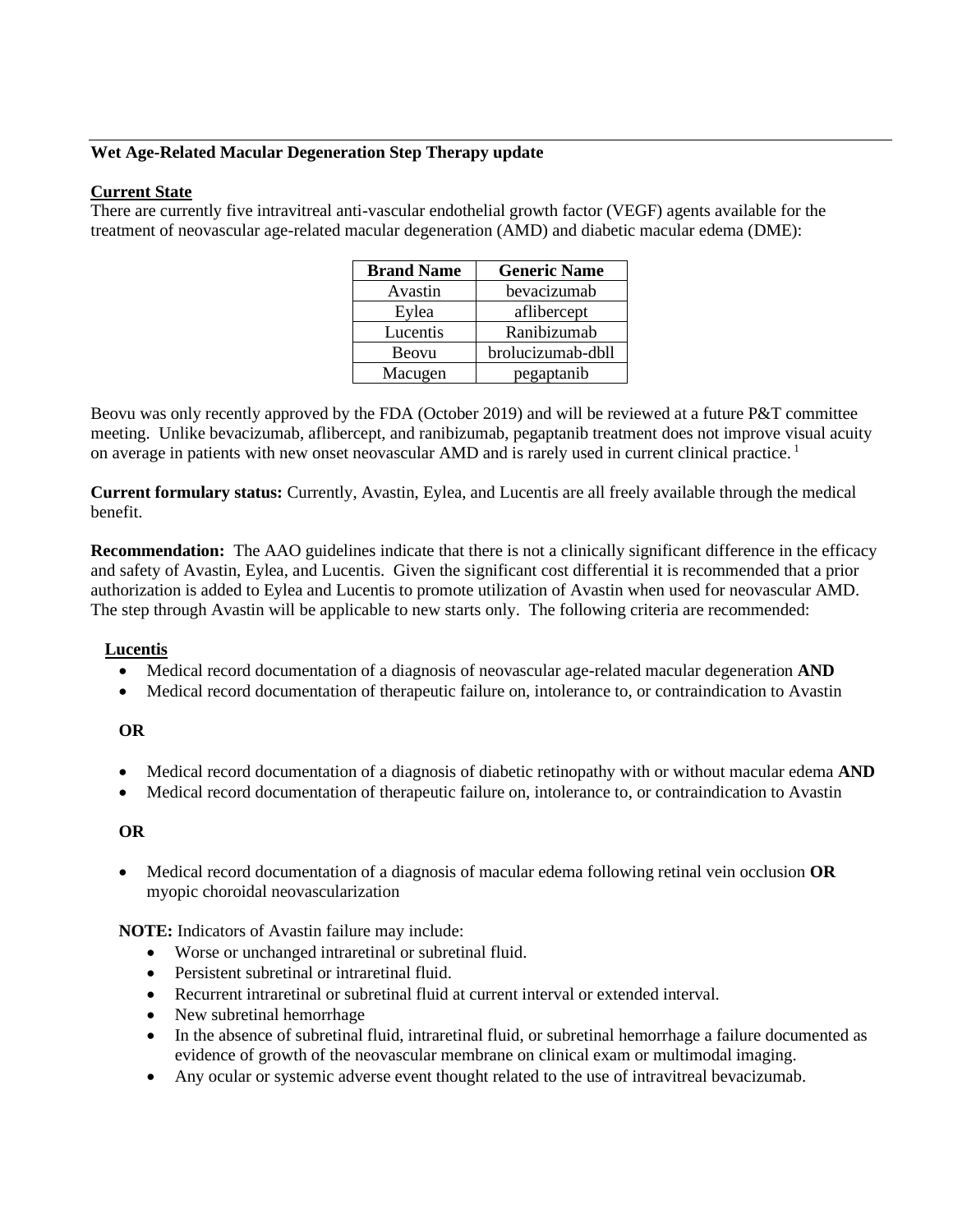## **Wet Age-Related Macular Degeneration Step Therapy update**

## **Current State**

There are currently five intravitreal anti-vascular endothelial growth factor (VEGF) agents available for the treatment of neovascular age-related macular degeneration (AMD) and diabetic macular edema (DME):

| <b>Brand Name</b> | <b>Generic Name</b> |
|-------------------|---------------------|
| Avastin           | bevacizumab         |
| Eylea             | aflibercept         |
| Lucentis          | Ranibizumab         |
| Beovu             | brolucizumab-dbll   |
| Macugen           | pegaptanib          |

Beovu was only recently approved by the FDA (October 2019) and will be reviewed at a future P&T committee meeting. Unlike bevacizumab, aflibercept, and ranibizumab, pegaptanib treatment does not improve visual acuity on average in patients with new onset neovascular AMD and is rarely used in current clinical practice. 1

**Current formulary status:** Currently, Avastin, Eylea, and Lucentis are all freely available through the medical benefit.

**Recommendation:** The AAO guidelines indicate that there is not a clinically significant difference in the efficacy and safety of Avastin, Eylea, and Lucentis. Given the significant cost differential it is recommended that a prior authorization is added to Eylea and Lucentis to promote utilization of Avastin when used for neovascular AMD. The step through Avastin will be applicable to new starts only. The following criteria are recommended:

## **Lucentis**

- Medical record documentation of a diagnosis of neovascular age-related macular degeneration **AND**
- Medical record documentation of therapeutic failure on, intolerance to, or contraindication to Avastin

### **OR**

- Medical record documentation of a diagnosis of diabetic retinopathy with or without macular edema **AND**
- Medical record documentation of therapeutic failure on, intolerance to, or contraindication to Avastin

### **OR**

• Medical record documentation of a diagnosis of macular edema following retinal vein occlusion **OR** myopic choroidal neovascularization

**NOTE:** Indicators of Avastin failure may include:

- Worse or unchanged intraretinal or subretinal fluid.
- Persistent subretinal or intraretinal fluid.
- Recurrent intraretinal or subretinal fluid at current interval or extended interval.
- New subretinal hemorrhage
- In the absence of subretinal fluid, intraretinal fluid, or subretinal hemorrhage a failure documented as evidence of growth of the neovascular membrane on clinical exam or multimodal imaging.
- Any ocular or systemic adverse event thought related to the use of intravitreal bevacizumab.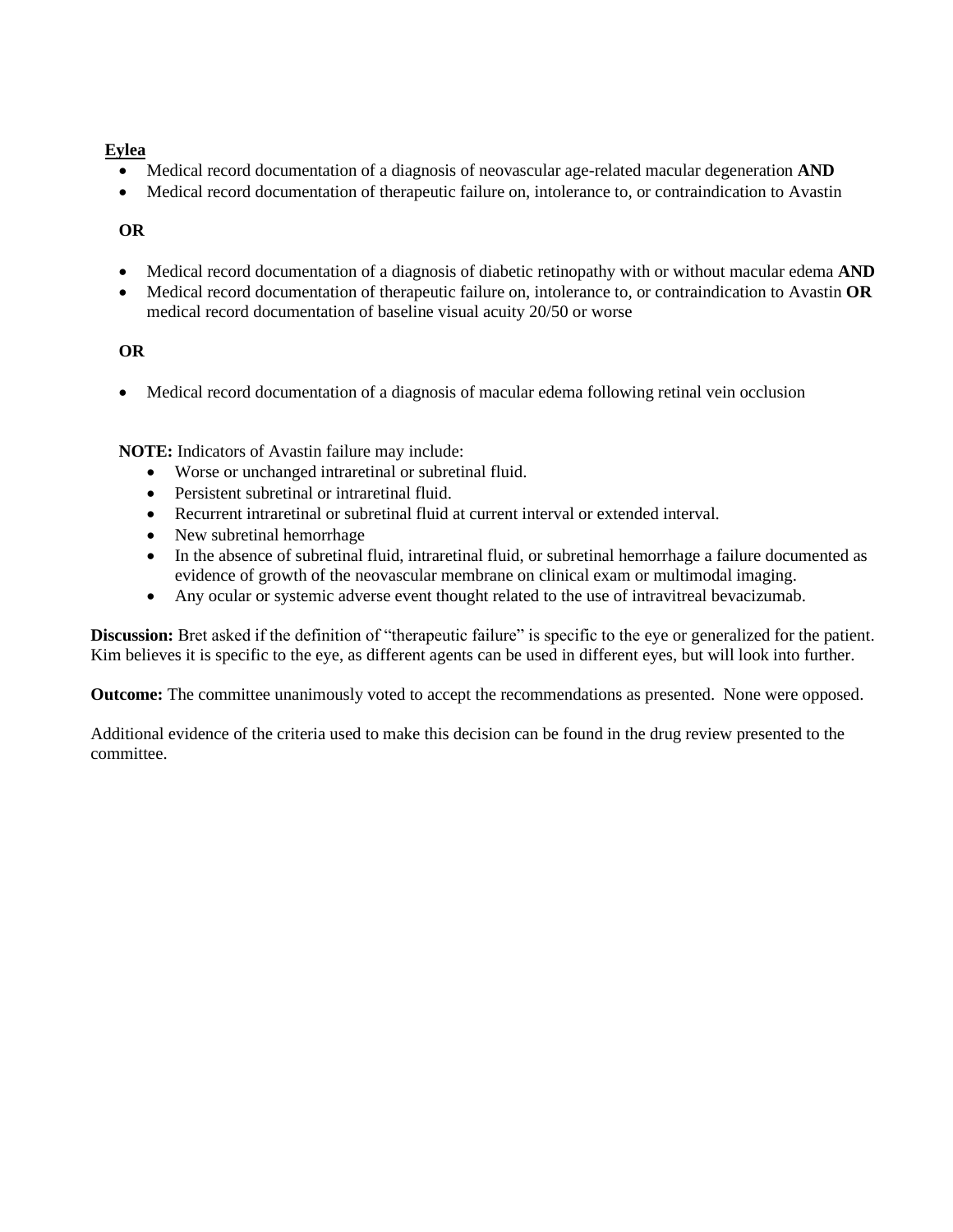# **Eylea**

- Medical record documentation of a diagnosis of neovascular age-related macular degeneration **AND**
- Medical record documentation of therapeutic failure on, intolerance to, or contraindication to Avastin

# **OR**

- Medical record documentation of a diagnosis of diabetic retinopathy with or without macular edema **AND**
- Medical record documentation of therapeutic failure on, intolerance to, or contraindication to Avastin **OR** medical record documentation of baseline visual acuity 20/50 or worse

# **OR**

• Medical record documentation of a diagnosis of macular edema following retinal vein occlusion

**NOTE:** Indicators of Avastin failure may include:

- Worse or unchanged intraretinal or subretinal fluid.
- Persistent subretinal or intraretinal fluid.
- Recurrent intraretinal or subretinal fluid at current interval or extended interval.
- New subretinal hemorrhage
- In the absence of subretinal fluid, intraretinal fluid, or subretinal hemorrhage a failure documented as evidence of growth of the neovascular membrane on clinical exam or multimodal imaging.
- Any ocular or systemic adverse event thought related to the use of intravitreal bevacizumab.

**Discussion:** Bret asked if the definition of "therapeutic failure" is specific to the eye or generalized for the patient. Kim believes it is specific to the eye, as different agents can be used in different eyes, but will look into further.

**Outcome:** The committee unanimously voted to accept the recommendations as presented. None were opposed.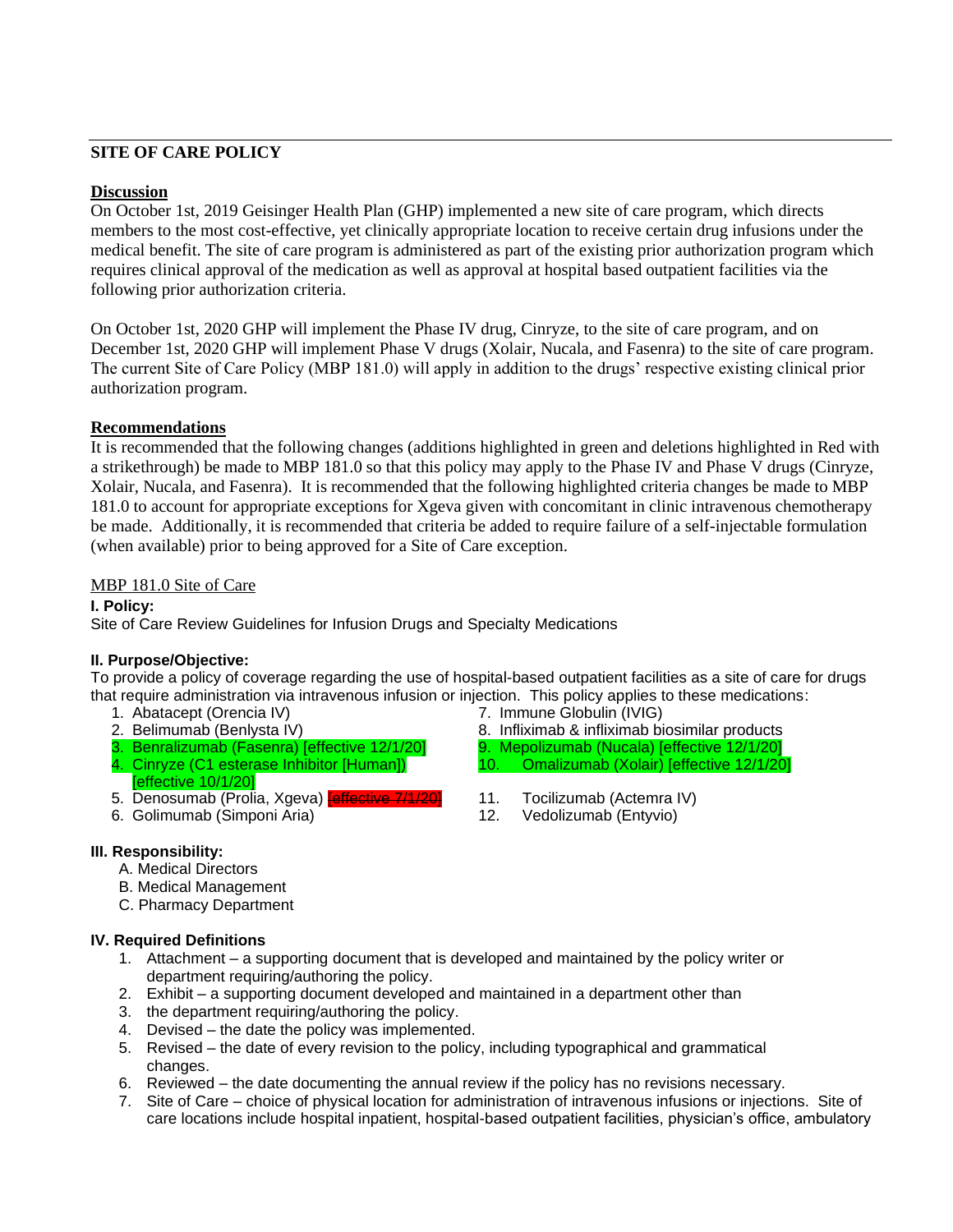# **SITE OF CARE POLICY**

#### **Discussion**

On October 1st, 2019 Geisinger Health Plan (GHP) implemented a new site of care program, which directs members to the most cost-effective, yet clinically appropriate location to receive certain drug infusions under the medical benefit. The site of care program is administered as part of the existing prior authorization program which requires clinical approval of the medication as well as approval at hospital based outpatient facilities via the following prior authorization criteria.

On October 1st, 2020 GHP will implement the Phase IV drug, Cinryze, to the site of care program, and on December 1st, 2020 GHP will implement Phase V drugs (Xolair, Nucala, and Fasenra) to the site of care program. The current Site of Care Policy (MBP 181.0) will apply in addition to the drugs' respective existing clinical prior authorization program.

#### **Recommendations**

It is recommended that the following changes (additions highlighted in green and deletions highlighted in Red with a strikethrough) be made to MBP 181.0 so that this policy may apply to the Phase IV and Phase V drugs (Cinryze, Xolair, Nucala, and Fasenra). It is recommended that the following highlighted criteria changes be made to MBP 181.0 to account for appropriate exceptions for Xgeva given with concomitant in clinic intravenous chemotherapy be made. Additionally, it is recommended that criteria be added to require failure of a self-injectable formulation (when available) prior to being approved for a Site of Care exception.

#### MBP 181.0 Site of Care

**I. Policy:**

Site of Care Review Guidelines for Infusion Drugs and Specialty Medications

#### **II. Purpose/Objective:**

To provide a policy of coverage regarding the use of hospital-based outpatient facilities as a site of care for drugs that require administration via intravenous infusion or injection. This policy applies to these medications:

- 
- 
- 3. Benralizumab (Fasenra) [effective 12/1/20] 9. Mepolizumab (Nucala) [effective 12/1/20]
- 4. Cinryze (C1 esterase Inhibitor [Human]) [effective 10/1/20]
- 5. Denosumab (Prolia, Xgeva) **[effective 7/1/20]** 11. Tocilizumab (Actemra IV)
- 6. Golimumab (Simponi Aria) 12. Vedolizumab (Entyvio)
- 1. Abatacept (Orencia IV) <br>
2. Belimumab (Benlysta IV) <br>
2. Belimumab (Benlysta IV) 8. Infliximab & infliximab bi 8. Infliximab & infliximab biosimilar products
	-
	- 10. Omalizumab (Xolair) [effective 12/1/20]
	-
	-

### **III. Responsibility:**

- A. Medical Directors
- B. Medical Management
- C. Pharmacy Department

#### **IV. Required Definitions**

- 1. Attachment a supporting document that is developed and maintained by the policy writer or department requiring/authoring the policy.
- 2. Exhibit a supporting document developed and maintained in a department other than
- 3. the department requiring/authoring the policy.
- 4. Devised the date the policy was implemented.
- 5. Revised the date of every revision to the policy, including typographical and grammatical changes.
- 6. Reviewed the date documenting the annual review if the policy has no revisions necessary.
- 7. Site of Care choice of physical location for administration of intravenous infusions or injections. Site of care locations include hospital inpatient, hospital-based outpatient facilities, physician's office, ambulatory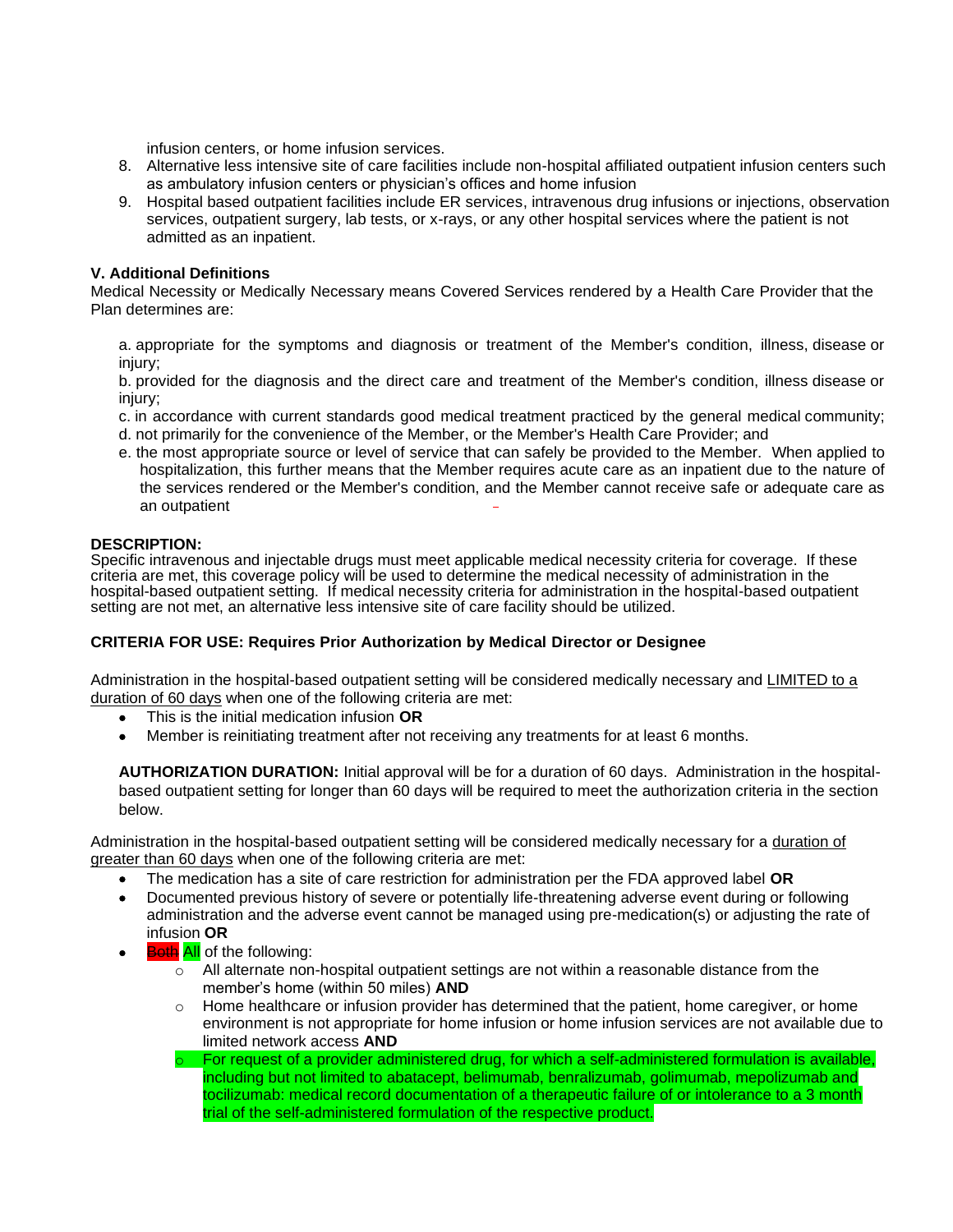infusion centers, or home infusion services.

- 8. Alternative less intensive site of care facilities include non-hospital affiliated outpatient infusion centers such as ambulatory infusion centers or physician's offices and home infusion
- 9. Hospital based outpatient facilities include ER services, intravenous drug infusions or injections, observation services, outpatient surgery, lab tests, or x-rays, or any other hospital services where the patient is not admitted as an inpatient.

#### **V. Additional Definitions**

Medical Necessity or Medically Necessary means Covered Services rendered by a Health Care Provider that the Plan determines are:

a. appropriate for the symptoms and diagnosis or treatment of the Member's condition, illness, disease or injury;

b. provided for the diagnosis and the direct care and treatment of the Member's condition, illness disease or injury;

- c. in accordance with current standards good medical treatment practiced by the general medical community;
- d. not primarily for the convenience of the Member, or the Member's Health Care Provider; and
- e. the most appropriate source or level of service that can safely be provided to the Member. When applied to hospitalization, this further means that the Member requires acute care as an inpatient due to the nature of the services rendered or the Member's condition, and the Member cannot receive safe or adequate care as an outpatient

#### **DESCRIPTION:**

Specific intravenous and injectable drugs must meet applicable medical necessity criteria for coverage. If these criteria are met, this coverage policy will be used to determine the medical necessity of administration in the hospital-based outpatient setting. If medical necessity criteria for administration in the hospital-based outpatient setting are not met, an alternative less intensive site of care facility should be utilized.

#### **CRITERIA FOR USE: Requires Prior Authorization by Medical Director or Designee**

Administration in the hospital-based outpatient setting will be considered medically necessary and LIMITED to a duration of 60 days when one of the following criteria are met:

- This is the initial medication infusion **OR**
- Member is reinitiating treatment after not receiving any treatments for at least 6 months.

**AUTHORIZATION DURATION:** Initial approval will be for a duration of 60 days. Administration in the hospitalbased outpatient setting for longer than 60 days will be required to meet the authorization criteria in the section below.

Administration in the hospital-based outpatient setting will be considered medically necessary for a duration of greater than 60 days when one of the following criteria are met:

- The medication has a site of care restriction for administration per the FDA approved label **OR**
- Documented previous history of severe or potentially life-threatening adverse event during or following administration and the adverse event cannot be managed using pre-medication(s) or adjusting the rate of infusion **OR**
- **Both All** of the following:
	- $\circ$  All alternate non-hospital outpatient settings are not within a reasonable distance from the member's home (within 50 miles) **AND**
	- $\circ$  Home healthcare or infusion provider has determined that the patient, home caregiver, or home environment is not appropriate for home infusion or home infusion services are not available due to limited network access **AND**
	- For request of a provider administered drug, for which a self-administered formulation is available, including but not limited to abatacept, belimumab, benralizumab, golimumab, mepolizumab and tocilizumab: medical record documentation of a therapeutic failure of or intolerance to a 3 month trial of the self-administered formulation of the respective product.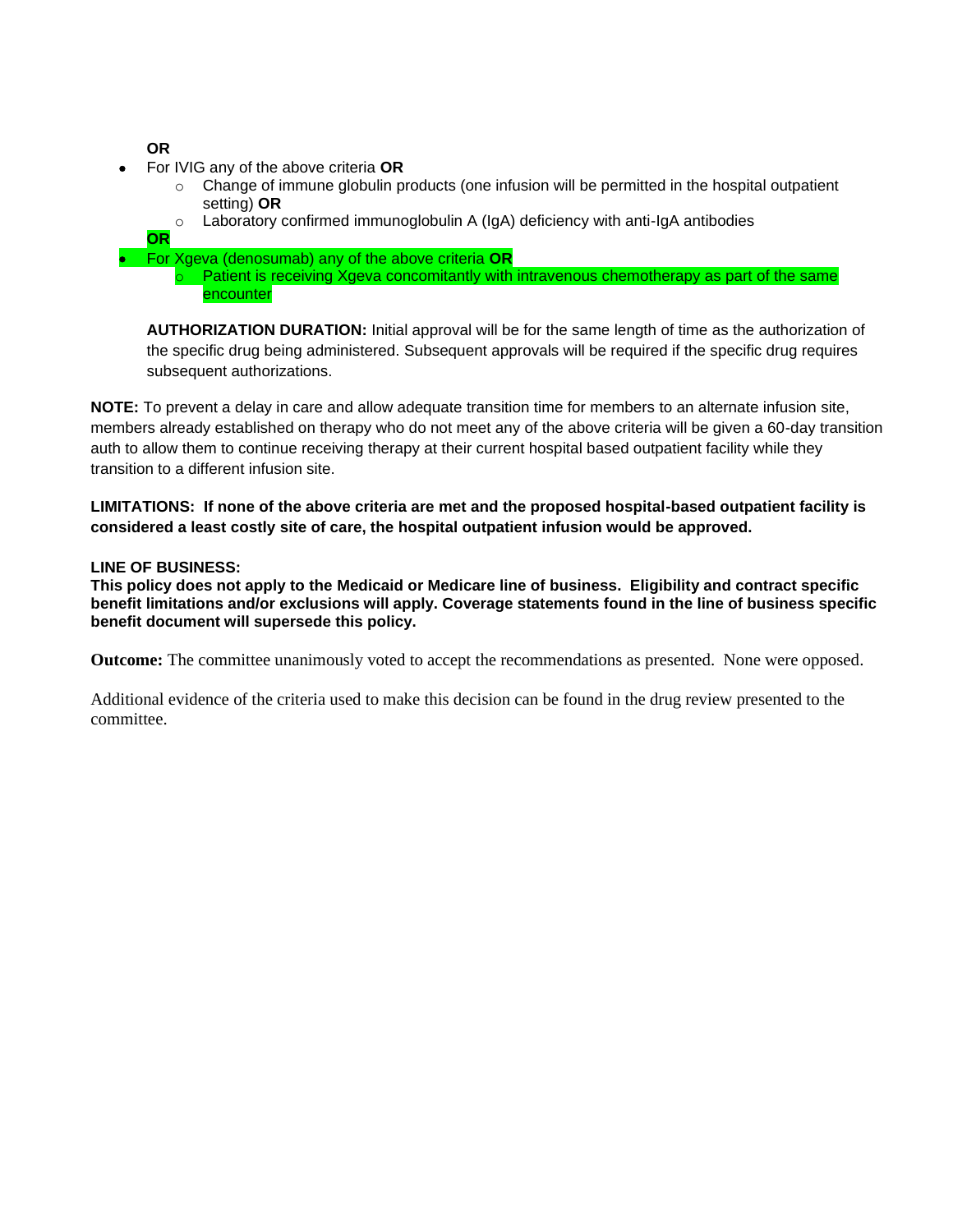**OR**

- For IVIG any of the above criteria **OR**
	- $\circ$  Change of immune globulin products (one infusion will be permitted in the hospital outpatient setting) **OR**
	- $\circ$  Laboratory confirmed immunoglobulin A (IgA) deficiency with anti-IgA antibodies
	- **OR**
- For Xgeva (denosumab) any of the above criteria **OR**
	- $\circ$  Patient is receiving Xgeva concomitantly with intravenous chemotherapy as part of the same encounter

**AUTHORIZATION DURATION:** Initial approval will be for the same length of time as the authorization of the specific drug being administered. Subsequent approvals will be required if the specific drug requires subsequent authorizations.

**NOTE:** To prevent a delay in care and allow adequate transition time for members to an alternate infusion site, members already established on therapy who do not meet any of the above criteria will be given a 60-day transition auth to allow them to continue receiving therapy at their current hospital based outpatient facility while they transition to a different infusion site.

**LIMITATIONS: If none of the above criteria are met and the proposed hospital-based outpatient facility is considered a least costly site of care, the hospital outpatient infusion would be approved.**

### **LINE OF BUSINESS:**

**This policy does not apply to the Medicaid or Medicare line of business. Eligibility and contract specific benefit limitations and/or exclusions will apply. Coverage statements found in the line of business specific benefit document will supersede this policy.**

**Outcome:** The committee unanimously voted to accept the recommendations as presented. None were opposed.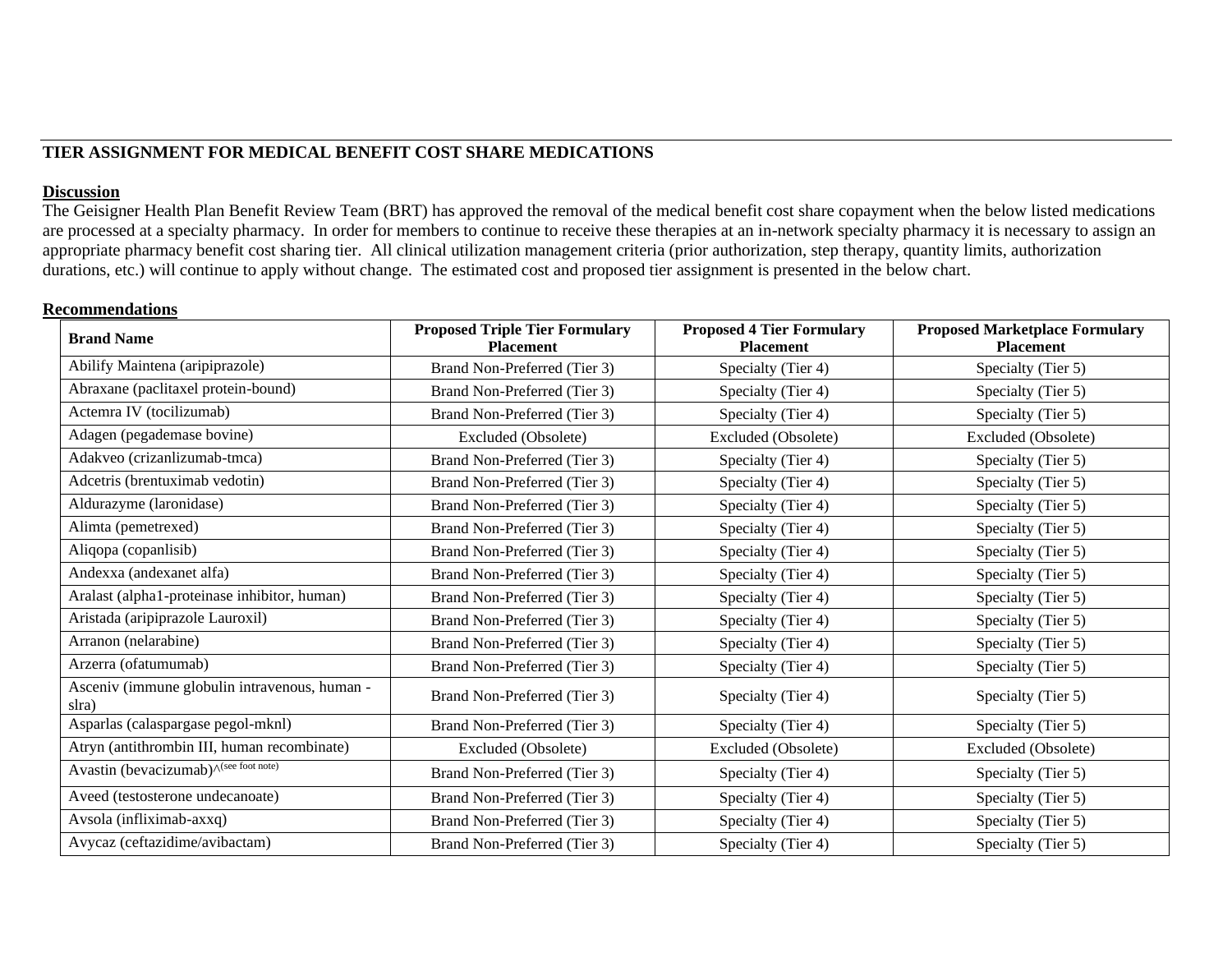## **TIER ASSIGNMENT FOR MEDICAL BENEFIT COST SHARE MEDICATIONS**

#### **Discussion**

The Geisigner Health Plan Benefit Review Team (BRT) has approved the removal of the medical benefit cost share copayment when the below listed medications are processed at a specialty pharmacy. In order for members to continue to receive these therapies at an in-network specialty pharmacy it is necessary to assign an appropriate pharmacy benefit cost sharing tier. All clinical utilization management criteria (prior authorization, step therapy, quantity limits, authorization durations, etc.) will continue to apply without change. The estimated cost and proposed tier assignment is presented in the below chart.

#### **Recommendations**

| <b>Brand Name</b>                                      | <b>Proposed Triple Tier Formulary</b><br><b>Placement</b> | <b>Proposed 4 Tier Formulary</b><br><b>Placement</b> | <b>Proposed Marketplace Formulary</b><br><b>Placement</b> |
|--------------------------------------------------------|-----------------------------------------------------------|------------------------------------------------------|-----------------------------------------------------------|
| Abilify Maintena (aripiprazole)                        | Brand Non-Preferred (Tier 3)                              | Specialty (Tier 4)                                   | Specialty (Tier 5)                                        |
| Abraxane (paclitaxel protein-bound)                    | Brand Non-Preferred (Tier 3)                              | Specialty (Tier 4)                                   | Specialty (Tier 5)                                        |
| Actemra IV (tocilizumab)                               | Brand Non-Preferred (Tier 3)                              | Specialty (Tier 4)                                   | Specialty (Tier 5)                                        |
| Adagen (pegademase bovine)                             | Excluded (Obsolete)                                       | Excluded (Obsolete)                                  | Excluded (Obsolete)                                       |
| Adakveo (crizanlizumab-tmca)                           | Brand Non-Preferred (Tier 3)                              | Specialty (Tier 4)                                   | Specialty (Tier 5)                                        |
| Adcetris (brentuximab vedotin)                         | Brand Non-Preferred (Tier 3)                              | Specialty (Tier 4)                                   | Specialty (Tier 5)                                        |
| Aldurazyme (laronidase)                                | Brand Non-Preferred (Tier 3)                              | Specialty (Tier 4)                                   | Specialty (Tier 5)                                        |
| Alimta (pemetrexed)                                    | Brand Non-Preferred (Tier 3)                              | Specialty (Tier 4)                                   | Specialty (Tier 5)                                        |
| Aliqopa (copanlisib)                                   | Brand Non-Preferred (Tier 3)                              | Specialty (Tier 4)                                   | Specialty (Tier 5)                                        |
| Andexxa (andexanet alfa)                               | Brand Non-Preferred (Tier 3)                              | Specialty (Tier 4)                                   | Specialty (Tier 5)                                        |
| Aralast (alpha1-proteinase inhibitor, human)           | Brand Non-Preferred (Tier 3)                              | Specialty (Tier 4)                                   | Specialty (Tier 5)                                        |
| Aristada (aripiprazole Lauroxil)                       | Brand Non-Preferred (Tier 3)                              | Specialty (Tier 4)                                   | Specialty (Tier 5)                                        |
| Arranon (nelarabine)                                   | Brand Non-Preferred (Tier 3)                              | Specialty (Tier 4)                                   | Specialty (Tier 5)                                        |
| Arzerra (ofatumumab)                                   | Brand Non-Preferred (Tier 3)                              | Specialty (Tier 4)                                   | Specialty (Tier 5)                                        |
| Asceniv (immune globulin intravenous, human -<br>slra) | Brand Non-Preferred (Tier 3)                              | Specialty (Tier 4)                                   | Specialty (Tier 5)                                        |
| Asparlas (calaspargase pegol-mknl)                     | Brand Non-Preferred (Tier 3)                              | Specialty (Tier 4)                                   | Specialty (Tier 5)                                        |
| Atryn (antithrombin III, human recombinate)            | Excluded (Obsolete)                                       | Excluded (Obsolete)                                  | Excluded (Obsolete)                                       |
| Avastin (bevacizumab)^(see foot note)                  | Brand Non-Preferred (Tier 3)                              | Specialty (Tier 4)                                   | Specialty (Tier 5)                                        |
| Aveed (testosterone undecanoate)                       | Brand Non-Preferred (Tier 3)                              | Specialty (Tier 4)                                   | Specialty (Tier 5)                                        |
| Avsola (infliximab-axxq)                               | Brand Non-Preferred (Tier 3)                              | Specialty (Tier 4)                                   | Specialty (Tier 5)                                        |
| Avycaz (ceftazidime/avibactam)                         | Brand Non-Preferred (Tier 3)                              | Specialty (Tier 4)                                   | Specialty (Tier 5)                                        |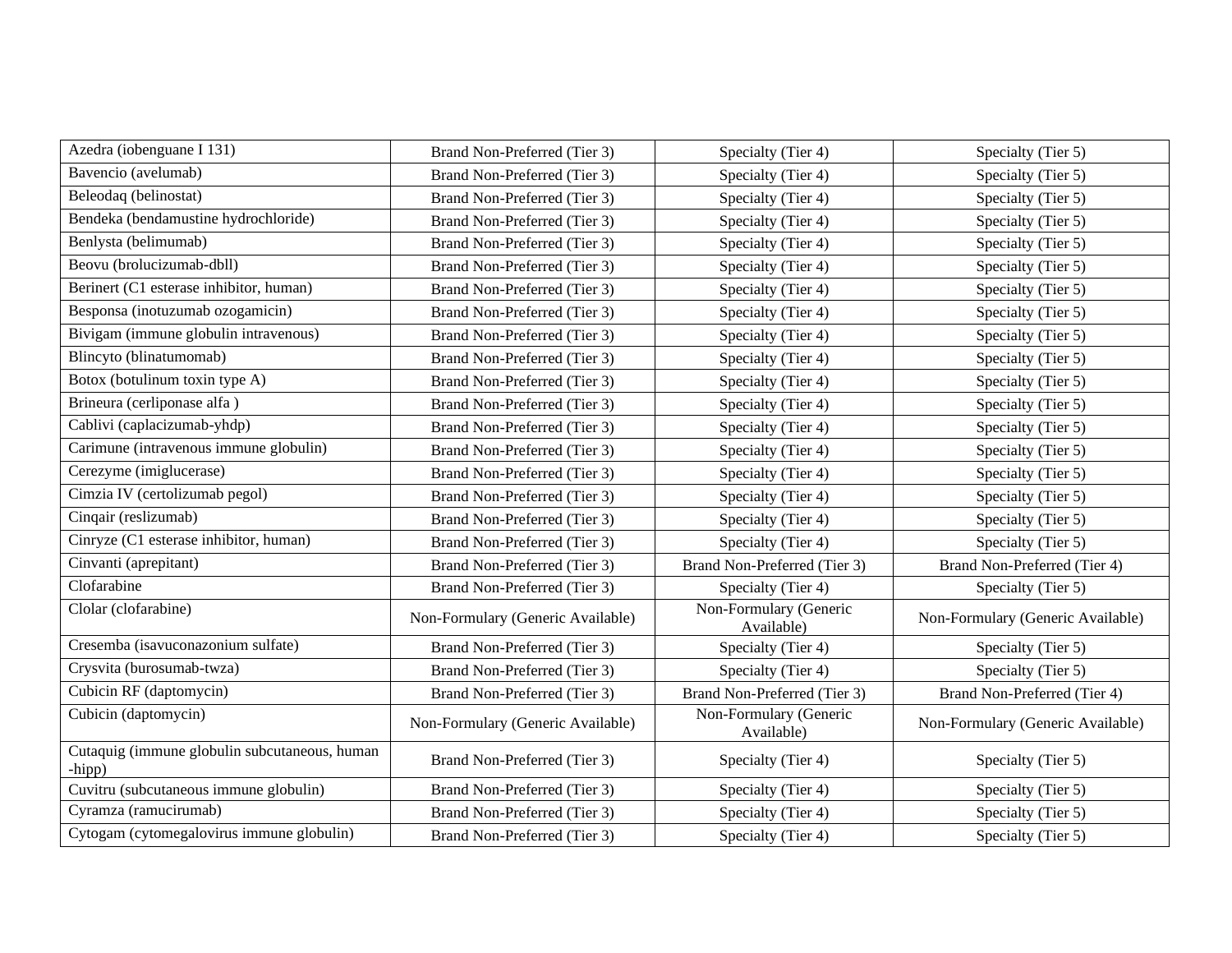| Azedra (iobenguane I 131)                               | Brand Non-Preferred (Tier 3)      | Specialty (Tier 4)                   | Specialty (Tier 5)                |
|---------------------------------------------------------|-----------------------------------|--------------------------------------|-----------------------------------|
| Bavencio (avelumab)                                     | Brand Non-Preferred (Tier 3)      | Specialty (Tier 4)                   | Specialty (Tier 5)                |
| Beleodaq (belinostat)                                   | Brand Non-Preferred (Tier 3)      | Specialty (Tier 4)                   | Specialty (Tier 5)                |
| Bendeka (bendamustine hydrochloride)                    | Brand Non-Preferred (Tier 3)      | Specialty (Tier 4)                   | Specialty (Tier 5)                |
| Benlysta (belimumab)                                    | Brand Non-Preferred (Tier 3)      | Specialty (Tier 4)                   | Specialty (Tier 5)                |
| Beovu (brolucizumab-dbll)                               | Brand Non-Preferred (Tier 3)      | Specialty (Tier 4)                   | Specialty (Tier 5)                |
| Berinert (C1 esterase inhibitor, human)                 | Brand Non-Preferred (Tier 3)      | Specialty (Tier 4)                   | Specialty (Tier 5)                |
| Besponsa (inotuzumab ozogamicin)                        | Brand Non-Preferred (Tier 3)      | Specialty (Tier 4)                   | Specialty (Tier 5)                |
| Bivigam (immune globulin intravenous)                   | Brand Non-Preferred (Tier 3)      | Specialty (Tier 4)                   | Specialty (Tier 5)                |
| Blincyto (blinatumomab)                                 | Brand Non-Preferred (Tier 3)      | Specialty (Tier 4)                   | Specialty (Tier 5)                |
| Botox (botulinum toxin type A)                          | Brand Non-Preferred (Tier 3)      | Specialty (Tier 4)                   | Specialty (Tier 5)                |
| Brineura (cerliponase alfa)                             | Brand Non-Preferred (Tier 3)      | Specialty (Tier 4)                   | Specialty (Tier 5)                |
| Cablivi (caplacizumab-yhdp)                             | Brand Non-Preferred (Tier 3)      | Specialty (Tier 4)                   | Specialty (Tier 5)                |
| Carimune (intravenous immune globulin)                  | Brand Non-Preferred (Tier 3)      | Specialty (Tier 4)                   | Specialty (Tier 5)                |
| Cerezyme (imiglucerase)                                 | Brand Non-Preferred (Tier 3)      | Specialty (Tier 4)                   | Specialty (Tier 5)                |
| Cimzia IV (certolizumab pegol)                          | Brand Non-Preferred (Tier 3)      | Specialty (Tier 4)                   | Specialty (Tier 5)                |
| Cinqair (reslizumab)                                    | Brand Non-Preferred (Tier 3)      | Specialty (Tier 4)                   | Specialty (Tier 5)                |
| Cinryze (C1 esterase inhibitor, human)                  | Brand Non-Preferred (Tier 3)      | Specialty (Tier 4)                   | Specialty (Tier 5)                |
| Cinvanti (aprepitant)                                   | Brand Non-Preferred (Tier 3)      | Brand Non-Preferred (Tier 3)         | Brand Non-Preferred (Tier 4)      |
| Clofarabine                                             | Brand Non-Preferred (Tier 3)      | Specialty (Tier 4)                   | Specialty (Tier 5)                |
| Clolar (clofarabine)                                    | Non-Formulary (Generic Available) | Non-Formulary (Generic<br>Available) | Non-Formulary (Generic Available) |
| Cresemba (isavuconazonium sulfate)                      | Brand Non-Preferred (Tier 3)      | Specialty (Tier 4)                   | Specialty (Tier 5)                |
| Crysvita (burosumab-twza)                               | Brand Non-Preferred (Tier 3)      | Specialty (Tier 4)                   | Specialty (Tier 5)                |
| Cubicin RF (daptomycin)                                 | Brand Non-Preferred (Tier 3)      | Brand Non-Preferred (Tier 3)         | Brand Non-Preferred (Tier 4)      |
| Cubicin (daptomycin)                                    | Non-Formulary (Generic Available) | Non-Formulary (Generic<br>Available) | Non-Formulary (Generic Available) |
| Cutaquig (immune globulin subcutaneous, human<br>-hipp) | Brand Non-Preferred (Tier 3)      | Specialty (Tier 4)                   | Specialty (Tier 5)                |
| Cuvitru (subcutaneous immune globulin)                  | Brand Non-Preferred (Tier 3)      | Specialty (Tier 4)                   | Specialty (Tier 5)                |
| Cyramza (ramucirumab)                                   | Brand Non-Preferred (Tier 3)      | Specialty (Tier 4)                   | Specialty (Tier 5)                |
| Cytogam (cytomegalovirus immune globulin)               | Brand Non-Preferred (Tier 3)      | Specialty (Tier 4)                   | Specialty (Tier 5)                |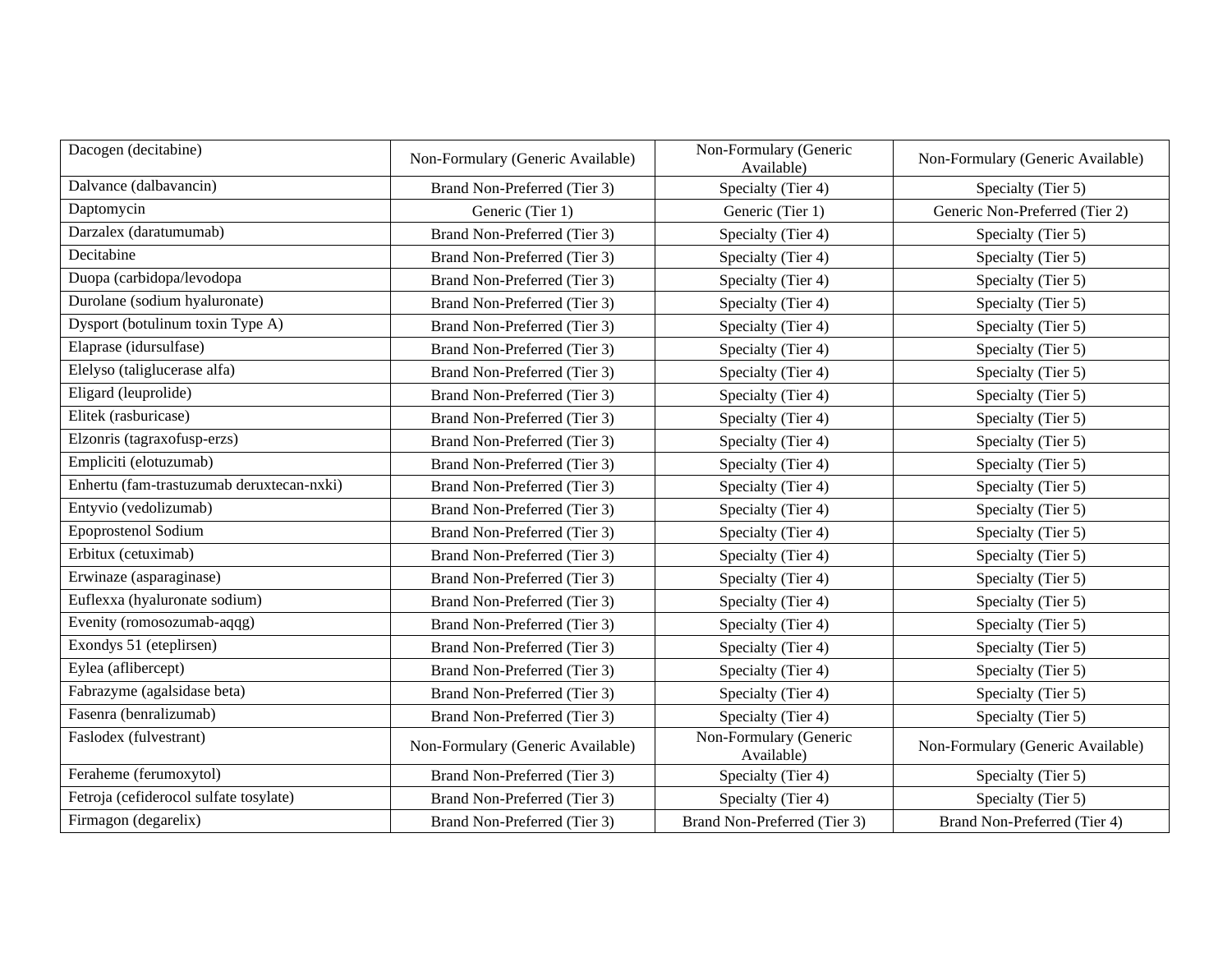| Dacogen (decitabine)                      | Non-Formulary (Generic Available) | Non-Formulary (Generic<br>Available) | Non-Formulary (Generic Available) |
|-------------------------------------------|-----------------------------------|--------------------------------------|-----------------------------------|
| Dalvance (dalbavancin)                    | Brand Non-Preferred (Tier 3)      | Specialty (Tier 4)                   | Specialty (Tier 5)                |
| Daptomycin                                | Generic (Tier 1)                  | Generic (Tier 1)                     | Generic Non-Preferred (Tier 2)    |
| Darzalex (daratumumab)                    | Brand Non-Preferred (Tier 3)      | Specialty (Tier 4)                   | Specialty (Tier 5)                |
| Decitabine                                | Brand Non-Preferred (Tier 3)      | Specialty (Tier 4)                   | Specialty (Tier 5)                |
| Duopa (carbidopa/levodopa                 | Brand Non-Preferred (Tier 3)      | Specialty (Tier 4)                   | Specialty (Tier 5)                |
| Durolane (sodium hyaluronate)             | Brand Non-Preferred (Tier 3)      | Specialty (Tier 4)                   | Specialty (Tier 5)                |
| Dysport (botulinum toxin Type A)          | Brand Non-Preferred (Tier 3)      | Specialty (Tier 4)                   | Specialty (Tier 5)                |
| Elaprase (idursulfase)                    | Brand Non-Preferred (Tier 3)      | Specialty (Tier 4)                   | Specialty (Tier 5)                |
| Elelyso (taliglucerase alfa)              | Brand Non-Preferred (Tier 3)      | Specialty (Tier 4)                   | Specialty (Tier 5)                |
| Eligard (leuprolide)                      | Brand Non-Preferred (Tier 3)      | Specialty (Tier 4)                   | Specialty (Tier 5)                |
| Elitek (rasburicase)                      | Brand Non-Preferred (Tier 3)      | Specialty (Tier 4)                   | Specialty (Tier 5)                |
| Elzonris (tagraxofusp-erzs)               | Brand Non-Preferred (Tier 3)      | Specialty (Tier 4)                   | Specialty (Tier 5)                |
| Empliciti (elotuzumab)                    | Brand Non-Preferred (Tier 3)      | Specialty (Tier 4)                   | Specialty (Tier 5)                |
| Enhertu (fam-trastuzumab deruxtecan-nxki) | Brand Non-Preferred (Tier 3)      | Specialty (Tier 4)                   | Specialty (Tier 5)                |
| Entyvio (vedolizumab)                     | Brand Non-Preferred (Tier 3)      | Specialty (Tier 4)                   | Specialty (Tier 5)                |
| <b>Epoprostenol Sodium</b>                | Brand Non-Preferred (Tier 3)      | Specialty (Tier 4)                   | Specialty (Tier 5)                |
| Erbitux (cetuximab)                       | Brand Non-Preferred (Tier 3)      | Specialty (Tier 4)                   | Specialty (Tier 5)                |
| Erwinaze (asparaginase)                   | Brand Non-Preferred (Tier 3)      | Specialty (Tier 4)                   | Specialty (Tier 5)                |
| Euflexxa (hyaluronate sodium)             | Brand Non-Preferred (Tier 3)      | Specialty (Tier 4)                   | Specialty (Tier 5)                |
| Evenity (romosozumab-aqqg)                | Brand Non-Preferred (Tier 3)      | Specialty (Tier 4)                   | Specialty (Tier 5)                |
| Exondys 51 (eteplirsen)                   | Brand Non-Preferred (Tier 3)      | Specialty (Tier 4)                   | Specialty (Tier 5)                |
| Eylea (aflibercept)                       | Brand Non-Preferred (Tier 3)      | Specialty (Tier 4)                   | Specialty (Tier 5)                |
| Fabrazyme (agalsidase beta)               | Brand Non-Preferred (Tier 3)      | Specialty (Tier 4)                   | Specialty (Tier 5)                |
| Fasenra (benralizumab)                    | Brand Non-Preferred (Tier 3)      | Specialty (Tier 4)                   | Specialty (Tier 5)                |
| Faslodex (fulvestrant)                    | Non-Formulary (Generic Available) | Non-Formulary (Generic<br>Available) | Non-Formulary (Generic Available) |
| Feraheme (ferumoxytol)                    | Brand Non-Preferred (Tier 3)      | Specialty (Tier 4)                   | Specialty (Tier 5)                |
| Fetroja (cefiderocol sulfate tosylate)    | Brand Non-Preferred (Tier 3)      | Specialty (Tier 4)                   | Specialty (Tier 5)                |
| Firmagon (degarelix)                      | Brand Non-Preferred (Tier 3)      | Brand Non-Preferred (Tier 3)         | Brand Non-Preferred (Tier 4)      |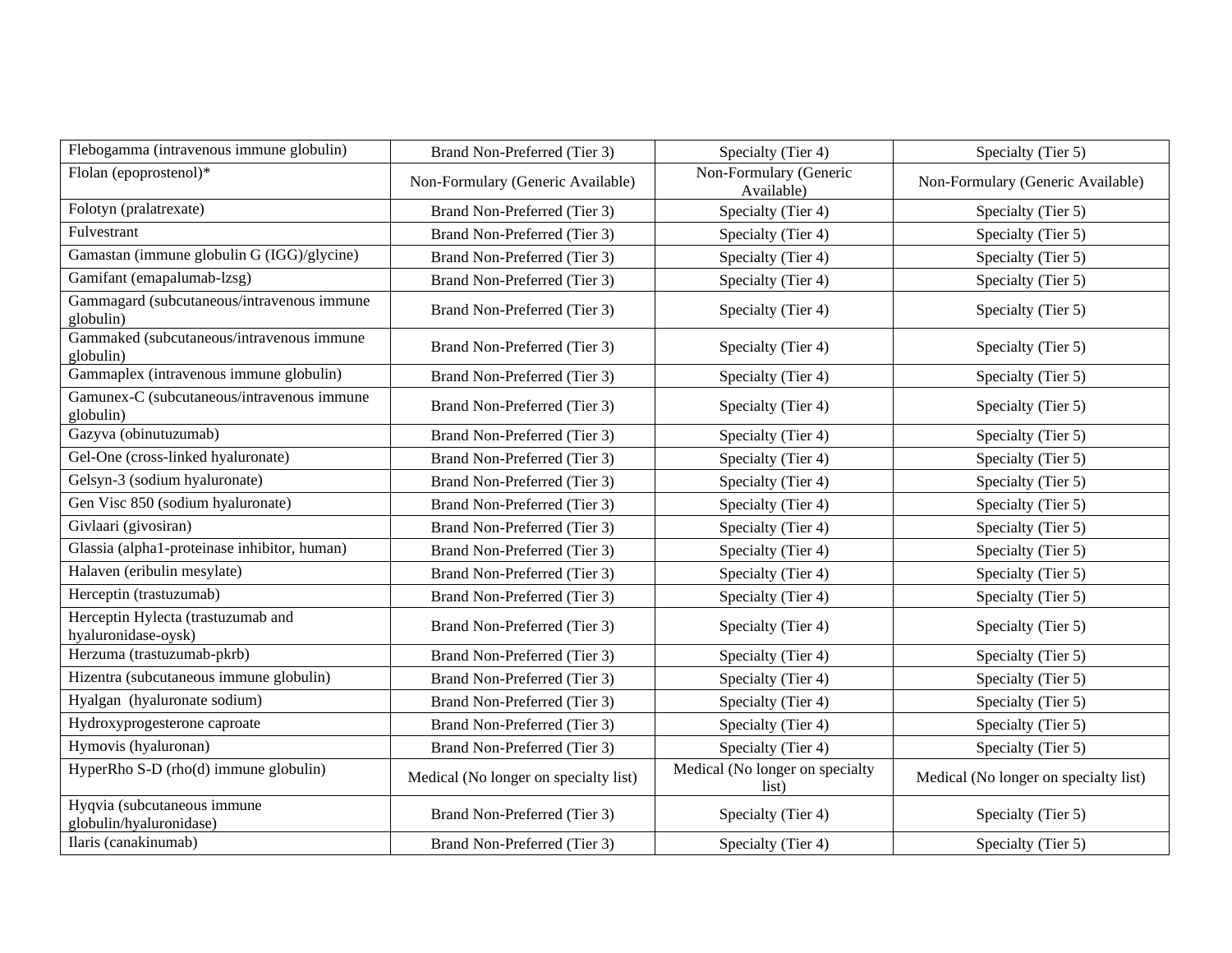| Flebogamma (intravenous immune globulin)                  | Brand Non-Preferred (Tier 3)          | Specialty (Tier 4)                       | Specialty (Tier 5)                    |
|-----------------------------------------------------------|---------------------------------------|------------------------------------------|---------------------------------------|
| Flolan (epoprostenol)*                                    | Non-Formulary (Generic Available)     | Non-Formulary (Generic<br>Available)     | Non-Formulary (Generic Available)     |
| Folotyn (pralatrexate)                                    | Brand Non-Preferred (Tier 3)          | Specialty (Tier 4)                       | Specialty (Tier 5)                    |
| Fulvestrant                                               | Brand Non-Preferred (Tier 3)          | Specialty (Tier 4)                       | Specialty (Tier 5)                    |
| Gamastan (immune globulin G (IGG)/glycine)                | Brand Non-Preferred (Tier 3)          | Specialty (Tier 4)                       | Specialty (Tier 5)                    |
| Gamifant (emapalumab-lzsg)                                | Brand Non-Preferred (Tier 3)          | Specialty (Tier 4)                       | Specialty (Tier 5)                    |
| Gammagard (subcutaneous/intravenous immune<br>globulin)   | Brand Non-Preferred (Tier 3)          | Specialty (Tier 4)                       | Specialty (Tier 5)                    |
| Gammaked (subcutaneous/intravenous immune<br>globulin)    | Brand Non-Preferred (Tier 3)          | Specialty (Tier 4)                       | Specialty (Tier 5)                    |
| Gammaplex (intravenous immune globulin)                   | Brand Non-Preferred (Tier 3)          | Specialty (Tier 4)                       | Specialty (Tier 5)                    |
| Gamunex-C (subcutaneous/intravenous immune<br>globulin)   | Brand Non-Preferred (Tier 3)          | Specialty (Tier 4)                       | Specialty (Tier 5)                    |
| Gazyva (obinutuzumab)                                     | Brand Non-Preferred (Tier 3)          | Specialty (Tier 4)                       | Specialty (Tier 5)                    |
| Gel-One (cross-linked hyaluronate)                        | Brand Non-Preferred (Tier 3)          | Specialty (Tier 4)                       | Specialty (Tier 5)                    |
| Gelsyn-3 (sodium hyaluronate)                             | Brand Non-Preferred (Tier 3)          | Specialty (Tier 4)                       | Specialty (Tier 5)                    |
| Gen Visc 850 (sodium hyaluronate)                         | Brand Non-Preferred (Tier 3)          | Specialty (Tier 4)                       | Specialty (Tier 5)                    |
| Givlaari (givosiran)                                      | Brand Non-Preferred (Tier 3)          | Specialty (Tier 4)                       | Specialty (Tier 5)                    |
| Glassia (alpha1-proteinase inhibitor, human)              | Brand Non-Preferred (Tier 3)          | Specialty (Tier 4)                       | Specialty (Tier 5)                    |
| Halaven (eribulin mesylate)                               | Brand Non-Preferred (Tier 3)          | Specialty (Tier 4)                       | Specialty (Tier 5)                    |
| Herceptin (trastuzumab)                                   | Brand Non-Preferred (Tier 3)          | Specialty (Tier 4)                       | Specialty (Tier 5)                    |
| Herceptin Hylecta (trastuzumab and<br>hyaluronidase-oysk) | Brand Non-Preferred (Tier 3)          | Specialty (Tier 4)                       | Specialty (Tier 5)                    |
| Herzuma (trastuzumab-pkrb)                                | Brand Non-Preferred (Tier 3)          | Specialty (Tier 4)                       | Specialty (Tier 5)                    |
| Hizentra (subcutaneous immune globulin)                   | Brand Non-Preferred (Tier 3)          | Specialty (Tier 4)                       | Specialty (Tier 5)                    |
| Hyalgan (hyaluronate sodium)                              | Brand Non-Preferred (Tier 3)          | Specialty (Tier 4)                       | Specialty (Tier 5)                    |
| Hydroxyprogesterone caproate                              | Brand Non-Preferred (Tier 3)          | Specialty (Tier 4)                       | Specialty (Tier 5)                    |
| Hymovis (hyaluronan)                                      | Brand Non-Preferred (Tier 3)          | Specialty (Tier 4)                       | Specialty (Tier 5)                    |
| HyperRho S-D (rho(d) immune globulin)                     | Medical (No longer on specialty list) | Medical (No longer on specialty<br>list) | Medical (No longer on specialty list) |
| Hyqvia (subcutaneous immune<br>globulin/hyaluronidase)    | Brand Non-Preferred (Tier 3)          | Specialty (Tier 4)                       | Specialty (Tier 5)                    |
| Ilaris (canakinumab)                                      | Brand Non-Preferred (Tier 3)          | Specialty (Tier 4)                       | Specialty (Tier 5)                    |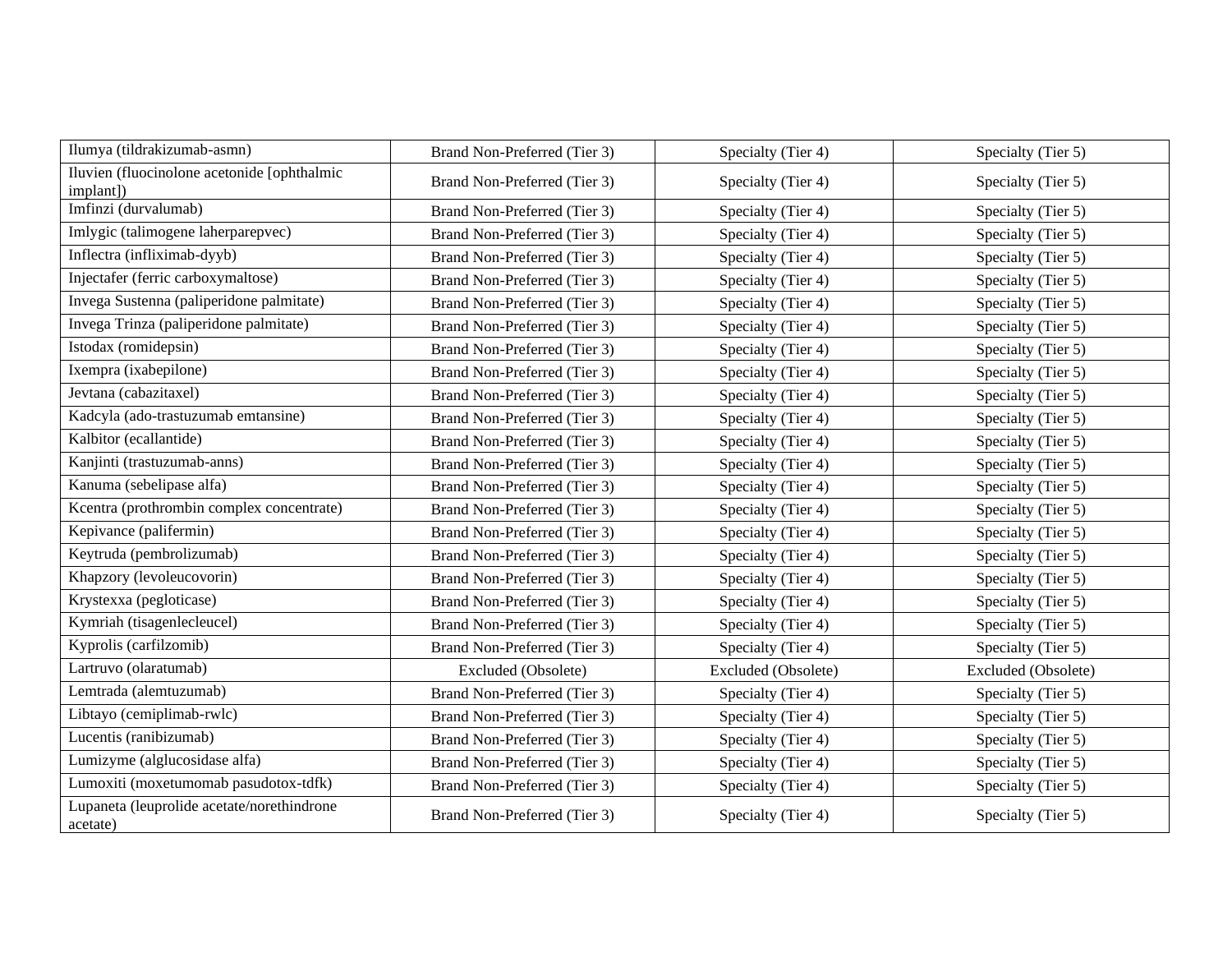| Ilumya (tildrakizumab-asmn)                              | Brand Non-Preferred (Tier 3) | Specialty (Tier 4)  | Specialty (Tier 5)  |
|----------------------------------------------------------|------------------------------|---------------------|---------------------|
|                                                          |                              |                     |                     |
| Iluvien (fluocinolone acetonide [ophthalmic<br>implant]) | Brand Non-Preferred (Tier 3) | Specialty (Tier 4)  | Specialty (Tier 5)  |
| Imfinzi (durvalumab)                                     | Brand Non-Preferred (Tier 3) | Specialty (Tier 4)  | Specialty (Tier 5)  |
| Imlygic (talimogene laherparepvec)                       | Brand Non-Preferred (Tier 3) | Specialty (Tier 4)  | Specialty (Tier 5)  |
| Inflectra (infliximab-dyyb)                              | Brand Non-Preferred (Tier 3) | Specialty (Tier 4)  | Specialty (Tier 5)  |
| Injectafer (ferric carboxymaltose)                       | Brand Non-Preferred (Tier 3) | Specialty (Tier 4)  | Specialty (Tier 5)  |
| Invega Sustenna (paliperidone palmitate)                 | Brand Non-Preferred (Tier 3) | Specialty (Tier 4)  | Specialty (Tier 5)  |
| Invega Trinza (paliperidone palmitate)                   | Brand Non-Preferred (Tier 3) | Specialty (Tier 4)  | Specialty (Tier 5)  |
| Istodax (romidepsin)                                     | Brand Non-Preferred (Tier 3) | Specialty (Tier 4)  | Specialty (Tier 5)  |
| Ixempra (ixabepilone)                                    | Brand Non-Preferred (Tier 3) | Specialty (Tier 4)  | Specialty (Tier 5)  |
| Jevtana (cabazitaxel)                                    | Brand Non-Preferred (Tier 3) | Specialty (Tier 4)  | Specialty (Tier 5)  |
| Kadcyla (ado-trastuzumab emtansine)                      | Brand Non-Preferred (Tier 3) | Specialty (Tier 4)  | Specialty (Tier 5)  |
| Kalbitor (ecallantide)                                   | Brand Non-Preferred (Tier 3) | Specialty (Tier 4)  | Specialty (Tier 5)  |
| Kanjinti (trastuzumab-anns)                              | Brand Non-Preferred (Tier 3) | Specialty (Tier 4)  | Specialty (Tier 5)  |
| Kanuma (sebelipase alfa)                                 | Brand Non-Preferred (Tier 3) | Specialty (Tier 4)  | Specialty (Tier 5)  |
| Kcentra (prothrombin complex concentrate)                | Brand Non-Preferred (Tier 3) | Specialty (Tier 4)  | Specialty (Tier 5)  |
| Kepivance (palifermin)                                   | Brand Non-Preferred (Tier 3) | Specialty (Tier 4)  | Specialty (Tier 5)  |
| Keytruda (pembrolizumab)                                 | Brand Non-Preferred (Tier 3) | Specialty (Tier 4)  | Specialty (Tier 5)  |
| Khapzory (levoleucovorin)                                | Brand Non-Preferred (Tier 3) | Specialty (Tier 4)  | Specialty (Tier 5)  |
| Krystexxa (pegloticase)                                  | Brand Non-Preferred (Tier 3) | Specialty (Tier 4)  | Specialty (Tier 5)  |
| Kymriah (tisagenlecleucel)                               | Brand Non-Preferred (Tier 3) | Specialty (Tier 4)  | Specialty (Tier 5)  |
| Kyprolis (carfilzomib)                                   | Brand Non-Preferred (Tier 3) | Specialty (Tier 4)  | Specialty (Tier 5)  |
| Lartruvo (olaratumab)                                    | Excluded (Obsolete)          | Excluded (Obsolete) | Excluded (Obsolete) |
| Lemtrada (alemtuzumab)                                   | Brand Non-Preferred (Tier 3) | Specialty (Tier 4)  | Specialty (Tier 5)  |
| Libtayo (cemiplimab-rwlc)                                | Brand Non-Preferred (Tier 3) | Specialty (Tier 4)  | Specialty (Tier 5)  |
| Lucentis (ranibizumab)                                   | Brand Non-Preferred (Tier 3) | Specialty (Tier 4)  | Specialty (Tier 5)  |
| Lumizyme (alglucosidase alfa)                            | Brand Non-Preferred (Tier 3) | Specialty (Tier 4)  | Specialty (Tier 5)  |
| Lumoxiti (moxetumomab pasudotox-tdfk)                    | Brand Non-Preferred (Tier 3) | Specialty (Tier 4)  | Specialty (Tier 5)  |
| Lupaneta (leuprolide acetate/norethindrone<br>acetate)   | Brand Non-Preferred (Tier 3) | Specialty (Tier 4)  | Specialty (Tier 5)  |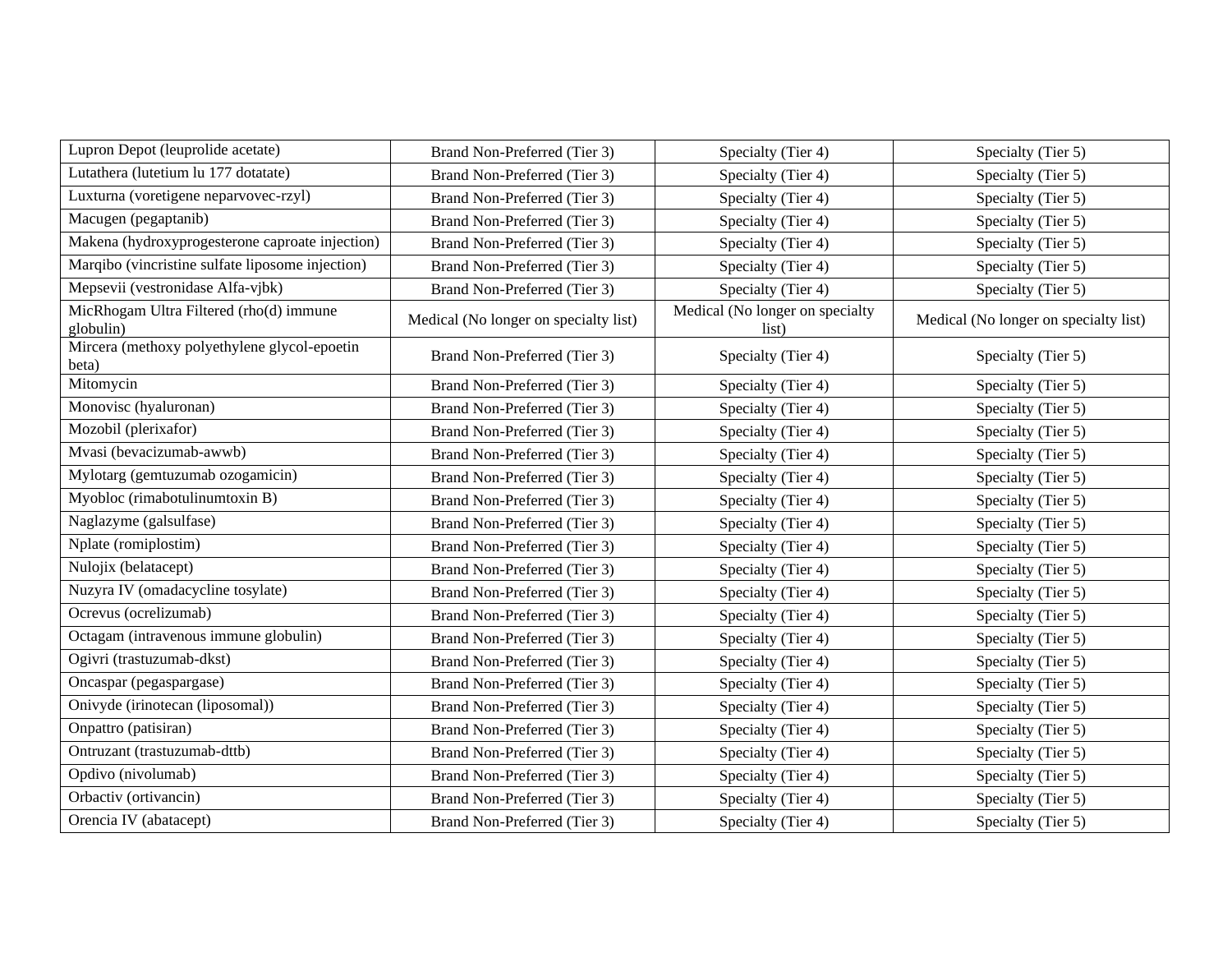| Lupron Depot (leuprolide acetate)                     | Brand Non-Preferred (Tier 3)          | Specialty (Tier 4)                       | Specialty (Tier 5)                    |
|-------------------------------------------------------|---------------------------------------|------------------------------------------|---------------------------------------|
| Lutathera (lutetium lu 177 dotatate)                  | Brand Non-Preferred (Tier 3)          | Specialty (Tier 4)                       | Specialty (Tier 5)                    |
| Luxturna (voretigene neparvovec-rzyl)                 | Brand Non-Preferred (Tier 3)          | Specialty (Tier 4)                       | Specialty (Tier 5)                    |
| Macugen (pegaptanib)                                  | Brand Non-Preferred (Tier 3)          | Specialty (Tier 4)                       | Specialty (Tier 5)                    |
| Makena (hydroxyprogesterone caproate injection)       | Brand Non-Preferred (Tier 3)          | Specialty (Tier 4)                       | Specialty (Tier 5)                    |
| Marqibo (vincristine sulfate liposome injection)      | Brand Non-Preferred (Tier 3)          | Specialty (Tier 4)                       | Specialty (Tier 5)                    |
| Mepsevii (vestronidase Alfa-vjbk)                     | Brand Non-Preferred (Tier 3)          | Specialty (Tier 4)                       | Specialty (Tier 5)                    |
| MicRhogam Ultra Filtered (rho(d) immune<br>globulin)  | Medical (No longer on specialty list) | Medical (No longer on specialty<br>list) | Medical (No longer on specialty list) |
| Mircera (methoxy polyethylene glycol-epoetin<br>beta) | Brand Non-Preferred (Tier 3)          | Specialty (Tier 4)                       | Specialty (Tier 5)                    |
| Mitomycin                                             | Brand Non-Preferred (Tier 3)          | Specialty (Tier 4)                       | Specialty (Tier 5)                    |
| Monovisc (hyaluronan)                                 | Brand Non-Preferred (Tier 3)          | Specialty (Tier 4)                       | Specialty (Tier 5)                    |
| Mozobil (plerixafor)                                  | Brand Non-Preferred (Tier 3)          | Specialty (Tier 4)                       | Specialty (Tier 5)                    |
| Mvasi (bevacizumab-awwb)                              | Brand Non-Preferred (Tier 3)          | Specialty (Tier 4)                       | Specialty (Tier 5)                    |
| Mylotarg (gemtuzumab ozogamicin)                      | Brand Non-Preferred (Tier 3)          | Specialty (Tier 4)                       | Specialty (Tier 5)                    |
| Myobloc (rimabotulinumtoxin B)                        | Brand Non-Preferred (Tier 3)          | Specialty (Tier 4)                       | Specialty (Tier 5)                    |
| Naglazyme (galsulfase)                                | Brand Non-Preferred (Tier 3)          | Specialty (Tier 4)                       | Specialty (Tier 5)                    |
| Nplate (romiplostim)                                  | Brand Non-Preferred (Tier 3)          | Specialty (Tier 4)                       | Specialty (Tier 5)                    |
| Nulojix (belatacept)                                  | Brand Non-Preferred (Tier 3)          | Specialty (Tier 4)                       | Specialty (Tier 5)                    |
| Nuzyra IV (omadacycline tosylate)                     | Brand Non-Preferred (Tier 3)          | Specialty (Tier 4)                       | Specialty (Tier 5)                    |
| Ocrevus (ocrelizumab)                                 | Brand Non-Preferred (Tier 3)          | Specialty (Tier 4)                       | Specialty (Tier 5)                    |
| Octagam (intravenous immune globulin)                 | Brand Non-Preferred (Tier 3)          | Specialty (Tier 4)                       | Specialty (Tier 5)                    |
| Ogivri (trastuzumab-dkst)                             | Brand Non-Preferred (Tier 3)          | Specialty (Tier 4)                       | Specialty (Tier 5)                    |
| Oncaspar (pegaspargase)                               | Brand Non-Preferred (Tier 3)          | Specialty (Tier 4)                       | Specialty (Tier 5)                    |
| Onivyde (irinotecan (liposomal))                      | Brand Non-Preferred (Tier 3)          | Specialty (Tier 4)                       | Specialty (Tier 5)                    |
| Onpattro (patisiran)                                  | Brand Non-Preferred (Tier 3)          | Specialty (Tier 4)                       | Specialty (Tier 5)                    |
| Ontruzant (trastuzumab-dttb)                          | Brand Non-Preferred (Tier 3)          | Specialty (Tier 4)                       | Specialty (Tier 5)                    |
| Opdivo (nivolumab)                                    | Brand Non-Preferred (Tier 3)          | Specialty (Tier 4)                       | Specialty (Tier 5)                    |
| Orbactiv (ortivancin)                                 | Brand Non-Preferred (Tier 3)          | Specialty (Tier 4)                       | Specialty (Tier 5)                    |
| Orencia IV (abatacept)                                | Brand Non-Preferred (Tier 3)          | Specialty (Tier 4)                       | Specialty (Tier 5)                    |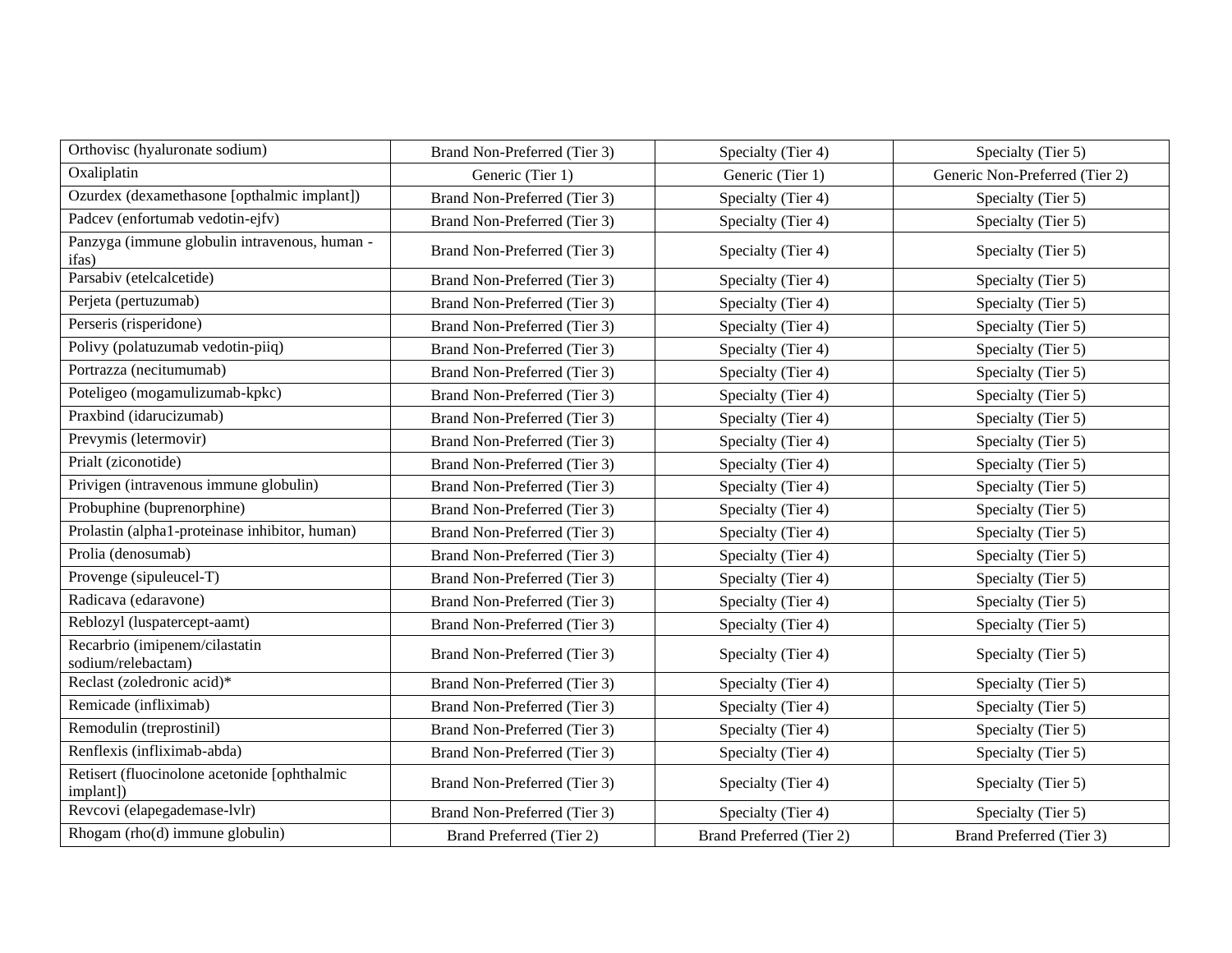| Orthovisc (hyaluronate sodium)                            | Brand Non-Preferred (Tier 3) | Specialty (Tier 4)       | Specialty (Tier 5)             |
|-----------------------------------------------------------|------------------------------|--------------------------|--------------------------------|
| Oxaliplatin                                               | Generic (Tier 1)             | Generic (Tier 1)         | Generic Non-Preferred (Tier 2) |
| Ozurdex (dexamethasone [opthalmic implant])               | Brand Non-Preferred (Tier 3) | Specialty (Tier 4)       | Specialty (Tier 5)             |
| Padcev (enfortumab vedotin-ejfv)                          | Brand Non-Preferred (Tier 3) | Specialty (Tier 4)       | Specialty (Tier 5)             |
| Panzyga (immune globulin intravenous, human -<br>ifas)    | Brand Non-Preferred (Tier 3) | Specialty (Tier 4)       | Specialty (Tier 5)             |
| Parsabiv (etelcalcetide)                                  | Brand Non-Preferred (Tier 3) | Specialty (Tier 4)       | Specialty (Tier 5)             |
| Perjeta (pertuzumab)                                      | Brand Non-Preferred (Tier 3) | Specialty (Tier 4)       | Specialty (Tier 5)             |
| Perseris (risperidone)                                    | Brand Non-Preferred (Tier 3) | Specialty (Tier 4)       | Specialty (Tier 5)             |
| Polivy (polatuzumab vedotin-piiq)                         | Brand Non-Preferred (Tier 3) | Specialty (Tier 4)       | Specialty (Tier 5)             |
| Portrazza (necitumumab)                                   | Brand Non-Preferred (Tier 3) | Specialty (Tier 4)       | Specialty (Tier 5)             |
| Poteligeo (mogamulizumab-kpkc)                            | Brand Non-Preferred (Tier 3) | Specialty (Tier 4)       | Specialty (Tier 5)             |
| Praxbind (idarucizumab)                                   | Brand Non-Preferred (Tier 3) | Specialty (Tier 4)       | Specialty (Tier 5)             |
| Prevymis (letermovir)                                     | Brand Non-Preferred (Tier 3) | Specialty (Tier 4)       | Specialty (Tier 5)             |
| Prialt (ziconotide)                                       | Brand Non-Preferred (Tier 3) | Specialty (Tier 4)       | Specialty (Tier 5)             |
| Privigen (intravenous immune globulin)                    | Brand Non-Preferred (Tier 3) | Specialty (Tier 4)       | Specialty (Tier 5)             |
| Probuphine (buprenorphine)                                | Brand Non-Preferred (Tier 3) | Specialty (Tier 4)       | Specialty (Tier 5)             |
| Prolastin (alpha1-proteinase inhibitor, human)            | Brand Non-Preferred (Tier 3) | Specialty (Tier 4)       | Specialty (Tier 5)             |
| Prolia (denosumab)                                        | Brand Non-Preferred (Tier 3) | Specialty (Tier 4)       | Specialty (Tier 5)             |
| Provenge (sipuleucel-T)                                   | Brand Non-Preferred (Tier 3) | Specialty (Tier 4)       | Specialty (Tier 5)             |
| Radicava (edaravone)                                      | Brand Non-Preferred (Tier 3) | Specialty (Tier 4)       | Specialty (Tier 5)             |
| Reblozyl (luspatercept-aamt)                              | Brand Non-Preferred (Tier 3) | Specialty (Tier 4)       | Specialty (Tier 5)             |
| Recarbrio (imipenem/cilastatin<br>sodium/relebactam)      | Brand Non-Preferred (Tier 3) | Specialty (Tier 4)       | Specialty (Tier 5)             |
| Reclast (zoledronic acid)*                                | Brand Non-Preferred (Tier 3) | Specialty (Tier 4)       | Specialty (Tier 5)             |
| Remicade (infliximab)                                     | Brand Non-Preferred (Tier 3) | Specialty (Tier 4)       | Specialty (Tier 5)             |
| Remodulin (treprostinil)                                  | Brand Non-Preferred (Tier 3) | Specialty (Tier 4)       | Specialty (Tier 5)             |
| Renflexis (infliximab-abda)                               | Brand Non-Preferred (Tier 3) | Specialty (Tier 4)       | Specialty (Tier 5)             |
| Retisert (fluocinolone acetonide [ophthalmic<br>implant]) | Brand Non-Preferred (Tier 3) | Specialty (Tier 4)       | Specialty (Tier 5)             |
| Revcovi (elapegademase-lvlr)                              | Brand Non-Preferred (Tier 3) | Specialty (Tier 4)       | Specialty (Tier 5)             |
| Rhogam (rho(d) immune globulin)                           | Brand Preferred (Tier 2)     | Brand Preferred (Tier 2) | Brand Preferred (Tier 3)       |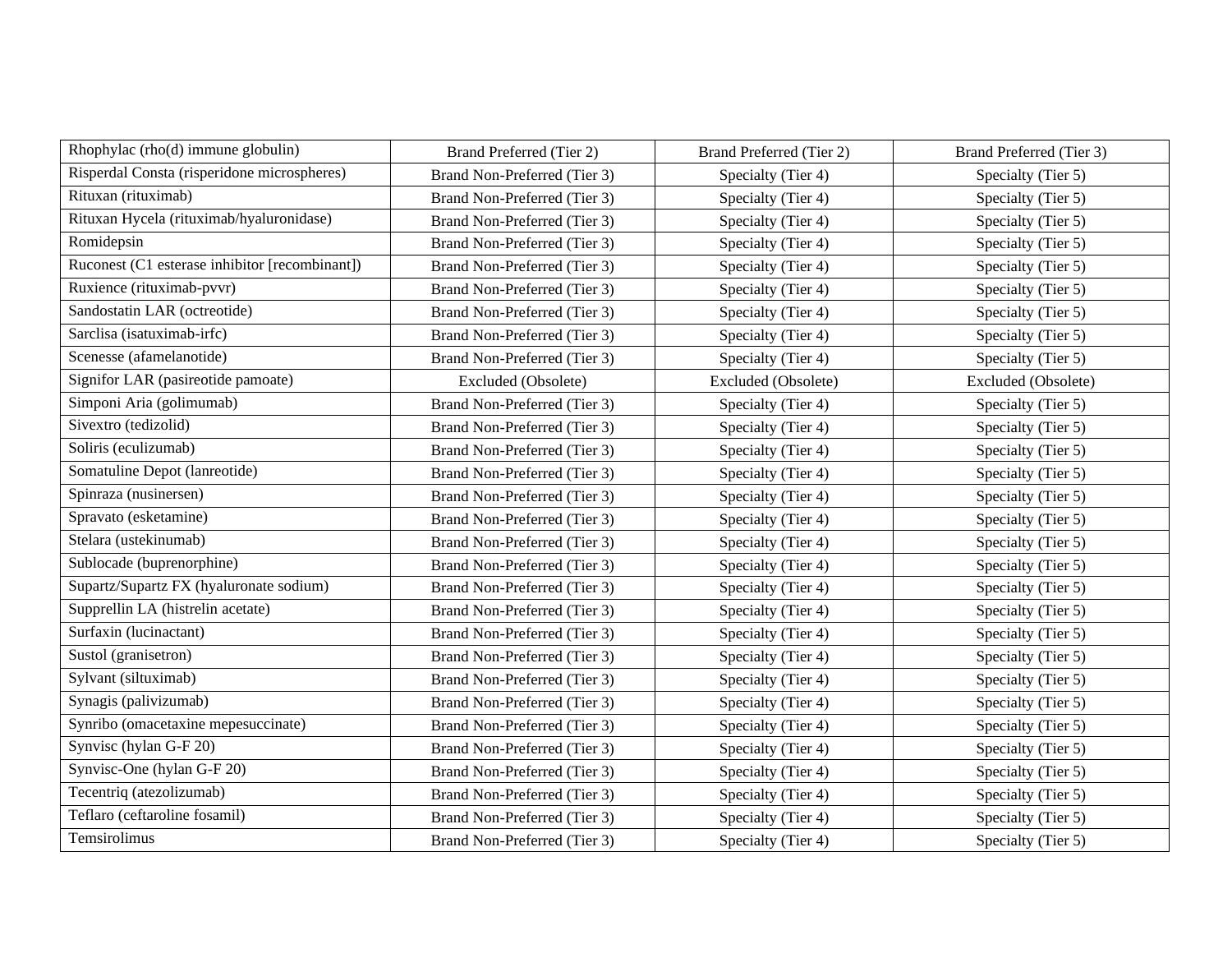| Rhophylac (rho(d) immune globulin)             | Brand Preferred (Tier 2)     | Brand Preferred (Tier 2) | Brand Preferred (Tier 3) |
|------------------------------------------------|------------------------------|--------------------------|--------------------------|
| Risperdal Consta (risperidone microspheres)    | Brand Non-Preferred (Tier 3) | Specialty (Tier 4)       | Specialty (Tier 5)       |
| Rituxan (rituximab)                            | Brand Non-Preferred (Tier 3) | Specialty (Tier 4)       | Specialty (Tier 5)       |
| Rituxan Hycela (rituximab/hyaluronidase)       | Brand Non-Preferred (Tier 3) | Specialty (Tier 4)       | Specialty (Tier 5)       |
| Romidepsin                                     | Brand Non-Preferred (Tier 3) | Specialty (Tier 4)       | Specialty (Tier 5)       |
| Ruconest (C1 esterase inhibitor [recombinant]) | Brand Non-Preferred (Tier 3) | Specialty (Tier 4)       | Specialty (Tier 5)       |
| Ruxience (rituximab-pvvr)                      | Brand Non-Preferred (Tier 3) | Specialty (Tier 4)       | Specialty (Tier 5)       |
| Sandostatin LAR (octreotide)                   | Brand Non-Preferred (Tier 3) | Specialty (Tier 4)       | Specialty (Tier 5)       |
| Sarclisa (isatuximab-irfc)                     | Brand Non-Preferred (Tier 3) | Specialty (Tier 4)       | Specialty (Tier 5)       |
| Scenesse (afamelanotide)                       | Brand Non-Preferred (Tier 3) | Specialty (Tier 4)       | Specialty (Tier 5)       |
| Signifor LAR (pasireotide pamoate)             | Excluded (Obsolete)          | Excluded (Obsolete)      | Excluded (Obsolete)      |
| Simponi Aria (golimumab)                       | Brand Non-Preferred (Tier 3) | Specialty (Tier 4)       | Specialty (Tier 5)       |
| Sivextro (tedizolid)                           | Brand Non-Preferred (Tier 3) | Specialty (Tier 4)       | Specialty (Tier 5)       |
| Soliris (eculizumab)                           | Brand Non-Preferred (Tier 3) | Specialty (Tier 4)       | Specialty (Tier 5)       |
| Somatuline Depot (lanreotide)                  | Brand Non-Preferred (Tier 3) | Specialty (Tier 4)       | Specialty (Tier 5)       |
| Spinraza (nusinersen)                          | Brand Non-Preferred (Tier 3) | Specialty (Tier 4)       | Specialty (Tier 5)       |
| Spravato (esketamine)                          | Brand Non-Preferred (Tier 3) | Specialty (Tier 4)       | Specialty (Tier 5)       |
| Stelara (ustekinumab)                          | Brand Non-Preferred (Tier 3) | Specialty (Tier 4)       | Specialty (Tier 5)       |
| Sublocade (buprenorphine)                      | Brand Non-Preferred (Tier 3) | Specialty (Tier 4)       | Specialty (Tier 5)       |
| Supartz/Supartz FX (hyaluronate sodium)        | Brand Non-Preferred (Tier 3) | Specialty (Tier 4)       | Specialty (Tier 5)       |
| Supprellin LA (histrelin acetate)              | Brand Non-Preferred (Tier 3) | Specialty (Tier 4)       | Specialty (Tier 5)       |
| Surfaxin (lucinactant)                         | Brand Non-Preferred (Tier 3) | Specialty (Tier 4)       | Specialty (Tier 5)       |
| Sustol (granisetron)                           | Brand Non-Preferred (Tier 3) | Specialty (Tier 4)       | Specialty (Tier 5)       |
| Sylvant (siltuximab)                           | Brand Non-Preferred (Tier 3) | Specialty (Tier 4)       | Specialty (Tier 5)       |
| Synagis (palivizumab)                          | Brand Non-Preferred (Tier 3) | Specialty (Tier 4)       | Specialty (Tier 5)       |
| Synribo (omacetaxine mepesuccinate)            | Brand Non-Preferred (Tier 3) | Specialty (Tier 4)       | Specialty (Tier 5)       |
| Synvisc (hylan G-F 20)                         | Brand Non-Preferred (Tier 3) | Specialty (Tier 4)       | Specialty (Tier 5)       |
| Synvisc-One (hylan G-F 20)                     | Brand Non-Preferred (Tier 3) | Specialty (Tier 4)       | Specialty (Tier 5)       |
| Tecentriq (atezolizumab)                       | Brand Non-Preferred (Tier 3) | Specialty (Tier 4)       | Specialty (Tier 5)       |
| Teflaro (ceftaroline fosamil)                  | Brand Non-Preferred (Tier 3) | Specialty (Tier 4)       | Specialty (Tier 5)       |
| Temsirolimus                                   | Brand Non-Preferred (Tier 3) | Specialty (Tier 4)       | Specialty (Tier 5)       |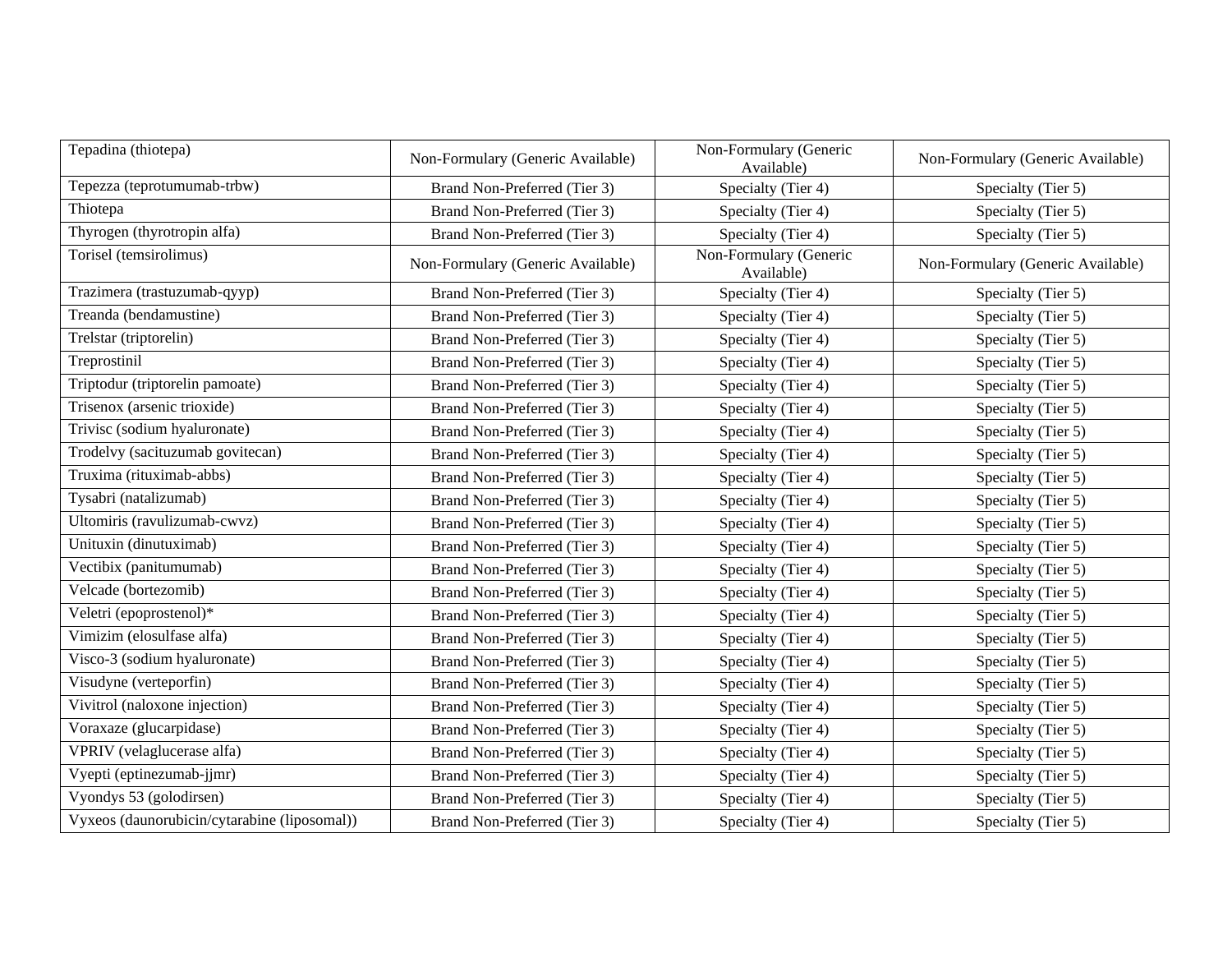| Tepadina (thiotepa)                          | Non-Formulary (Generic Available) | Non-Formulary (Generic<br>Available) | Non-Formulary (Generic Available) |
|----------------------------------------------|-----------------------------------|--------------------------------------|-----------------------------------|
| Tepezza (teprotumumab-trbw)                  | Brand Non-Preferred (Tier 3)      | Specialty (Tier 4)                   | Specialty (Tier 5)                |
| Thiotepa                                     | Brand Non-Preferred (Tier 3)      | Specialty (Tier 4)                   | Specialty (Tier 5)                |
| Thyrogen (thyrotropin alfa)                  | Brand Non-Preferred (Tier 3)      | Specialty (Tier 4)                   | Specialty (Tier 5)                |
| Torisel (temsirolimus)                       | Non-Formulary (Generic Available) | Non-Formulary (Generic<br>Available) | Non-Formulary (Generic Available) |
| Trazimera (trastuzumab-qyyp)                 | Brand Non-Preferred (Tier 3)      | Specialty (Tier 4)                   | Specialty (Tier 5)                |
| Treanda (bendamustine)                       | Brand Non-Preferred (Tier 3)      | Specialty (Tier 4)                   | Specialty (Tier 5)                |
| Trelstar (triptorelin)                       | Brand Non-Preferred (Tier 3)      | Specialty (Tier 4)                   | Specialty (Tier 5)                |
| Treprostinil                                 | Brand Non-Preferred (Tier 3)      | Specialty (Tier 4)                   | Specialty (Tier 5)                |
| Triptodur (triptorelin pamoate)              | Brand Non-Preferred (Tier 3)      | Specialty (Tier 4)                   | Specialty (Tier 5)                |
| Trisenox (arsenic trioxide)                  | Brand Non-Preferred (Tier 3)      | Specialty (Tier 4)                   | Specialty (Tier 5)                |
| Trivisc (sodium hyaluronate)                 | Brand Non-Preferred (Tier 3)      | Specialty (Tier 4)                   | Specialty (Tier 5)                |
| Trodelvy (sacituzumab govitecan)             | Brand Non-Preferred (Tier 3)      | Specialty (Tier 4)                   | Specialty (Tier 5)                |
| Truxima (rituximab-abbs)                     | Brand Non-Preferred (Tier 3)      | Specialty (Tier 4)                   | Specialty (Tier 5)                |
| Tysabri (natalizumab)                        | Brand Non-Preferred (Tier 3)      | Specialty (Tier 4)                   | Specialty (Tier 5)                |
| Ultomiris (ravulizumab-cwvz)                 | Brand Non-Preferred (Tier 3)      | Specialty (Tier 4)                   | Specialty (Tier 5)                |
| Unituxin (dinutuximab)                       | Brand Non-Preferred (Tier 3)      | Specialty (Tier 4)                   | Specialty (Tier 5)                |
| Vectibix (panitumumab)                       | Brand Non-Preferred (Tier 3)      | Specialty (Tier 4)                   | Specialty (Tier 5)                |
| Velcade (bortezomib)                         | Brand Non-Preferred (Tier 3)      | Specialty (Tier 4)                   | Specialty (Tier 5)                |
| Veletri (epoprostenol)*                      | Brand Non-Preferred (Tier 3)      | Specialty (Tier 4)                   | Specialty (Tier 5)                |
| Vimizim (elosulfase alfa)                    | Brand Non-Preferred (Tier 3)      | Specialty (Tier 4)                   | Specialty (Tier 5)                |
| Visco-3 (sodium hyaluronate)                 | Brand Non-Preferred (Tier 3)      | Specialty (Tier 4)                   | Specialty (Tier 5)                |
| Visudyne (verteporfin)                       | Brand Non-Preferred (Tier 3)      | Specialty (Tier 4)                   | Specialty (Tier 5)                |
| Vivitrol (naloxone injection)                | Brand Non-Preferred (Tier 3)      | Specialty (Tier 4)                   | Specialty (Tier 5)                |
| Voraxaze (glucarpidase)                      | Brand Non-Preferred (Tier 3)      | Specialty (Tier 4)                   | Specialty (Tier 5)                |
| VPRIV (velaglucerase alfa)                   | Brand Non-Preferred (Tier 3)      | Specialty (Tier 4)                   | Specialty (Tier 5)                |
| Vyepti (eptinezumab-jjmr)                    | Brand Non-Preferred (Tier 3)      | Specialty (Tier 4)                   | Specialty (Tier 5)                |
| Vyondys 53 (golodirsen)                      | Brand Non-Preferred (Tier 3)      | Specialty (Tier 4)                   | Specialty (Tier 5)                |
| Vyxeos (daunorubicin/cytarabine (liposomal)) | Brand Non-Preferred (Tier 3)      | Specialty (Tier 4)                   | Specialty (Tier 5)                |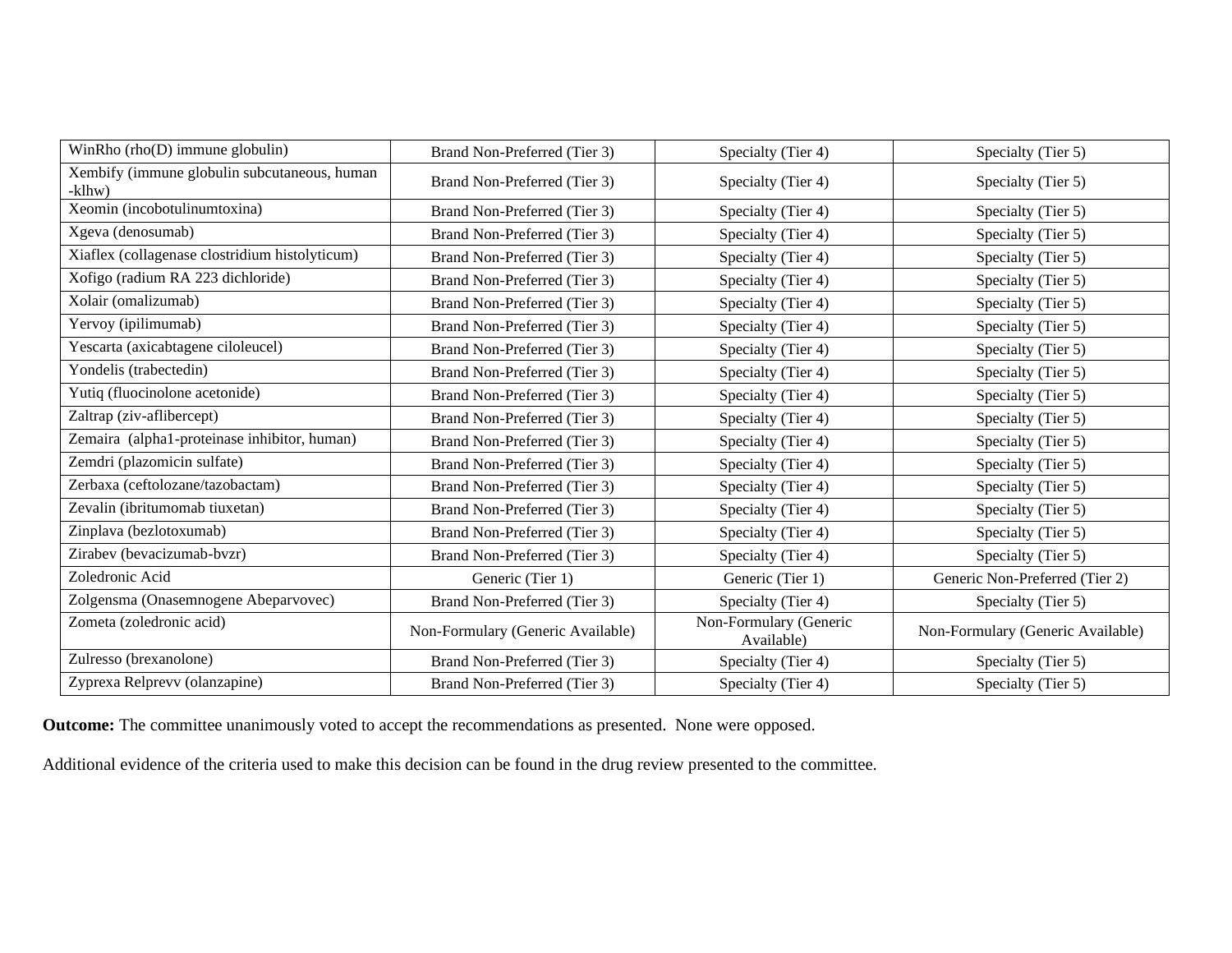| WinRho (rho(D) immune globulin)                        | Brand Non-Preferred (Tier 3)      | Specialty (Tier 4)                   | Specialty (Tier 5)                |
|--------------------------------------------------------|-----------------------------------|--------------------------------------|-----------------------------------|
| Xembify (immune globulin subcutaneous, human<br>-klhw) | Brand Non-Preferred (Tier 3)      | Specialty (Tier 4)                   | Specialty (Tier 5)                |
| Xeomin (incobotulinumtoxina)                           | Brand Non-Preferred (Tier 3)      | Specialty (Tier 4)                   | Specialty (Tier 5)                |
| Xgeva (denosumab)                                      | Brand Non-Preferred (Tier 3)      | Specialty (Tier 4)                   | Specialty (Tier 5)                |
| Xiaflex (collagenase clostridium histolyticum)         | Brand Non-Preferred (Tier 3)      | Specialty (Tier 4)                   | Specialty (Tier 5)                |
| Xofigo (radium RA 223 dichloride)                      | Brand Non-Preferred (Tier 3)      | Specialty (Tier 4)                   | Specialty (Tier 5)                |
| Xolair (omalizumab)                                    | Brand Non-Preferred (Tier 3)      | Specialty (Tier 4)                   | Specialty (Tier 5)                |
| Yervoy (ipilimumab)                                    | Brand Non-Preferred (Tier 3)      | Specialty (Tier 4)                   | Specialty (Tier 5)                |
| Yescarta (axicabtagene ciloleucel)                     | Brand Non-Preferred (Tier 3)      | Specialty (Tier 4)                   | Specialty (Tier 5)                |
| Yondelis (trabectedin)                                 | Brand Non-Preferred (Tier 3)      | Specialty (Tier 4)                   | Specialty (Tier 5)                |
| Yutiq (fluocinolone acetonide)                         | Brand Non-Preferred (Tier 3)      | Specialty (Tier 4)                   | Specialty (Tier 5)                |
| Zaltrap (ziv-aflibercept)                              | Brand Non-Preferred (Tier 3)      | Specialty (Tier 4)                   | Specialty (Tier 5)                |
| Zemaira (alpha1-proteinase inhibitor, human)           | Brand Non-Preferred (Tier 3)      | Specialty (Tier 4)                   | Specialty (Tier 5)                |
| Zemdri (plazomicin sulfate)                            | Brand Non-Preferred (Tier 3)      | Specialty (Tier 4)                   | Specialty (Tier 5)                |
| Zerbaxa (ceftolozane/tazobactam)                       | Brand Non-Preferred (Tier 3)      | Specialty (Tier 4)                   | Specialty (Tier 5)                |
| Zevalin (ibritumomab tiuxetan)                         | Brand Non-Preferred (Tier 3)      | Specialty (Tier 4)                   | Specialty (Tier 5)                |
| Zinplava (bezlotoxumab)                                | Brand Non-Preferred (Tier 3)      | Specialty (Tier 4)                   | Specialty (Tier 5)                |
| Zirabev (bevacizumab-bvzr)                             | Brand Non-Preferred (Tier 3)      | Specialty (Tier 4)                   | Specialty (Tier 5)                |
| Zoledronic Acid                                        | Generic (Tier 1)                  | Generic (Tier 1)                     | Generic Non-Preferred (Tier 2)    |
| Zolgensma (Onasemnogene Abeparvovec)                   | Brand Non-Preferred (Tier 3)      | Specialty (Tier 4)                   | Specialty (Tier 5)                |
| Zometa (zoledronic acid)                               | Non-Formulary (Generic Available) | Non-Formulary (Generic<br>Available) | Non-Formulary (Generic Available) |
| Zulresso (brexanolone)                                 | Brand Non-Preferred (Tier 3)      | Specialty (Tier 4)                   | Specialty (Tier 5)                |
| Zyprexa Relprevv (olanzapine)                          | Brand Non-Preferred (Tier 3)      | Specialty (Tier 4)                   | Specialty (Tier 5)                |

**Outcome:** The committee unanimously voted to accept the recommendations as presented. None were opposed.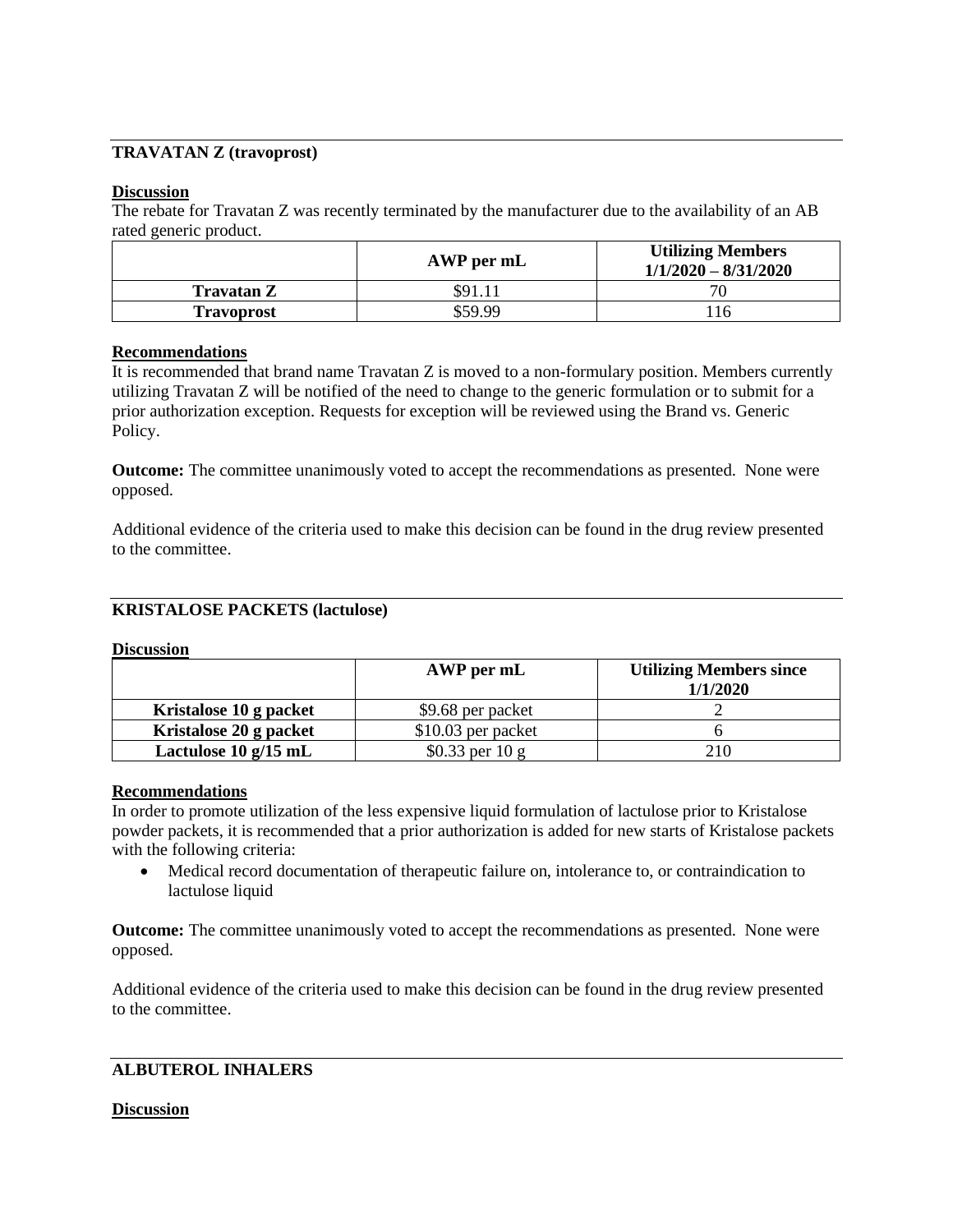## **TRAVATAN Z (travoprost)**

### **Discussion**

The rebate for Travatan Z was recently terminated by the manufacturer due to the availability of an AB rated generic product.

|                   | AWP per mL | <b>Utilizing Members</b><br>$1/1/2020 - 8/31/2020$ |
|-------------------|------------|----------------------------------------------------|
| Travatan Z        | \$91.11    | 70                                                 |
| <b>Travoprost</b> | \$59.99    |                                                    |

#### **Recommendations**

It is recommended that brand name Travatan Z is moved to a non-formulary position. Members currently utilizing Travatan Z will be notified of the need to change to the generic formulation or to submit for a prior authorization exception. Requests for exception will be reviewed using the Brand vs. Generic Policy.

**Outcome:** The committee unanimously voted to accept the recommendations as presented. None were opposed.

Additional evidence of the criteria used to make this decision can be found in the drug review presented to the committee.

#### **KRISTALOSE PACKETS (lactulose)**

#### **Discussion**

|                        | AWP per mL          | <b>Utilizing Members since</b><br>1/1/2020 |
|------------------------|---------------------|--------------------------------------------|
| Kristalose 10 g packet | \$9.68 per packet   |                                            |
| Kristalose 20 g packet | $$10.03$ per packet |                                            |
| Lactulose $10 g/15 mL$ | $$0.33$ per 10 g    | 210                                        |

#### **Recommendations**

In order to promote utilization of the less expensive liquid formulation of lactulose prior to Kristalose powder packets, it is recommended that a prior authorization is added for new starts of Kristalose packets with the following criteria:

• Medical record documentation of therapeutic failure on, intolerance to, or contraindication to lactulose liquid

**Outcome:** The committee unanimously voted to accept the recommendations as presented. None were opposed.

Additional evidence of the criteria used to make this decision can be found in the drug review presented to the committee.

### **ALBUTEROL INHALERS**

#### **Discussion**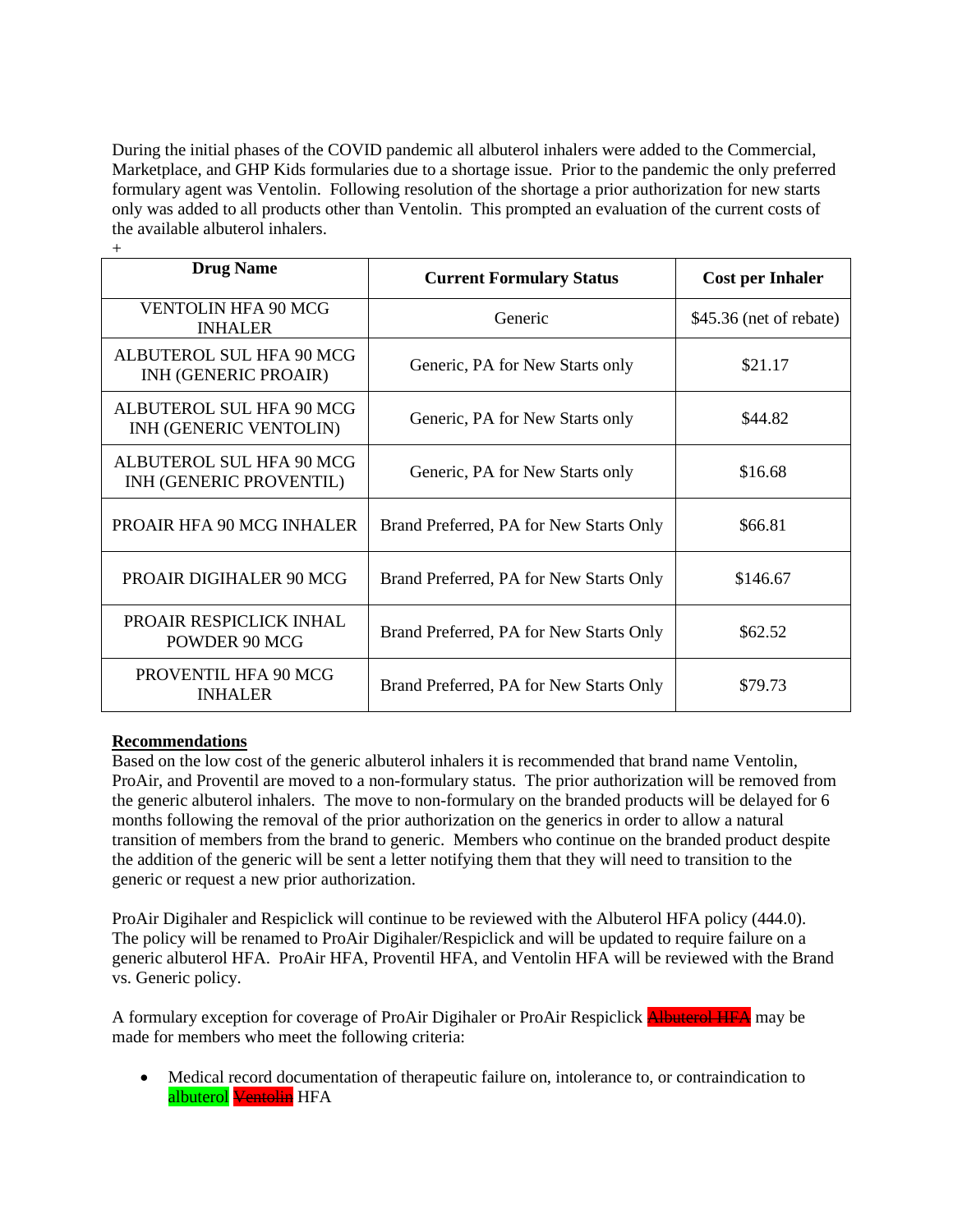During the initial phases of the COVID pandemic all albuterol inhalers were added to the Commercial, Marketplace, and GHP Kids formularies due to a shortage issue. Prior to the pandemic the only preferred formulary agent was Ventolin. Following resolution of the shortage a prior authorization for new starts only was added to all products other than Ventolin. This prompted an evaluation of the current costs of the available albuterol inhalers.

| <b>Drug Name</b>                                        | <b>Current Formulary Status</b>         | <b>Cost per Inhaler</b> |
|---------------------------------------------------------|-----------------------------------------|-------------------------|
| <b>VENTOLIN HFA 90 MCG</b><br><b>INHALER</b>            | Generic                                 | \$45.36 (net of rebate) |
| ALBUTEROL SUL HFA 90 MCG<br><b>INH (GENERIC PROAIR)</b> | Generic, PA for New Starts only         | \$21.17                 |
| ALBUTEROL SUL HFA 90 MCG<br>INH (GENERIC VENTOLIN)      | Generic, PA for New Starts only         | \$44.82                 |
| ALBUTEROL SUL HFA 90 MCG<br>INH (GENERIC PROVENTIL)     | Generic, PA for New Starts only         | \$16.68                 |
| PROAIR HFA 90 MCG INHALER                               | Brand Preferred, PA for New Starts Only | \$66.81                 |
| <b>PROAIR DIGIHALER 90 MCG</b>                          | Brand Preferred, PA for New Starts Only | \$146.67                |
| PROAIR RESPICLICK INHAL<br>POWDER 90 MCG                | Brand Preferred, PA for New Starts Only | \$62.52                 |
| PROVENTIL HFA 90 MCG<br><b>INHALER</b>                  | Brand Preferred, PA for New Starts Only | \$79.73                 |

### **Recommendations**

 $+$ 

Based on the low cost of the generic albuterol inhalers it is recommended that brand name Ventolin, ProAir, and Proventil are moved to a non-formulary status. The prior authorization will be removed from the generic albuterol inhalers. The move to non-formulary on the branded products will be delayed for 6 months following the removal of the prior authorization on the generics in order to allow a natural transition of members from the brand to generic. Members who continue on the branded product despite the addition of the generic will be sent a letter notifying them that they will need to transition to the generic or request a new prior authorization.

ProAir Digihaler and Respiclick will continue to be reviewed with the Albuterol HFA policy (444.0). The policy will be renamed to ProAir Digihaler/Respiclick and will be updated to require failure on a generic albuterol HFA. ProAir HFA, Proventil HFA, and Ventolin HFA will be reviewed with the Brand vs. Generic policy.

A formulary exception for coverage of ProAir Digihaler or ProAir Respiclick **Albuterol HFA** may be made for members who meet the following criteria:

• Medical record documentation of therapeutic failure on, intolerance to, or contraindication to albuterol Ventolin HFA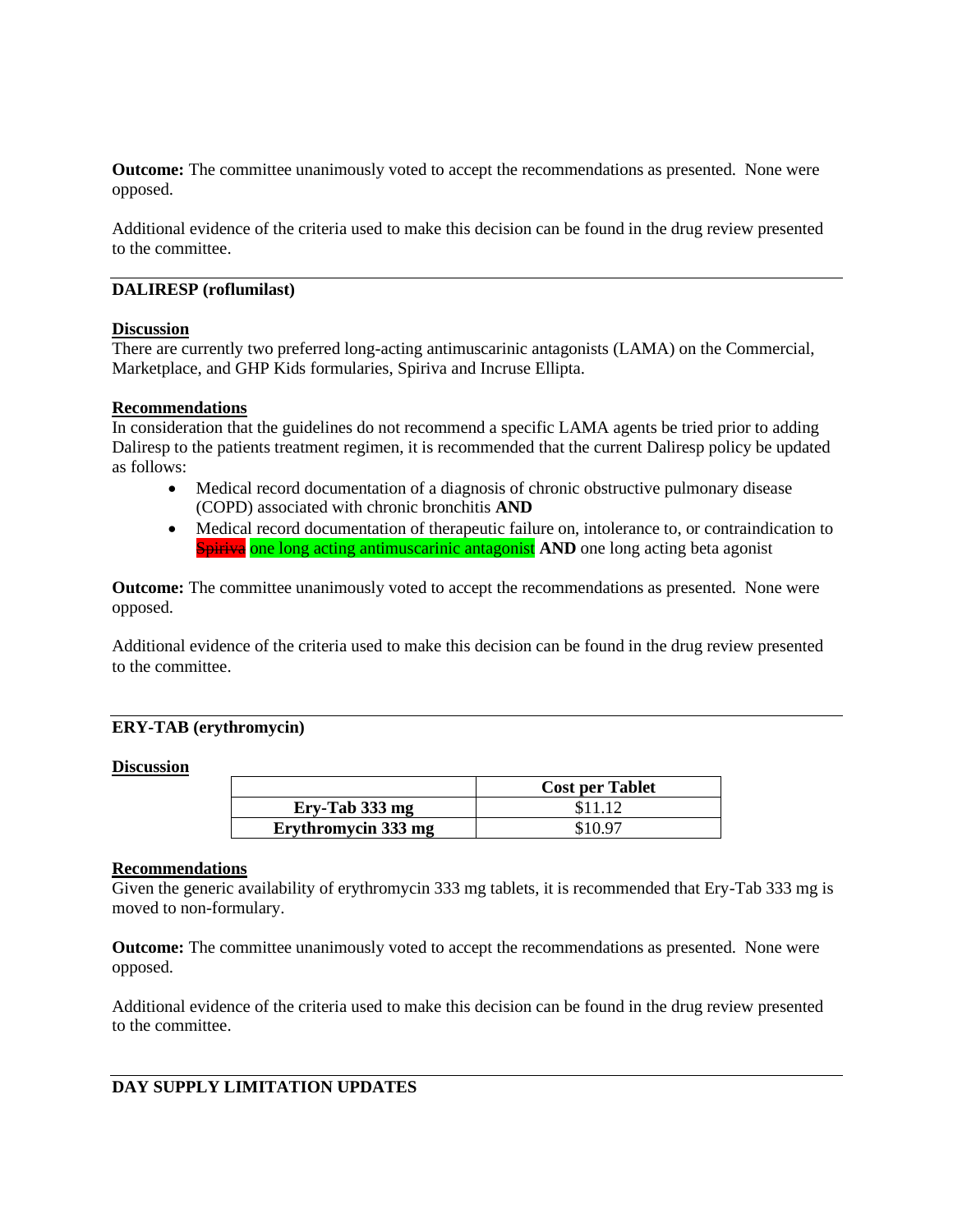**Outcome:** The committee unanimously voted to accept the recommendations as presented. None were opposed.

Additional evidence of the criteria used to make this decision can be found in the drug review presented to the committee.

#### **DALIRESP (roflumilast)**

#### **Discussion**

There are currently two preferred long-acting antimuscarinic antagonists (LAMA) on the Commercial, Marketplace, and GHP Kids formularies, Spiriva and Incruse Ellipta.

#### **Recommendations**

In consideration that the guidelines do not recommend a specific LAMA agents be tried prior to adding Daliresp to the patients treatment regimen, it is recommended that the current Daliresp policy be updated as follows:

- Medical record documentation of a diagnosis of chronic obstructive pulmonary disease (COPD) associated with chronic bronchitis **AND**
- Medical record documentation of therapeutic failure on, intolerance to, or contraindication to **Spiriva** one long acting antimuscarinic antagonist **AND** one long acting beta agonist

**Outcome:** The committee unanimously voted to accept the recommendations as presented. None were opposed.

Additional evidence of the criteria used to make this decision can be found in the drug review presented to the committee.

### **ERY-TAB (erythromycin)**

#### **Discussion**

|                     | <b>Cost per Tablet</b> |
|---------------------|------------------------|
| Ery-Tab 333 mg      | \$11.12                |
| Erythromycin 333 mg | \$10.97                |

#### **Recommendations**

Given the generic availability of erythromycin 333 mg tablets, it is recommended that Ery-Tab 333 mg is moved to non-formulary.

**Outcome:** The committee unanimously voted to accept the recommendations as presented. None were opposed.

Additional evidence of the criteria used to make this decision can be found in the drug review presented to the committee.

### **DAY SUPPLY LIMITATION UPDATES**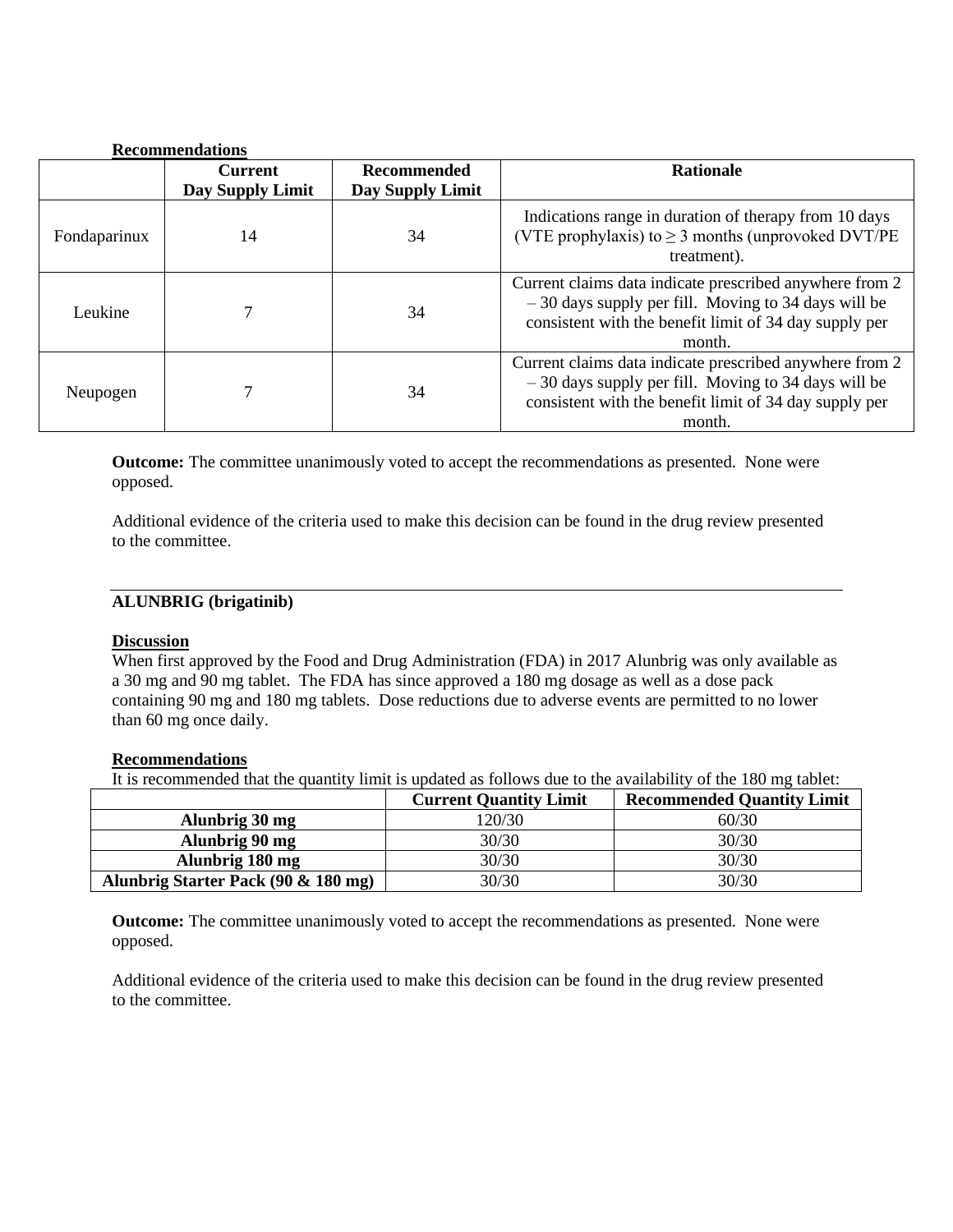|              | <b>Recommendations</b>             |                                        |                                                                                                                                                                                      |
|--------------|------------------------------------|----------------------------------------|--------------------------------------------------------------------------------------------------------------------------------------------------------------------------------------|
|              | <b>Current</b><br>Day Supply Limit | <b>Recommended</b><br>Day Supply Limit | <b>Rationale</b>                                                                                                                                                                     |
| Fondaparinux | 14                                 | 34                                     | Indications range in duration of therapy from 10 days<br>(VTE prophylaxis) to $\geq$ 3 months (unprovoked DVT/PE<br>treatment).                                                      |
| Leukine      |                                    | 34                                     | Current claims data indicate prescribed anywhere from 2<br>$-30$ days supply per fill. Moving to 34 days will be<br>consistent with the benefit limit of 34 day supply per<br>month. |
| Neupogen     |                                    | 34                                     | Current claims data indicate prescribed anywhere from 2<br>$-30$ days supply per fill. Moving to 34 days will be<br>consistent with the benefit limit of 34 day supply per<br>month. |

**Outcome:** The committee unanimously voted to accept the recommendations as presented. None were opposed.

Additional evidence of the criteria used to make this decision can be found in the drug review presented to the committee.

### **ALUNBRIG (brigatinib)**

## **Discussion**

When first approved by the Food and Drug Administration (FDA) in 2017 Alunbrig was only available as a 30 mg and 90 mg tablet. The FDA has since approved a 180 mg dosage as well as a dose pack containing 90 mg and 180 mg tablets. Dose reductions due to adverse events are permitted to no lower than 60 mg once daily.

#### **Recommendations**

It is recommended that the quantity limit is updated as follows due to the availability of the 180 mg tablet:

|                                     | <b>Current Quantity Limit</b> | <b>Recommended Quantity Limit</b> |
|-------------------------------------|-------------------------------|-----------------------------------|
| Alunbrig 30 mg                      | 120/30                        | 60/30                             |
| Alunbrig 90 mg                      | 30/30                         | 30/30                             |
| Alunbrig 180 mg                     | 30/30                         | 30/30                             |
| Alunbrig Starter Pack (90 & 180 mg) | 30/30                         | 30/30                             |

**Outcome:** The committee unanimously voted to accept the recommendations as presented. None were opposed.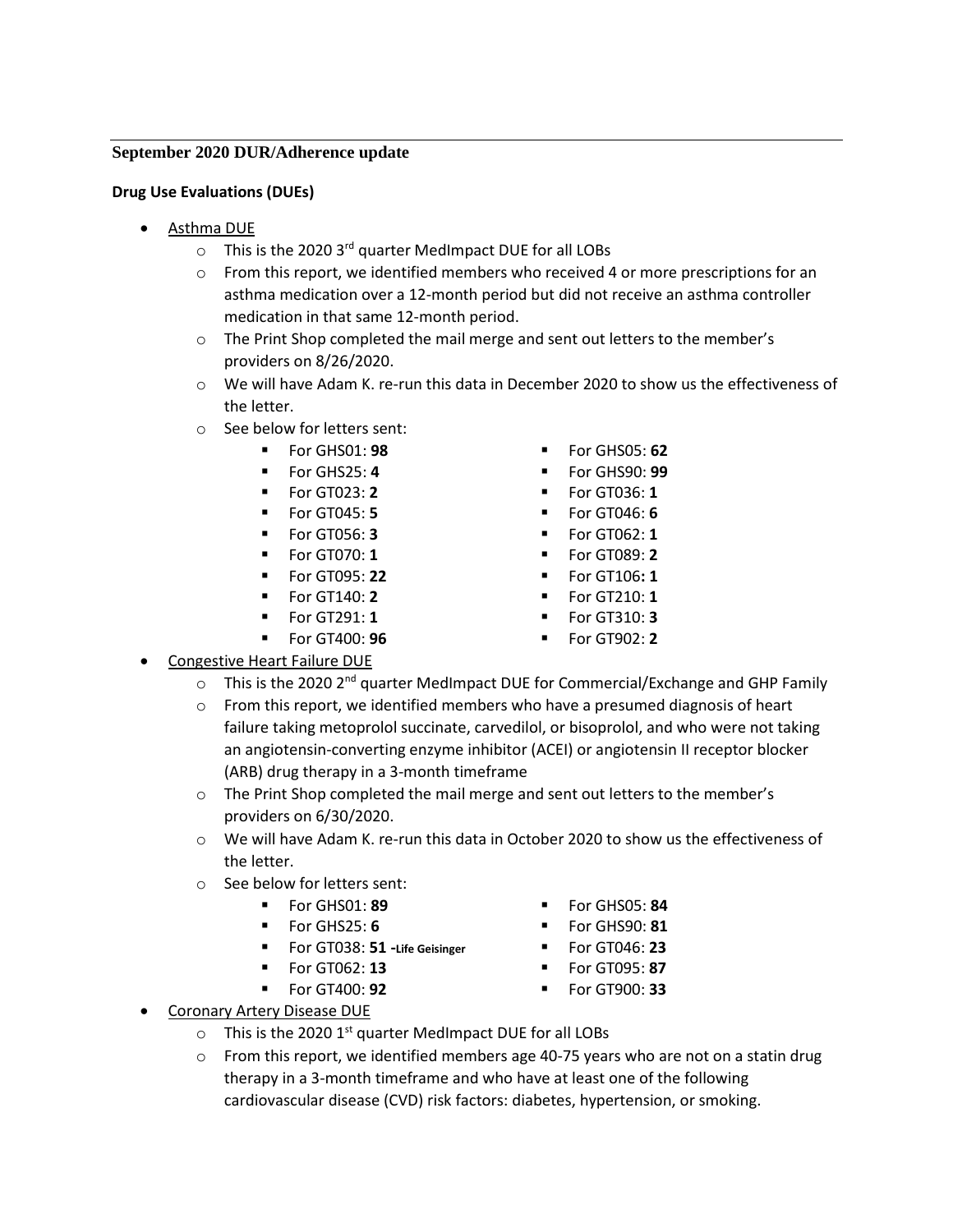### **September 2020 DUR/Adherence update**

## **Drug Use Evaluations (DUEs)**

- Asthma DUE
	- $\circ$  This is the 2020 3<sup>rd</sup> quarter MedImpact DUE for all LOBs
	- $\circ$  From this report, we identified members who received 4 or more prescriptions for an asthma medication over a 12-month period but did not receive an asthma controller medication in that same 12-month period.
	- o The Print Shop completed the mail merge and sent out letters to the member's providers on 8/26/2020.
	- o We will have Adam K. re-run this data in December 2020 to show us the effectiveness of the letter.
	- o See below for letters sent:
		- For GHS01: **98** For GHS05: **62**
		-
		-
		-
		-
		-
		-
		- For GT140: **2**
		- For GT291: **1**
		- For GT400: **96**
- Congestive Heart Failure DUE
	- $\circ$  This is the 2020 2<sup>nd</sup> quarter MedImpact DUE for Commercial/Exchange and GHP Family
	- $\circ$  From this report, we identified members who have a presumed diagnosis of heart failure taking metoprolol succinate, carvedilol, or bisoprolol, and who were not taking an angiotensin-converting enzyme inhibitor (ACEI) or angiotensin II receptor blocker (ARB) drug therapy in a 3-month timeframe
	- o The Print Shop completed the mail merge and sent out letters to the member's providers on 6/30/2020.
	- o We will have Adam K. re-run this data in October 2020 to show us the effectiveness of the letter.
	- o See below for letters sent:
		-
		-
		- For GT038: **51 -Life Geisinger**
		- For GT062: **13**
		- For GT400: **92** For GT900: **33**
- Coronary Artery Disease DUE
	- $\circ$  This is the 2020 1<sup>st</sup> quarter MedImpact DUE for all LOBs
	- $\circ$  From this report, we identified members age 40-75 years who are not on a statin drug therapy in a 3-month timeframe and who have at least one of the following cardiovascular disease (CVD) risk factors: diabetes, hypertension, or smoking.
- For GHS01: **89 ■** For GHS05: **84**
- For GHS25: **6** For GHS90: **81**
	- For GT046: **23**
	- For GT095: **87**
	-
- 
- For GHS25: **4** For GHS90: **99**
- For GT023: **2** For GT036: **1**
	- **For GT045: 5 Example 2018 For GT046: 6**
	- For GT056: **3** For GT062: **1**
- For GT070: **1 ■** For GT089: **2** 
	- For GT095: **22** For GT106**: 1**
		- For GT210: **1**
		- For GT310: **3**
		-
		-
		- For GT902: **2**
		- -
		- -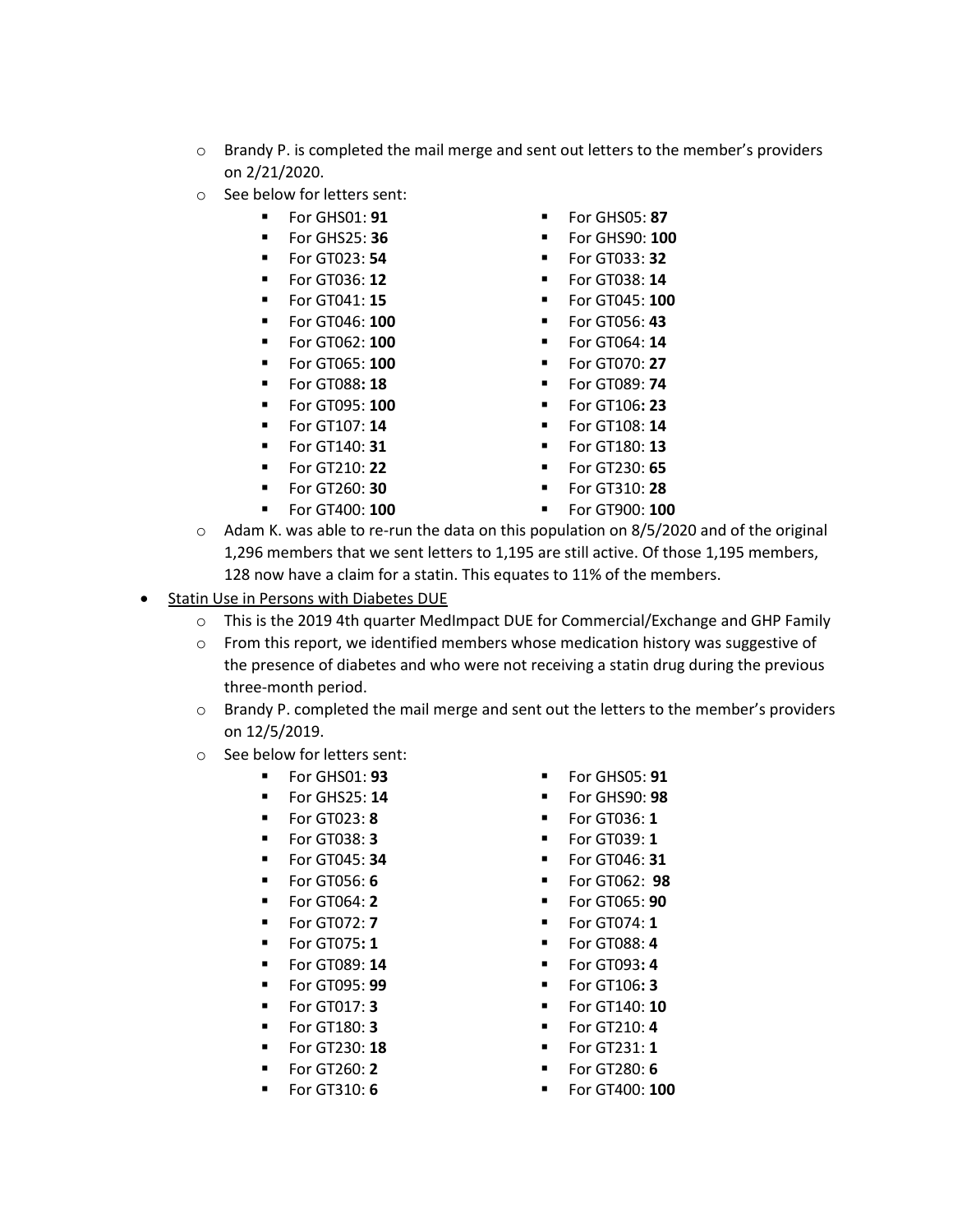- $\circ$  Brandy P. is completed the mail merge and sent out letters to the member's providers on 2/21/2020.
- o See below for letters sent:
	-
	-
	-
	-
	-
	-
	-
	-
	-
	-
	-
	-
	-
	-
	-
- For GHS01: **91 ■** For GHS05: **87**
- For GHS25: **36 ■** For GHS90: **100** 
	- For GT023: **54** For GT033: **32**
	- **For GT036: 12 Example 12 For GT038: 14**
	- For GT041: **15** For GT045: **100**
	- For GT046: **100** For GT056: **43**
	- For GT062: **100** For GT064: **14**
	- **Example 100 Example 100 T** For GT070: **27**
	- For GT088**: 18** For GT089: **74**
	- For GT095: **100** For GT106**: 23**
	- For GT107: **14** For GT108: **14**
	- For GT140: **31** For GT180: **13**
- For GT210: **22** For GT230: **65**
	- For GT260: **30** For GT310: **28**
	- **For GT400: 100 ■** For GT900: 100
- o Adam K. was able to re-run the data on this population on 8/5/2020 and of the original 1,296 members that we sent letters to 1,195 are still active. Of those 1,195 members, 128 now have a claim for a statin. This equates to 11% of the members.
- Statin Use in Persons with Diabetes DUE
	- o This is the 2019 4th quarter MedImpact DUE for Commercial/Exchange and GHP Family
	- $\circ$  From this report, we identified members whose medication history was suggestive of the presence of diabetes and who were not receiving a statin drug during the previous three-month period.
	- $\circ$  Brandy P. completed the mail merge and sent out the letters to the member's providers on 12/5/2019.
	- o See below for letters sent:
		-
		- For GHS25: **14** For GHS90: **98**
		-
		-
		-
		-
		-
		-
		-
		-
		-
		-
		-
		-
		-
		-
- For GHS01: **93** For GHS05: **91**
	-
	- For GT023: **8** For GT036: **1**
	- For GT038: **3** For GT039: **1**
	- For GT045: **34** For GT046: **31**
	- For GT056: **6** For GT062: **98**
	- For GT064: **2** For GT065: **90**
	- **For GT072: 7 Physical Property For GT074: 1**
	- **For GT075: 1 Example 1 For GT088: 4**
	- For GT089: **14** For GT093**: 4**
	- For GT095: **99** For GT106**: 3**
	- For GT017: **3** For GT140: **10**
	- For GT180: **3** For GT210: **4**
	- **For GT230: 18 •** For GT231: **1**
	- **For GT260: 2 Example 2 For GT280: 6**
	- For GT310: **6** For GT400: **100**
- 
- 
- 
- 
- 
- 
- 
- 
- 
- 
-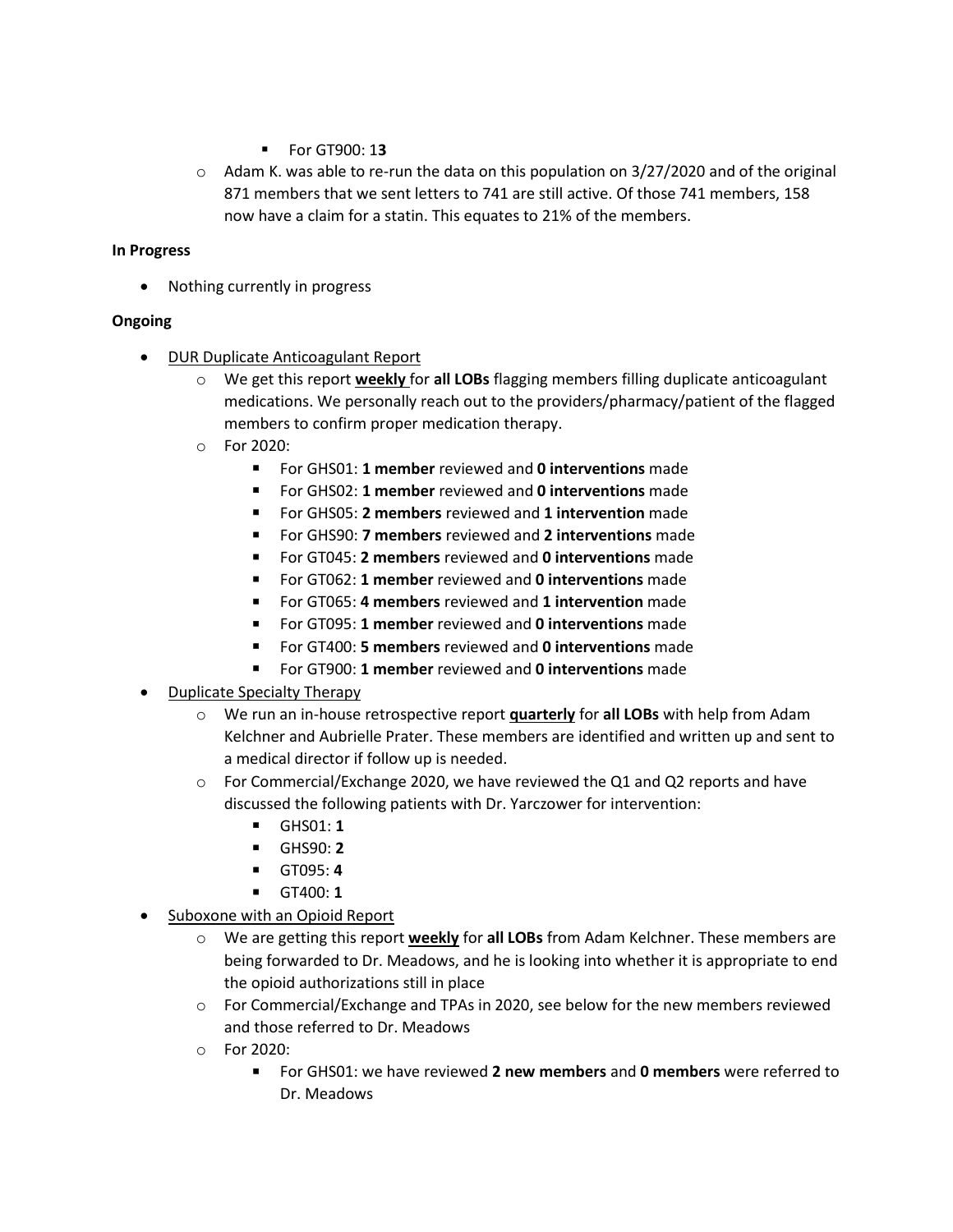- For GT900: 1**3**
- $\circ$  Adam K. was able to re-run the data on this population on 3/27/2020 and of the original 871 members that we sent letters to 741 are still active. Of those 741 members, 158 now have a claim for a statin. This equates to 21% of the members.

### **In Progress**

• Nothing currently in progress

## **Ongoing**

- DUR Duplicate Anticoagulant Report
	- o We get this report **weekly** for **all LOBs** flagging members filling duplicate anticoagulant medications. We personally reach out to the providers/pharmacy/patient of the flagged members to confirm proper medication therapy.
	- o For 2020:
		- For GHS01: **1 member** reviewed and **0 interventions** made
		- For GHS02: **1 member** reviewed and **0 interventions** made
		- For GHS05: **2 members** reviewed and **1 intervention** made
		- For GHS90: **7 members** reviewed and **2 interventions** made
		- For GT045: **2 members** reviewed and **0 interventions** made
		- For GT062: **1 member** reviewed and **0 interventions** made
		- For GT065: 4 members reviewed and 1 intervention made
		- For GT095: **1 member** reviewed and **0 interventions** made
		- For GT400: **5 members** reviewed and **0 interventions** made
		- For GT900: **1 member** reviewed and **0 interventions** made
- Duplicate Specialty Therapy
	- o We run an in-house retrospective report **quarterly** for **all LOBs** with help from Adam Kelchner and Aubrielle Prater. These members are identified and written up and sent to a medical director if follow up is needed.
	- $\circ$  For Commercial/Exchange 2020, we have reviewed the Q1 and Q2 reports and have discussed the following patients with Dr. Yarczower for intervention:
		- GHS01: **1**
		- GHS90: **2**
		- GT095: **4**
		- GT400: **1**
- Suboxone with an Opioid Report
	- o We are getting this report **weekly** for **all LOBs** from Adam Kelchner. These members are being forwarded to Dr. Meadows, and he is looking into whether it is appropriate to end the opioid authorizations still in place
	- $\circ$  For Commercial/Exchange and TPAs in 2020, see below for the new members reviewed and those referred to Dr. Meadows
	- o For 2020:
		- For GHS01: we have reviewed **2 new members** and **0 members** were referred to Dr. Meadows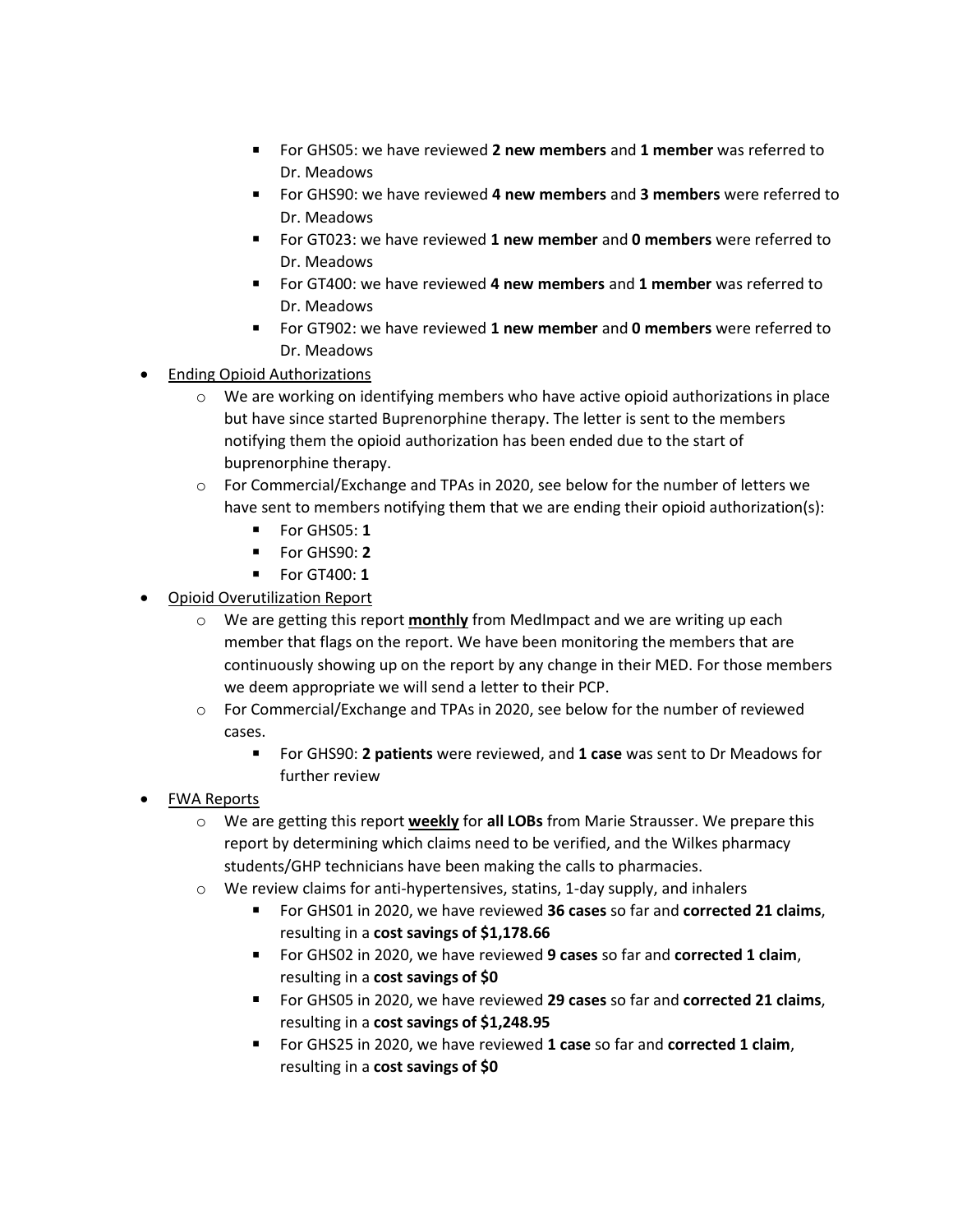- For GHS05: we have reviewed **2 new members** and **1 member** was referred to Dr. Meadows
- For GHS90: we have reviewed **4 new members** and **3 members** were referred to Dr. Meadows
- For GT023: we have reviewed **1 new member** and **0 members** were referred to Dr. Meadows
- For GT400: we have reviewed **4 new members** and **1 member** was referred to Dr. Meadows
- For GT902: we have reviewed **1 new member** and **0 members** were referred to Dr. Meadows
- Ending Opioid Authorizations
	- $\circ$  We are working on identifying members who have active opioid authorizations in place but have since started Buprenorphine therapy. The letter is sent to the members notifying them the opioid authorization has been ended due to the start of buprenorphine therapy.
	- o For Commercial/Exchange and TPAs in 2020, see below for the number of letters we have sent to members notifying them that we are ending their opioid authorization(s):
		- For GHS05: **1**
		- For GHS90: **2**
		- For GT400: **1**
- Opioid Overutilization Report
	- o We are getting this report **monthly** from MedImpact and we are writing up each member that flags on the report. We have been monitoring the members that are continuously showing up on the report by any change in their MED. For those members we deem appropriate we will send a letter to their PCP.
	- o For Commercial/Exchange and TPAs in 2020, see below for the number of reviewed cases.
		- For GHS90: **2 patients** were reviewed, and **1 case** was sent to Dr Meadows for further review
- FWA Reports
	- o We are getting this report **weekly** for **all LOBs** from Marie Strausser. We prepare this report by determining which claims need to be verified, and the Wilkes pharmacy students/GHP technicians have been making the calls to pharmacies.
	- o We review claims for anti-hypertensives, statins, 1-day supply, and inhalers
		- For GHS01 in 2020, we have reviewed **36 cases** so far and **corrected 21 claims**, resulting in a **cost savings of \$1,178.66**
		- For GHS02 in 2020, we have reviewed **9 cases** so far and **corrected 1 claim**, resulting in a **cost savings of \$0**
		- For GHS05 in 2020, we have reviewed **29 cases** so far and **corrected 21 claims**, resulting in a **cost savings of \$1,248.95**
		- For GHS25 in 2020, we have reviewed **1 case** so far and **corrected 1 claim**, resulting in a **cost savings of \$0**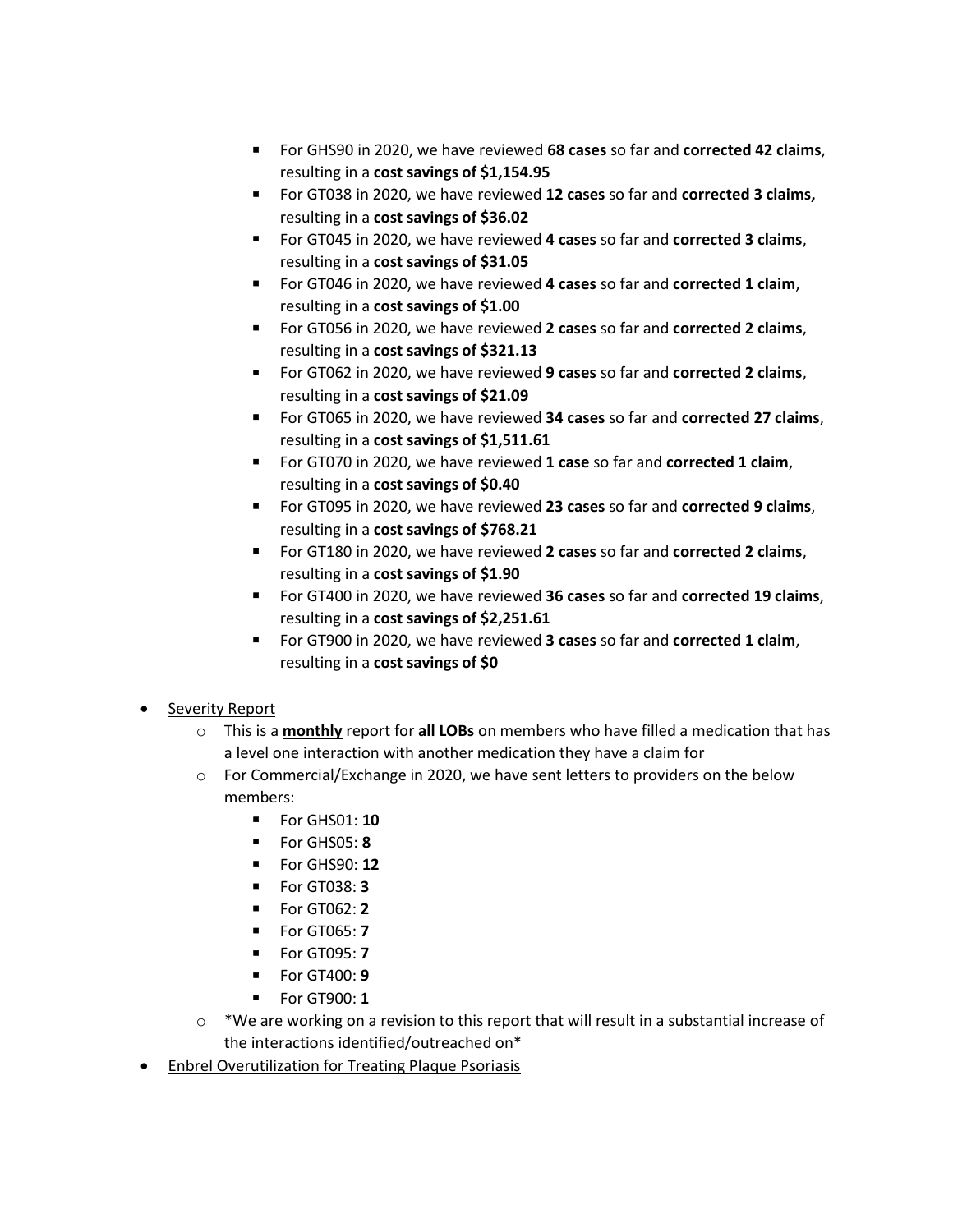- For GHS90 in 2020, we have reviewed **68 cases** so far and **corrected 42 claims**, resulting in a **cost savings of \$1,154.95**
- For GT038 in 2020, we have reviewed 12 cases so far and **corrected 3 claims,** resulting in a **cost savings of \$36.02**
- For GT045 in 2020, we have reviewed **4 cases** so far and **corrected 3 claims**, resulting in a **cost savings of \$31.05**
- For GT046 in 2020, we have reviewed **4 cases** so far and **corrected 1 claim**, resulting in a **cost savings of \$1.00**
- For GT056 in 2020, we have reviewed **2 cases** so far and **corrected 2 claims**, resulting in a **cost savings of \$321.13**
- For GT062 in 2020, we have reviewed **9 cases** so far and **corrected 2 claims**, resulting in a **cost savings of \$21.09**
- For GT065 in 2020, we have reviewed **34 cases** so far and **corrected 27 claims**, resulting in a **cost savings of \$1,511.61**
- For GT070 in 2020, we have reviewed 1 case so far and corrected 1 claim, resulting in a **cost savings of \$0.40**
- For GT095 in 2020, we have reviewed **23 cases** so far and **corrected 9 claims**, resulting in a **cost savings of \$768.21**
- For GT180 in 2020, we have reviewed **2 cases** so far and **corrected 2 claims**, resulting in a **cost savings of \$1.90**
- For GT400 in 2020, we have reviewed **36 cases** so far and **corrected 19 claims**, resulting in a **cost savings of \$2,251.61**
- For GT900 in 2020, we have reviewed **3 cases** so far and **corrected 1 claim**, resulting in a **cost savings of \$0**
- Severity Report
	- o This is a **monthly** report for **all LOBs** on members who have filled a medication that has a level one interaction with another medication they have a claim for
	- $\circ$  For Commercial/Exchange in 2020, we have sent letters to providers on the below members:
		- For GHS01: **10**
		- For GHS05: **8**
		- For GHS90: **12**
		- For GT038: **3**
		- For GT062: **2**
		- For GT065: **7**
		- For GT095: **7**
		- For GT400: **9**
		- For GT900: **1**
	- $\circ$  \*We are working on a revision to this report that will result in a substantial increase of the interactions identified/outreached on\*
- Enbrel Overutilization for Treating Plaque Psoriasis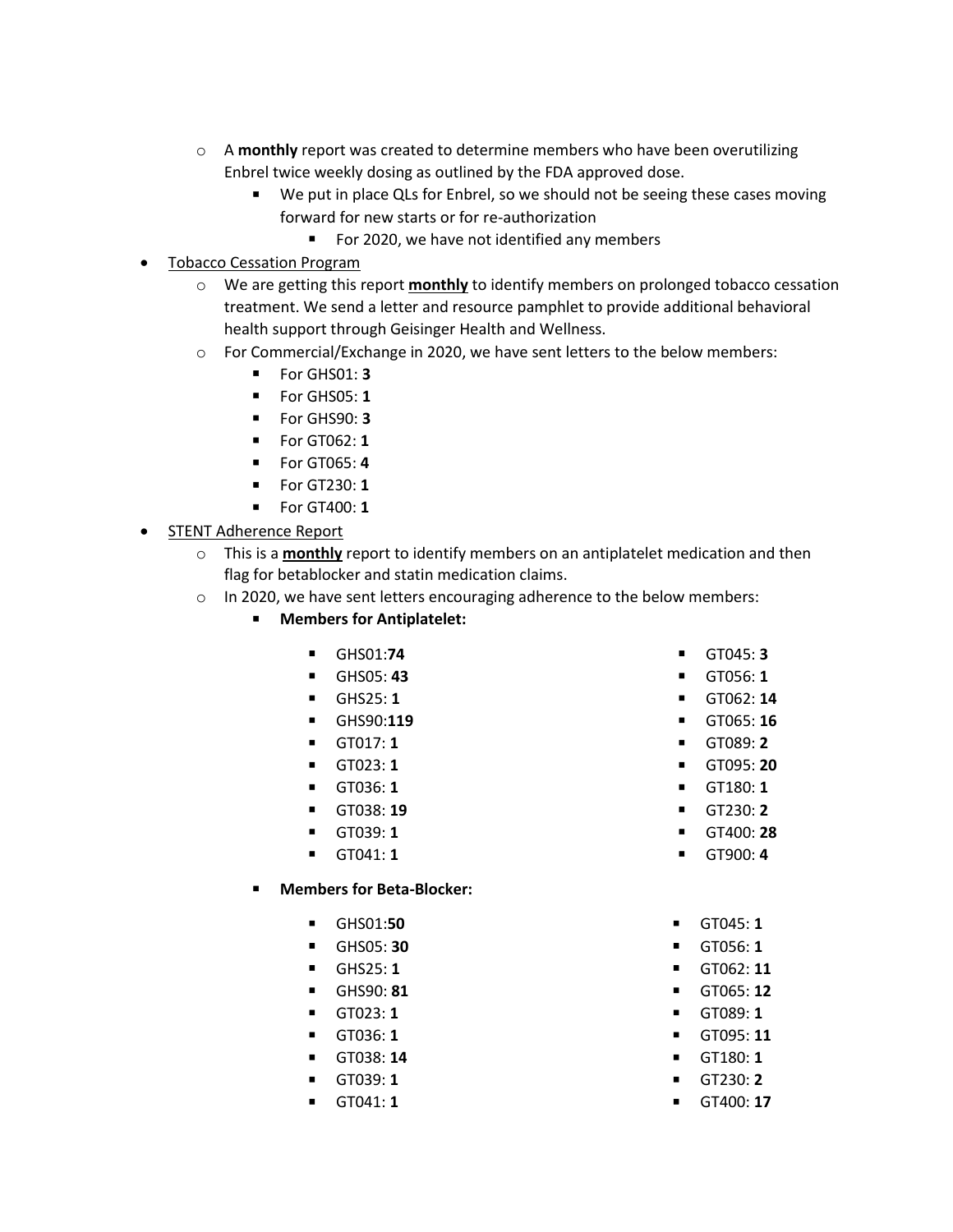- o A **monthly** report was created to determine members who have been overutilizing Enbrel twice weekly dosing as outlined by the FDA approved dose.
	- We put in place QLs for Enbrel, so we should not be seeing these cases moving forward for new starts or for re-authorization
		- For 2020, we have not identified any members
- Tobacco Cessation Program
	- o We are getting this report **monthly** to identify members on prolonged tobacco cessation treatment. We send a letter and resource pamphlet to provide additional behavioral health support through Geisinger Health and Wellness.
	- o For Commercial/Exchange in 2020, we have sent letters to the below members:
		- For GHS01: **3**
		- For GHS05: **1**
		- For GHS90: **3**
		- For GT062: **1**
		- For GT065: **4**
		- For GT230: **1**
		- For GT400: **1**
- **STENT Adherence Report** 
	- o This is a **monthly** report to identify members on an antiplatelet medication and then flag for betablocker and statin medication claims.
	- o In 2020, we have sent letters encouraging adherence to the below members:
		- **Members for Antiplatelet:**
			- GHS01:**74**
			- GHS05: **43**
			- GHS25: **1**
			- GHS90:**119**
			- GT017: **1**
			- GT023: **1**
			- GT036: **1**
			- GT038: **19**
			- GT039: **1**
			- GT041: **1**
		- **Members for Beta-Blocker:** 
			- GHS01:**50**
			- GHS05: **30**
			- GHS25: **1**
			- GHS90: **81**
			- GT023: **1**
			- GT036: **1**
			- GT038: **14**
			- GT039: **1**
			- GT041: **1**
- GT045: **3**
- GT056: **1**
- GT062: **14**
- GT065: **16**
- GT089: **2**
- GT095: **20**
- GT180: **1**
- GT230: **2**
- GT400: **28**
- GT900: **4**
- GT045: **1**
- GT056: **1**
- GT062: **11**
- GT065: **12**
- GT089: **1**
- GT095: **11**
- GT180: **1**
- GT230: **2**
- GT400: **17**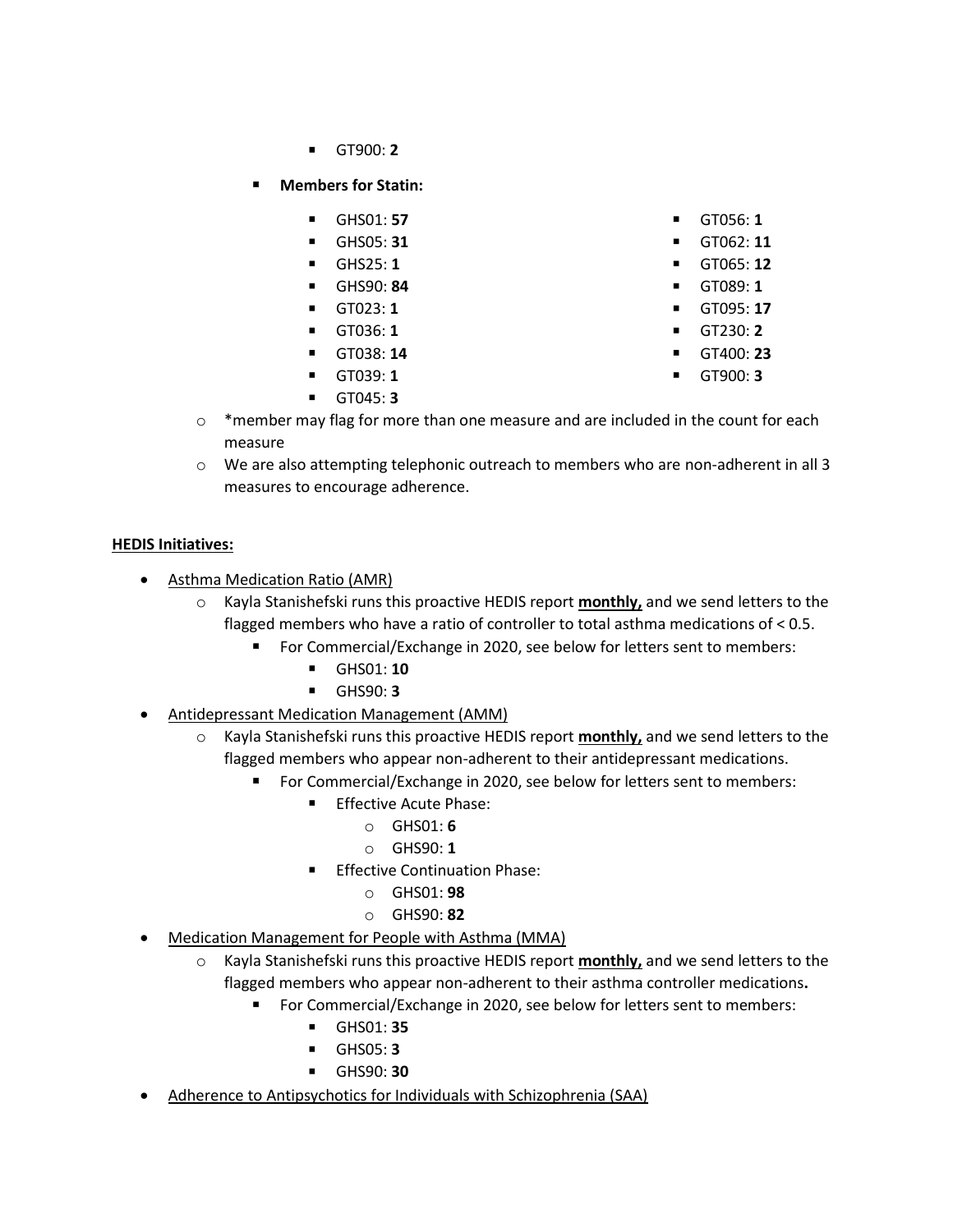- GT900: **2**
- **Members for Statin:** 
	- GHS01: **57**
	- GHS05: **31**
	- GHS25: **1**
	- GHS90: **84**
	- GT023: **1**
	- GT036: **1**
	- GT038: **14**
	- GT039: **1**
	- GT045: **3**
- GT056: **1**
- GT062: **11**
- GT065: **12**
- GT089: **1** ▪ GT095: **17**
- GT230: **2**
- GT400: **23**
- GT900: **3**
- $\circ$  \*member may flag for more than one measure and are included in the count for each measure
- $\circ$  We are also attempting telephonic outreach to members who are non-adherent in all 3 measures to encourage adherence.

## **HEDIS Initiatives:**

- **Asthma Medication Ratio (AMR)** 
	- o Kayla Stanishefski runs this proactive HEDIS report **monthly,** and we send letters to the flagged members who have a ratio of controller to total asthma medications of < 0.5.
		- For Commercial/Exchange in 2020, see below for letters sent to members:
			- GHS01: **10**
			- GHS90: **3**
- Antidepressant Medication Management (AMM)
	- o Kayla Stanishefski runs this proactive HEDIS report **monthly,** and we send letters to the flagged members who appear non-adherent to their antidepressant medications.
		- For Commercial/Exchange in 2020, see below for letters sent to members:
			- **Effective Acute Phase:** 
				- o GHS01: **6**
				- o GHS90: **1**
				- **Effective Continuation Phase:** 
					- o GHS01: **98**
					- o GHS90: **82**
- Medication Management for People with Asthma (MMA)
	- o Kayla Stanishefski runs this proactive HEDIS report **monthly,** and we send letters to the flagged members who appear non-adherent to their asthma controller medications**.**
		- For Commercial/Exchange in 2020, see below for letters sent to members:
			- GHS01: **35**
			- GHS05: **3**
			- GHS90: **30**
- Adherence to Antipsychotics for Individuals with Schizophrenia (SAA)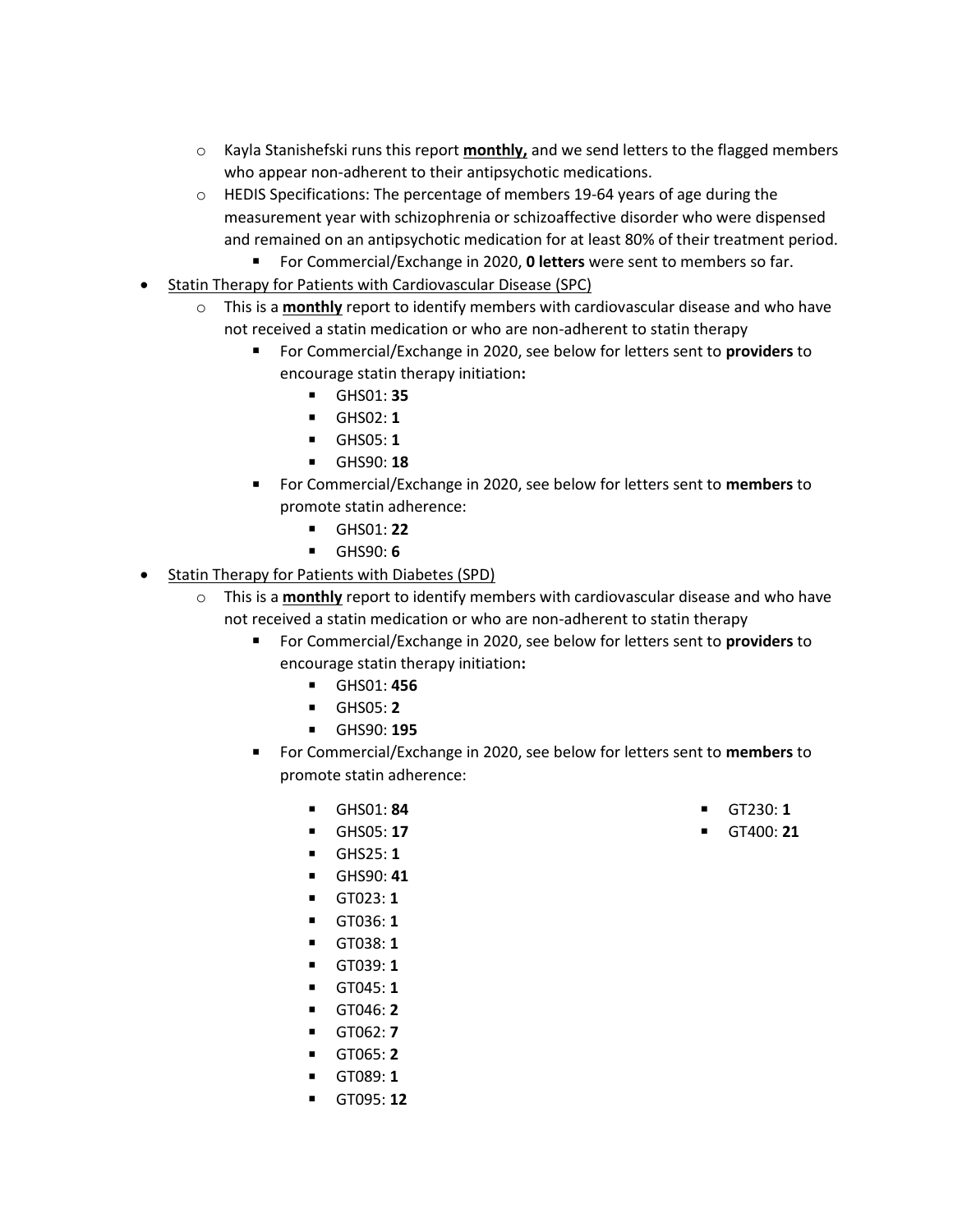- o Kayla Stanishefski runs this report **monthly,** and we send letters to the flagged members who appear non-adherent to their antipsychotic medications.
- o HEDIS Specifications: The percentage of members 19-64 years of age during the measurement year with schizophrenia or schizoaffective disorder who were dispensed and remained on an antipsychotic medication for at least 80% of their treatment period.
	- For Commercial/Exchange in 2020, **0 letters** were sent to members so far.
- Statin Therapy for Patients with Cardiovascular Disease (SPC)
	- o This is a **monthly** report to identify members with cardiovascular disease and who have not received a statin medication or who are non-adherent to statin therapy
		- For Commercial/Exchange in 2020, see below for letters sent to **providers** to encourage statin therapy initiation**:**
			- GHS01: **35**
			- GHS02: **1**
			- GHS05: **1**
			- GHS90: **18**
		- For Commercial/Exchange in 2020, see below for letters sent to **members** to promote statin adherence:
			- GHS01: **22**
			- GHS90: **6**
- Statin Therapy for Patients with Diabetes (SPD)
	- o This is a **monthly** report to identify members with cardiovascular disease and who have not received a statin medication or who are non-adherent to statin therapy
		- For Commercial/Exchange in 2020, see below for letters sent to **providers** to encourage statin therapy initiation**:**
			- GHS01: **456**
			- GHS05: **2**
			- GHS90: **195**
		- For Commercial/Exchange in 2020, see below for letters sent to **members** to promote statin adherence:
			- GHS01: **84**
			- GHS05: **17**
			- GHS25: **1**
			- GHS90: **41**
			- GT023: **1**
			- GT036: **1**
			- GT038: **1**
			- GT039: **1**
			- GT045: **1**
			- GT046: **2**
			- GT062: **7**
			- GT065: **2**
			- GT089: **1**
			- GT095: **12**
- GT230: **1**
- GT400: **21**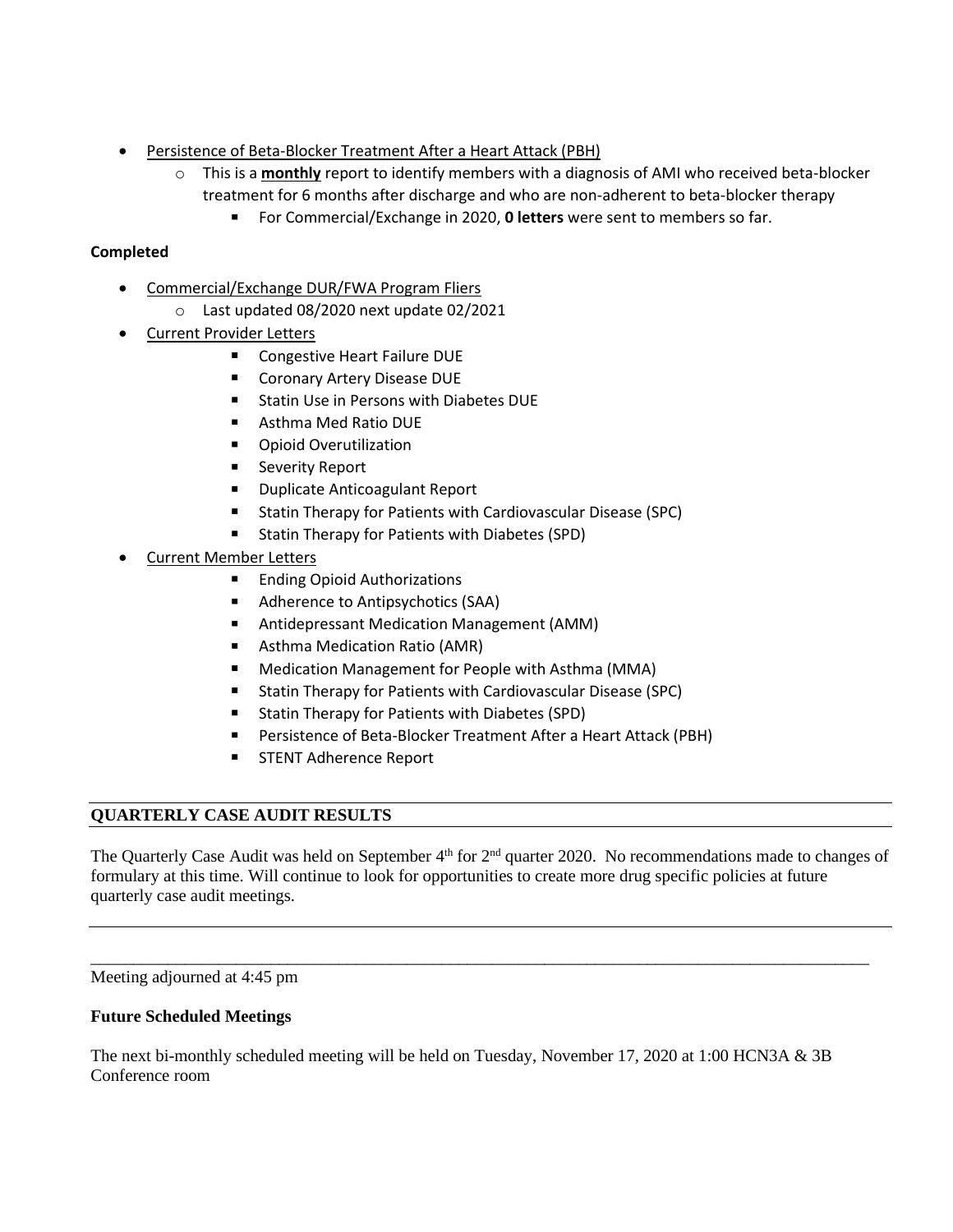- Persistence of Beta-Blocker Treatment After a Heart Attack (PBH)
	- o This is a **monthly** report to identify members with a diagnosis of AMI who received beta-blocker treatment for 6 months after discharge and who are non-adherent to beta-blocker therapy
		- For Commercial/Exchange in 2020, **0 letters** were sent to members so far.

# **Completed**

- Commercial/Exchange DUR/FWA Program Fliers
	- o Last updated 08/2020 next update 02/2021
- Current Provider Letters
	- Congestive Heart Failure DUE
	- Coronary Artery Disease DUE
	- Statin Use in Persons with Diabetes DUE
	- Asthma Med Ratio DUE
	- Opioid Overutilization
	- Severity Report
	- Duplicate Anticoagulant Report
	- Statin Therapy for Patients with Cardiovascular Disease (SPC)
	- Statin Therapy for Patients with Diabetes (SPD)
- Current Member Letters
	- Ending Opioid Authorizations
	- Adherence to Antipsychotics (SAA)
	- Antidepressant Medication Management (AMM)
	- Asthma Medication Ratio (AMR)
	- Medication Management for People with Asthma (MMA)
	- Statin Therapy for Patients with Cardiovascular Disease (SPC)
	- Statin Therapy for Patients with Diabetes (SPD)
	- Persistence of Beta-Blocker Treatment After a Heart Attack (PBH)
	- STENT Adherence Report

# **QUARTERLY CASE AUDIT RESULTS**

The Quarterly Case Audit was held on September 4<sup>th</sup> for 2<sup>nd</sup> quarter 2020. No recommendations made to changes of formulary at this time. Will continue to look for opportunities to create more drug specific policies at future quarterly case audit meetings.

\_\_\_\_\_\_\_\_\_\_\_\_\_\_\_\_\_\_\_\_\_\_\_\_\_\_\_\_\_\_\_\_\_\_\_\_\_\_\_\_\_\_\_\_\_\_\_\_\_\_\_\_\_\_\_\_\_\_\_\_\_\_\_\_\_\_\_\_\_\_\_\_\_\_\_\_\_\_\_\_\_\_\_\_\_\_\_\_\_\_\_

Meeting adjourned at 4:45 pm

### **Future Scheduled Meetings**

The next bi-monthly scheduled meeting will be held on Tuesday, November 17, 2020 at 1:00 HCN3A & 3B Conference room